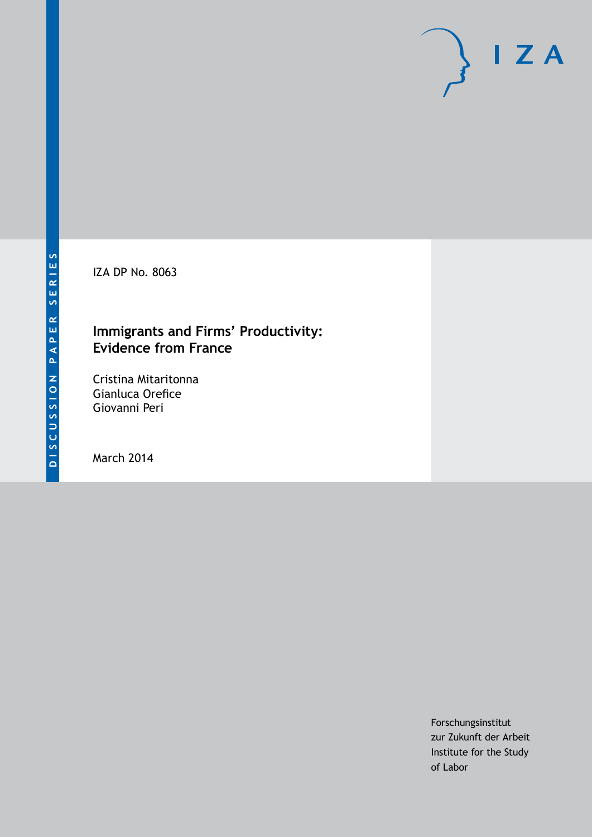IZA DP No. 8063

### **Immigrants and Firms' Productivity: Evidence from France**

Cristina Mitaritonna Gianluca Orefice Giovanni Peri

March 2014

Forschungsinstitut zur Zukunft der Arbeit Institute for the Study of Labor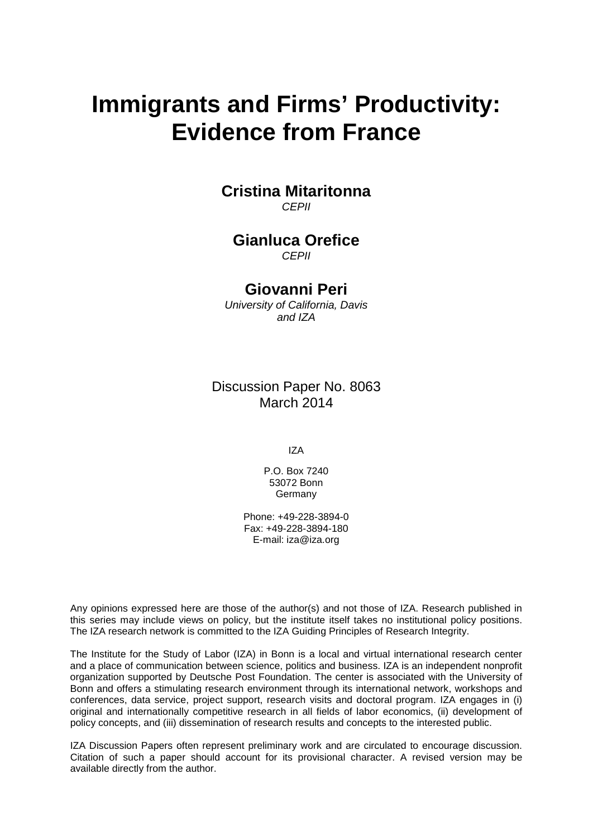# **Immigrants and Firms' Productivity: Evidence from France**

#### **Cristina Mitaritonna** *CEPII*

## **Gianluca Orefice**

*CEPII*

#### **Giovanni Peri**

*University of California, Davis and IZA*

Discussion Paper No. 8063 March 2014

IZA

P.O. Box 7240 53072 Bonn **Germany** 

Phone: +49-228-3894-0 Fax: +49-228-3894-180 E-mail: [iza@iza.org](mailto:iza@iza.org)

Any opinions expressed here are those of the author(s) and not those of IZA. Research published in this series may include views on policy, but the institute itself takes no institutional policy positions. The IZA research network is committed to the IZA Guiding Principles of Research Integrity.

The Institute for the Study of Labor (IZA) in Bonn is a local and virtual international research center and a place of communication between science, politics and business. IZA is an independent nonprofit organization supported by Deutsche Post Foundation. The center is associated with the University of Bonn and offers a stimulating research environment through its international network, workshops and conferences, data service, project support, research visits and doctoral program. IZA engages in (i) original and internationally competitive research in all fields of labor economics, (ii) development of policy concepts, and (iii) dissemination of research results and concepts to the interested public.

<span id="page-1-0"></span>IZA Discussion Papers often represent preliminary work and are circulated to encourage discussion. Citation of such a paper should account for its provisional character. A revised version may be available directly from the author.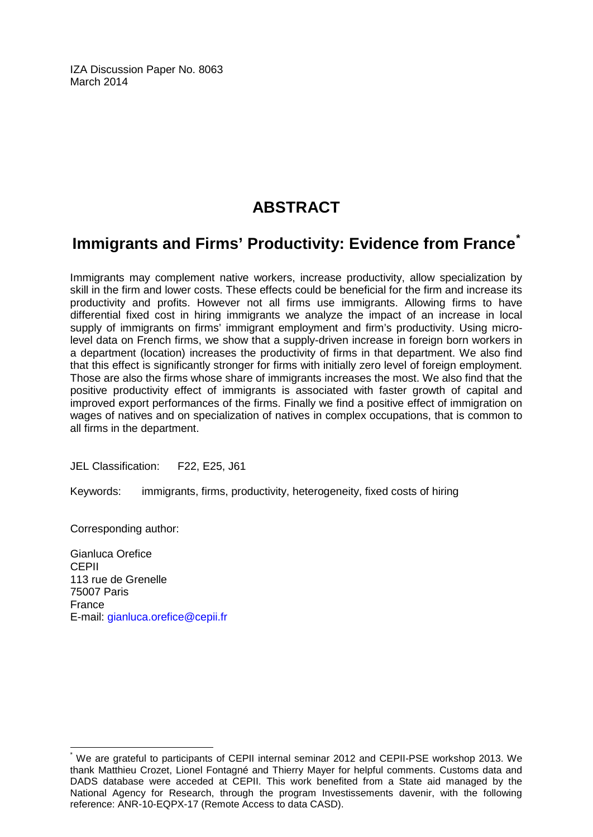IZA Discussion Paper No. 8063 March 2014

# **ABSTRACT**

# **Immigrants and Firms' Productivity: Evidence from France[\\*](#page-1-0)**

Immigrants may complement native workers, increase productivity, allow specialization by skill in the firm and lower costs. These effects could be beneficial for the firm and increase its productivity and profits. However not all firms use immigrants. Allowing firms to have differential fixed cost in hiring immigrants we analyze the impact of an increase in local supply of immigrants on firms' immigrant employment and firm's productivity. Using microlevel data on French firms, we show that a supply-driven increase in foreign born workers in a department (location) increases the productivity of firms in that department. We also find that this effect is significantly stronger for firms with initially zero level of foreign employment. Those are also the firms whose share of immigrants increases the most. We also find that the positive productivity effect of immigrants is associated with faster growth of capital and improved export performances of the firms. Finally we find a positive effect of immigration on wages of natives and on specialization of natives in complex occupations, that is common to all firms in the department.

JEL Classification: F22, E25, J61

Keywords: immigrants, firms, productivity, heterogeneity, fixed costs of hiring

Corresponding author:

Gianluca Orefice CEPII 113 rue de Grenelle 75007 Paris France E-mail: [gianluca.orefice@cepii.fr](mailto:gianluca.orefice@cepii.fr)

We are grateful to participants of CEPII internal seminar 2012 and CEPII-PSE workshop 2013. We thank Matthieu Crozet, Lionel Fontagné and Thierry Mayer for helpful comments. Customs data and DADS database were acceded at CEPII. This work benefited from a State aid managed by the National Agency for Research, through the program Investissements davenir, with the following reference: ANR-10-EQPX-17 (Remote Access to data CASD).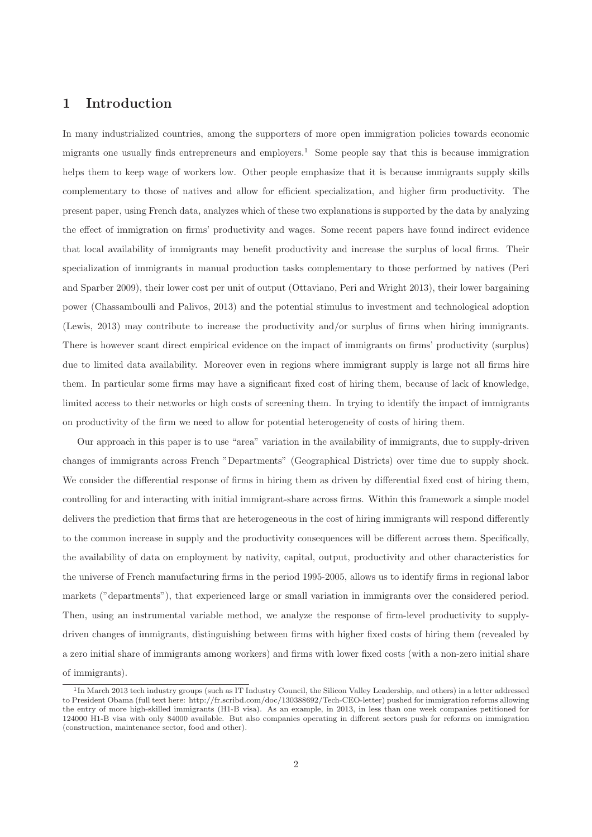#### 1 Introduction

In many industrialized countries, among the supporters of more open immigration policies towards economic migrants one usually finds entrepreneurs and employers.<sup>1</sup> Some people say that this is because immigration helps them to keep wage of workers low. Other people emphasize that it is because immigrants supply skills complementary to those of natives and allow for efficient specialization, and higher firm productivity. The present paper, using French data, analyzes which of these two explanations is supported by the data by analyzing the effect of immigration on firms' productivity and wages. Some recent papers have found indirect evidence that local availability of immigrants may benefit productivity and increase the surplus of local firms. Their specialization of immigrants in manual production tasks complementary to those performed by natives (Peri and Sparber 2009), their lower cost per unit of output (Ottaviano, Peri and Wright 2013), their lower bargaining power (Chassamboulli and Palivos, 2013) and the potential stimulus to investment and technological adoption (Lewis, 2013) may contribute to increase the productivity and/or surplus of firms when hiring immigrants. There is however scant direct empirical evidence on the impact of immigrants on firms' productivity (surplus) due to limited data availability. Moreover even in regions where immigrant supply is large not all firms hire them. In particular some firms may have a significant fixed cost of hiring them, because of lack of knowledge, limited access to their networks or high costs of screening them. In trying to identify the impact of immigrants on productivity of the firm we need to allow for potential heterogeneity of costs of hiring them.

Our approach in this paper is to use "area" variation in the availability of immigrants, due to supply-driven changes of immigrants across French "Departments" (Geographical Districts) over time due to supply shock. We consider the differential response of firms in hiring them as driven by differential fixed cost of hiring them, controlling for and interacting with initial immigrant-share across firms. Within this framework a simple model delivers the prediction that firms that are heterogeneous in the cost of hiring immigrants will respond differently to the common increase in supply and the productivity consequences will be different across them. Specifically, the availability of data on employment by nativity, capital, output, productivity and other characteristics for the universe of French manufacturing firms in the period 1995-2005, allows us to identify firms in regional labor markets ("departments"), that experienced large or small variation in immigrants over the considered period. Then, using an instrumental variable method, we analyze the response of firm-level productivity to supplydriven changes of immigrants, distinguishing between firms with higher fixed costs of hiring them (revealed by a zero initial share of immigrants among workers) and firms with lower fixed costs (with a non-zero initial share of immigrants).

<sup>&</sup>lt;sup>1</sup>In March 2013 tech industry groups (such as IT Industry Council, the Silicon Valley Leadership, and others) in a letter addressed to President Obama (full text here: http://fr.scribd.com/doc/130388692/Tech-CEO-letter) pushed for immigration reforms allowing the entry of more high-skilled immigrants (H1-B visa). As an example, in 2013, in less than one week companies petitioned for 124000 H1-B visa with only 84000 available. But also companies operating in different sectors push for reforms on immigration (construction, maintenance sector, food and other).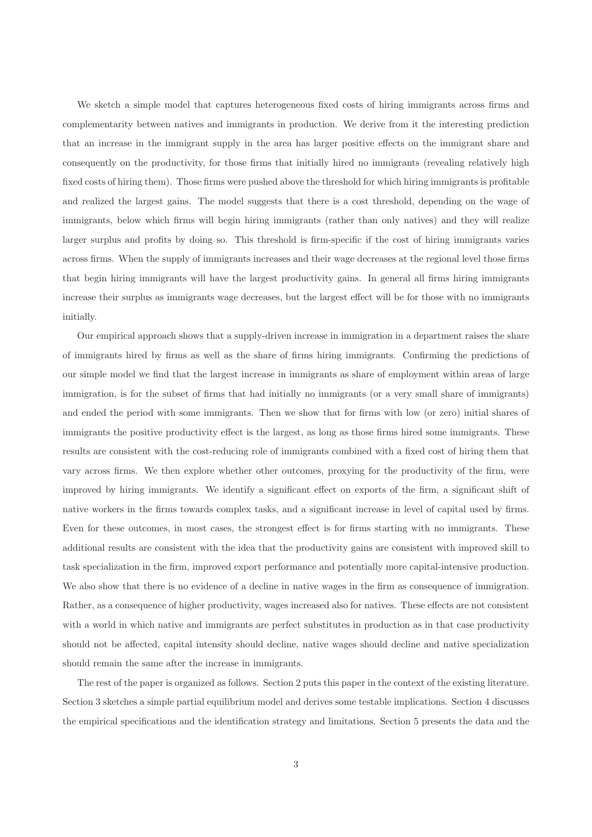We sketch a simple model that captures heterogeneous fixed costs of hiring immigrants across firms and complementarity between natives and immigrants in production. We derive from it the interesting prediction that an increase in the immigrant supply in the area has larger positive effects on the immigrant share and consequently on the productivity, for those firms that initially hired no immigrants (revealing relatively high fixed costs of hiring them). Those firms were pushed above the threshold for which hiring immigrants is profitable and realized the largest gains. The model suggests that there is a cost threshold, depending on the wage of immigrants, below which firms will begin hiring immigrants (rather than only natives) and they will realize larger surplus and profits by doing so. This threshold is firm-specific if the cost of hiring immigrants varies across firms. When the supply of immigrants increases and their wage decreases at the regional level those firms that begin hiring immigrants will have the largest productivity gains. In general all firms hiring immigrants increase their surplus as immigrants wage decreases, but the largest effect will be for those with no immigrants initially.

Our empirical approach shows that a supply-driven increase in immigration in a department raises the share of immigrants hired by firms as well as the share of firms hiring immigrants. Confirming the predictions of our simple model we find that the largest increase in immigrants as share of employment within areas of large immigration, is for the subset of firms that had initially no immigrants (or a very small share of immigrants) and ended the period with some immigrants. Then we show that for firms with low (or zero) initial shares of immigrants the positive productivity effect is the largest, as long as those firms hired some immigrants. These results are consistent with the cost-reducing role of immigrants combined with a fixed cost of hiring them that vary across firms. We then explore whether other outcomes, proxying for the productivity of the firm, were improved by hiring immigrants. We identify a significant effect on exports of the firm, a significant shift of native workers in the firms towards complex tasks, and a significant increase in level of capital used by firms. Even for these outcomes, in most cases, the strongest effect is for firms starting with no immigrants. These additional results are consistent with the idea that the productivity gains are consistent with improved skill to task specialization in the firm, improved export performance and potentially more capital-intensive production. We also show that there is no evidence of a decline in native wages in the firm as consequence of immigration. Rather, as a consequence of higher productivity, wages increased also for natives. These effects are not consistent with a world in which native and immigrants are perfect substitutes in production as in that case productivity should not be affected, capital intensity should decline, native wages should decline and native specialization should remain the same after the increase in immigrants.

The rest of the paper is organized as follows. Section 2 puts this paper in the context of the existing literature. Section 3 sketches a simple partial equilibrium model and derives some testable implications. Section 4 discusses the empirical specifications and the identification strategy and limitations. Section 5 presents the data and the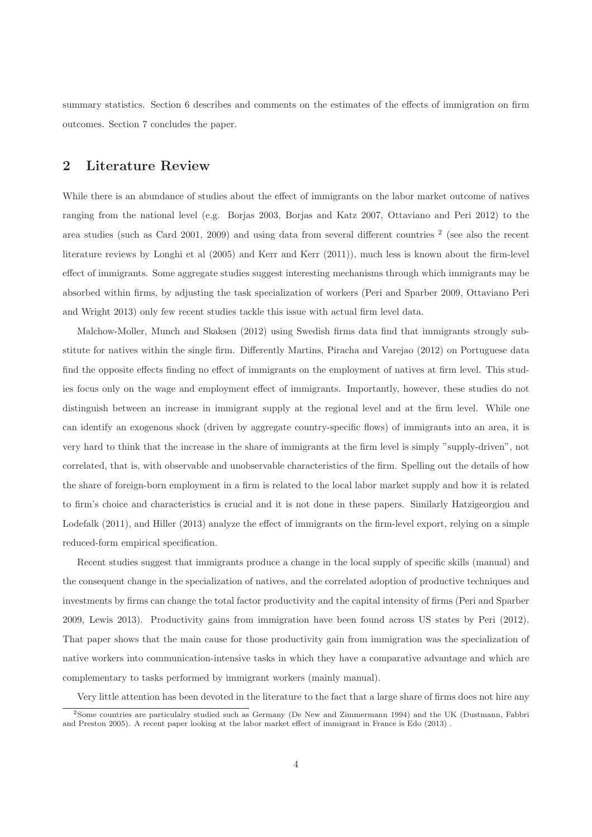summary statistics. Section 6 describes and comments on the estimates of the effects of immigration on firm outcomes. Section 7 concludes the paper.

#### 2 Literature Review

While there is an abundance of studies about the effect of immigrants on the labor market outcome of natives ranging from the national level (e.g. Borjas 2003, Borjas and Katz 2007, Ottaviano and Peri 2012) to the area studies (such as Card 2001, 2009) and using data from several different countries<sup>2</sup> (see also the recent literature reviews by Longhi et al (2005) and Kerr and Kerr (2011)), much less is known about the firm-level effect of immigrants. Some aggregate studies suggest interesting mechanisms through which immigrants may be absorbed within firms, by adjusting the task specialization of workers (Peri and Sparber 2009, Ottaviano Peri and Wright 2013) only few recent studies tackle this issue with actual firm level data.

Malchow-Moller, Munch and Skaksen (2012) using Swedish firms data find that immigrants strongly substitute for natives within the single firm. Differently Martins, Piracha and Varejao (2012) on Portuguese data find the opposite effects finding no effect of immigrants on the employment of natives at firm level. This studies focus only on the wage and employment effect of immigrants. Importantly, however, these studies do not distinguish between an increase in immigrant supply at the regional level and at the firm level. While one can identify an exogenous shock (driven by aggregate country-specific flows) of immigrants into an area, it is very hard to think that the increase in the share of immigrants at the firm level is simply "supply-driven", not correlated, that is, with observable and unobservable characteristics of the firm. Spelling out the details of how the share of foreign-born employment in a firm is related to the local labor market supply and how it is related to firm's choice and characteristics is crucial and it is not done in these papers. Similarly Hatzigeorgiou and Lodefalk (2011), and Hiller (2013) analyze the effect of immigrants on the firm-level export, relying on a simple reduced-form empirical specification.

Recent studies suggest that immigrants produce a change in the local supply of specific skills (manual) and the consequent change in the specialization of natives, and the correlated adoption of productive techniques and investments by firms can change the total factor productivity and the capital intensity of firms (Peri and Sparber 2009, Lewis 2013). Productivity gains from immigration have been found across US states by Peri (2012). That paper shows that the main cause for those productivity gain from immigration was the specialization of native workers into communication-intensive tasks in which they have a comparative advantage and which are complementary to tasks performed by immigrant workers (mainly manual).

Very little attention has been devoted in the literature to the fact that a large share of firms does not hire any

<sup>2</sup>Some countries are particulalry studied such as Germany (De New and Zimmermann 1994) and the UK (Dustmann, Fabbri and Preston 2005). A recent paper looking at the labor market effect of immigrant in France is Edo (2013) .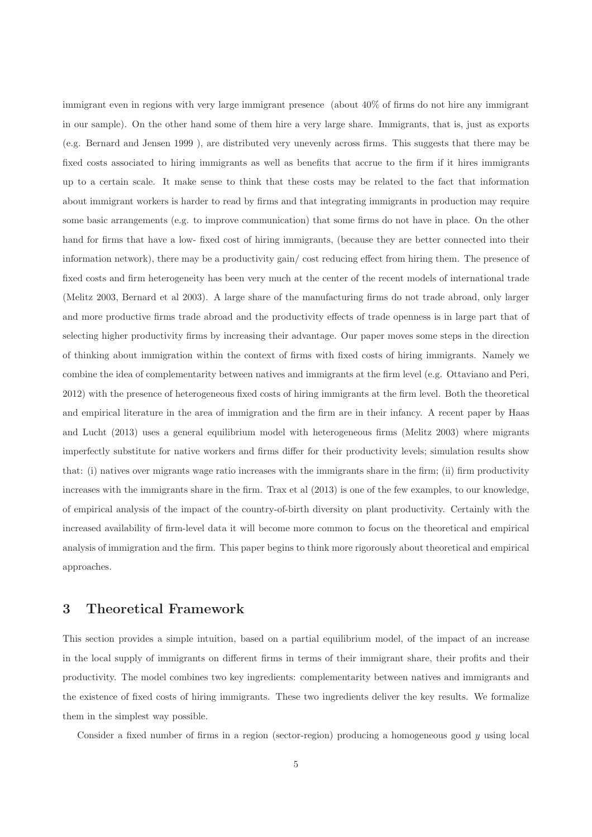immigrant even in regions with very large immigrant presence (about 40% of firms do not hire any immigrant in our sample). On the other hand some of them hire a very large share. Immigrants, that is, just as exports (e.g. Bernard and Jensen 1999 ), are distributed very unevenly across firms. This suggests that there may be fixed costs associated to hiring immigrants as well as benefits that accrue to the firm if it hires immigrants up to a certain scale. It make sense to think that these costs may be related to the fact that information about immigrant workers is harder to read by firms and that integrating immigrants in production may require some basic arrangements (e.g. to improve communication) that some firms do not have in place. On the other hand for firms that have a low- fixed cost of hiring immigrants, (because they are better connected into their information network), there may be a productivity gain/ cost reducing effect from hiring them. The presence of fixed costs and firm heterogeneity has been very much at the center of the recent models of international trade (Melitz 2003, Bernard et al 2003). A large share of the manufacturing firms do not trade abroad, only larger and more productive firms trade abroad and the productivity effects of trade openness is in large part that of selecting higher productivity firms by increasing their advantage. Our paper moves some steps in the direction of thinking about immigration within the context of firms with fixed costs of hiring immigrants. Namely we combine the idea of complementarity between natives and immigrants at the firm level (e.g. Ottaviano and Peri, 2012) with the presence of heterogeneous fixed costs of hiring immigrants at the firm level. Both the theoretical and empirical literature in the area of immigration and the firm are in their infancy. A recent paper by Haas and Lucht (2013) uses a general equilibrium model with heterogeneous firms (Melitz 2003) where migrants imperfectly substitute for native workers and firms differ for their productivity levels; simulation results show that: (i) natives over migrants wage ratio increases with the immigrants share in the firm; (ii) firm productivity increases with the immigrants share in the firm. Trax et al (2013) is one of the few examples, to our knowledge, of empirical analysis of the impact of the country-of-birth diversity on plant productivity. Certainly with the increased availability of firm-level data it will become more common to focus on the theoretical and empirical analysis of immigration and the firm. This paper begins to think more rigorously about theoretical and empirical approaches.

#### 3 Theoretical Framework

This section provides a simple intuition, based on a partial equilibrium model, of the impact of an increase in the local supply of immigrants on different firms in terms of their immigrant share, their profits and their productivity. The model combines two key ingredients: complementarity between natives and immigrants and the existence of fixed costs of hiring immigrants. These two ingredients deliver the key results. We formalize them in the simplest way possible.

Consider a fixed number of firms in a region (sector-region) producing a homogeneous good  $\gamma$  using local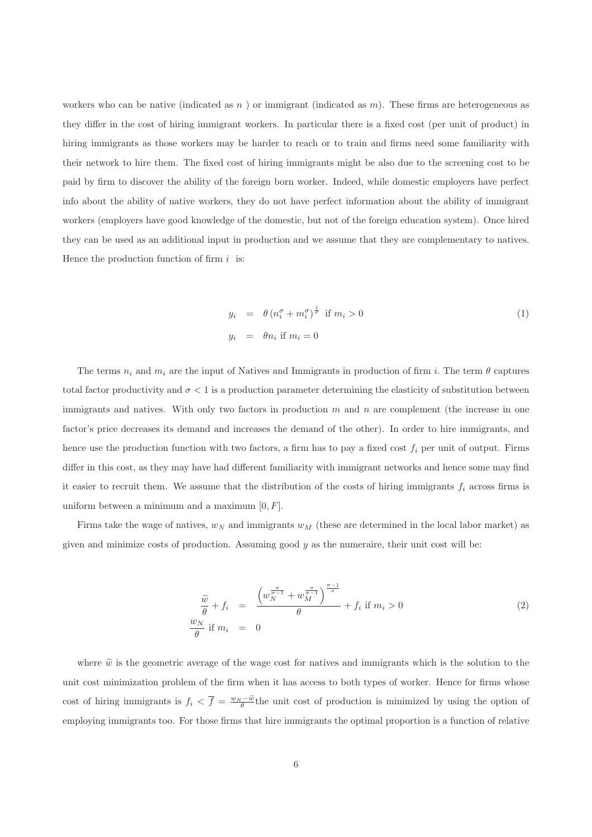workers who can be native (indicated as n) or immigrant (indicated as  $m$ ). These firms are heterogeneous as they differ in the cost of hiring immigrant workers. In particular there is a fixed cost (per unit of product) in hiring immigrants as those workers may be harder to reach or to train and firms need some familiarity with their network to hire them. The fixed cost of hiring immigrants might be also due to the screening cost to be paid by firm to discover the ability of the foreign born worker. Indeed, while domestic employers have perfect info about the ability of native workers, they do not have perfect information about the ability of immigrant workers (employers have good knowledge of the domestic, but not of the foreign education system). Once hired they can be used as an additional input in production and we assume that they are complementary to natives. Hence the production function of firm  $i$  is:

$$
y_i = \theta (n_i^{\sigma} + m_i^{\sigma})^{\frac{1}{\sigma}} \text{ if } m_i > 0
$$
  
\n
$$
y_i = \theta n_i \text{ if } m_i = 0
$$
\n(1)

The terms  $n_i$  and  $m_i$  are the input of Natives and Immigrants in production of firm i. The term  $\theta$  captures total factor productivity and  $\sigma < 1$  is a production parameter determining the elasticity of substitution between immigrants and natives. With only two factors in production  $m$  and  $n$  are complement (the increase in one factor's price decreases its demand and increases the demand of the other). In order to hire immigrants, and hence use the production function with two factors, a firm has to pay a fixed cost  $f_i$  per unit of output. Firms differ in this cost, as they may have had different familiarity with immigrant networks and hence some may find it easier to recruit them. We assume that the distribution of the costs of hiring immigrants  $f_i$  across firms is uniform between a minimum and a maximum  $[0, F]$ .

Firms take the wage of natives,  $w_N$  and immigrants  $w_M$  (these are determined in the local labor market) as given and minimize costs of production. Assuming good  $y$  as the numeraire, their unit cost will be:

$$
\frac{\widetilde{w}}{\theta} + f_i = \frac{\left(w_N^{\frac{\sigma}{\sigma-1}} + w_M^{\frac{\sigma}{\sigma-1}}\right)^{\frac{\sigma-1}{\sigma}}}{\theta} + f_i \text{ if } m_i > 0
$$
\n
$$
\frac{w_N}{\theta} \text{ if } m_i = 0
$$
\n(2)

where  $\tilde{w}$  is the geometric average of the wage cost for natives and immigrants which is the solution to the unit cost minimization problem of the firm when it has access to both types of worker. Hence for firms whose cost of hiring immigrants is  $f_i < \overline{f} = \frac{w_N - \tilde{w}}{\theta}$  the unit cost of production is minimized by using the option of employing immigrants too. For those firms that hire immigrants the optimal proportion is a function of relative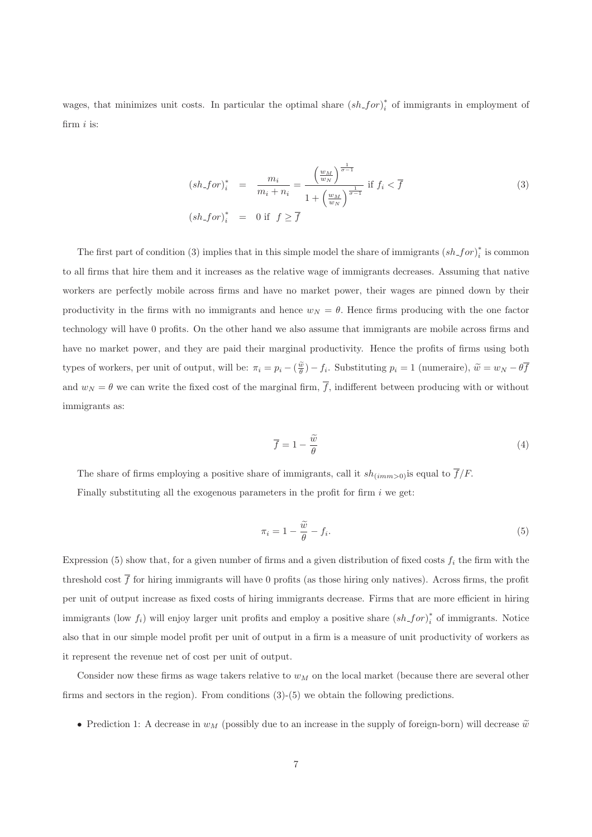wages, that minimizes unit costs. In particular the optimal share  $(sh\_for)_{i}^{*}$  $i$  of immigrants in employment of firm  $i$  is:

$$
(sh_{-}for)_{i}^{*} = \frac{m_{i}}{m_{i} + n_{i}} = \frac{\left(\frac{w_{M}}{w_{N}}\right)^{\frac{1}{\sigma - 1}}}{1 + \left(\frac{w_{M}}{w_{N}}\right)^{\frac{1}{\sigma - 1}}} \text{ if } f_{i} < \overline{f}
$$
\n
$$
(sh_{-}for)_{i}^{*} = 0 \text{ if } f \geq \overline{f}
$$
\n
$$
(3)
$$

The first part of condition (3) implies that in this simple model the share of immigrants  $(sh_f or)_i^*$  $i$ <sup>\*</sup> is common to all firms that hire them and it increases as the relative wage of immigrants decreases. Assuming that native workers are perfectly mobile across firms and have no market power, their wages are pinned down by their productivity in the firms with no immigrants and hence  $w_N = \theta$ . Hence firms producing with the one factor technology will have 0 profits. On the other hand we also assume that immigrants are mobile across firms and have no market power, and they are paid their marginal productivity. Hence the profits of firms using both types of workers, per unit of output, will be:  $\pi_i = p_i - (\frac{\tilde{w}}{\theta}) - f_i$ . Substituting  $p_i = 1$  (numeraire),  $\tilde{w} = w_N - \theta \overline{f}$ and  $w_N = \theta$  we can write the fixed cost of the marginal firm,  $\overline{f}$ , indifferent between producing with or without immigrants as:

$$
\overline{f} = 1 - \frac{\widetilde{w}}{\theta} \tag{4}
$$

The share of firms employing a positive share of immigrants, call it  $sh_{(imm>0)}$  is equal to  $\overline{f}/F$ .

Finally substituting all the exogenous parameters in the profit for firm  $i$  we get:

$$
\pi_i = 1 - \frac{\widetilde{w}}{\theta} - f_i.
$$
\n<sup>(5)</sup>

Expression (5) show that, for a given number of firms and a given distribution of fixed costs  $f_i$  the firm with the threshold cost  $\bar{f}$  for hiring immigrants will have 0 profits (as those hiring only natives). Across firms, the profit per unit of output increase as fixed costs of hiring immigrants decrease. Firms that are more efficient in hiring immigrants (low  $f_i$ ) will enjoy larger unit profits and employ a positive share  $(sh\_for)_{i}^{*}$  $i$ <sup>\*</sup> of immigrants. Notice also that in our simple model profit per unit of output in a firm is a measure of unit productivity of workers as it represent the revenue net of cost per unit of output.

Consider now these firms as wage takers relative to  $w_M$  on the local market (because there are several other firms and sectors in the region). From conditions (3)-(5) we obtain the following predictions.

• Prediction 1: A decrease in  $w_M$  (possibly due to an increase in the supply of foreign-born) will decrease  $\tilde{w}$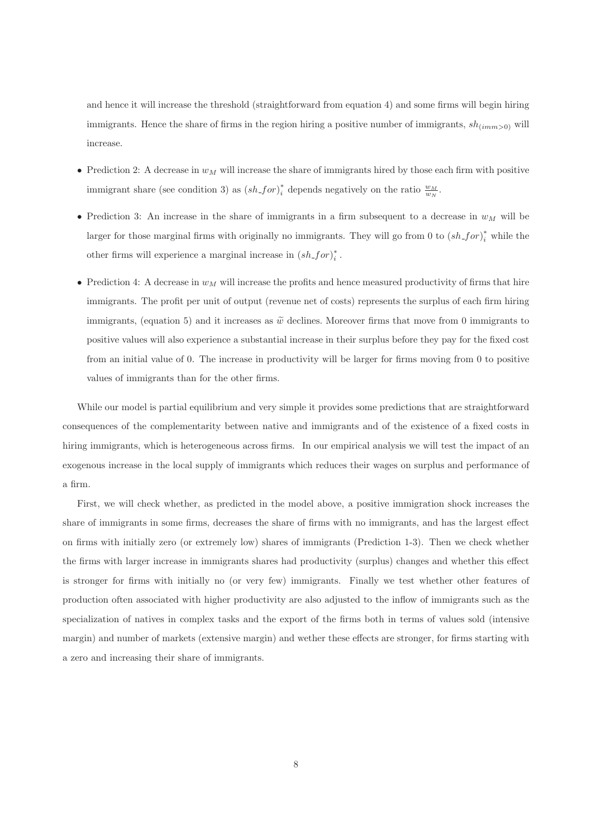and hence it will increase the threshold (straightforward from equation 4) and some firms will begin hiring immigrants. Hence the share of firms in the region hiring a positive number of immigrants,  $sh_{(imm>0)}$  will increase.

- Prediction 2: A decrease in  $w_M$  will increase the share of immigrants hired by those each firm with positive immigrant share (see condition 3) as  $(sh\_for)_{i}^{*}$ \* depends negatively on the ratio  $\frac{w_M}{w_N}$ .
- Prediction 3: An increase in the share of immigrants in a firm subsequent to a decrease in  $w_M$  will be larger for those marginal firms with originally no immigrants. They will go from 0 to  $(sh\_for)_{i}^{*}$  while the other firms will experience a marginal increase in  $(sh\_for)_{i}^{*}$  $\frac{*}{i}$  .
- Prediction 4: A decrease in  $w_M$  will increase the profits and hence measured productivity of firms that hire immigrants. The profit per unit of output (revenue net of costs) represents the surplus of each firm hiring immigrants, (equation 5) and it increases as  $\tilde{w}$  declines. Moreover firms that move from 0 immigrants to positive values will also experience a substantial increase in their surplus before they pay for the fixed cost from an initial value of 0. The increase in productivity will be larger for firms moving from 0 to positive values of immigrants than for the other firms.

While our model is partial equilibrium and very simple it provides some predictions that are straightforward consequences of the complementarity between native and immigrants and of the existence of a fixed costs in hiring immigrants, which is heterogeneous across firms. In our empirical analysis we will test the impact of an exogenous increase in the local supply of immigrants which reduces their wages on surplus and performance of a firm.

First, we will check whether, as predicted in the model above, a positive immigration shock increases the share of immigrants in some firms, decreases the share of firms with no immigrants, and has the largest effect on firms with initially zero (or extremely low) shares of immigrants (Prediction 1-3). Then we check whether the firms with larger increase in immigrants shares had productivity (surplus) changes and whether this effect is stronger for firms with initially no (or very few) immigrants. Finally we test whether other features of production often associated with higher productivity are also adjusted to the inflow of immigrants such as the specialization of natives in complex tasks and the export of the firms both in terms of values sold (intensive margin) and number of markets (extensive margin) and wether these effects are stronger, for firms starting with a zero and increasing their share of immigrants.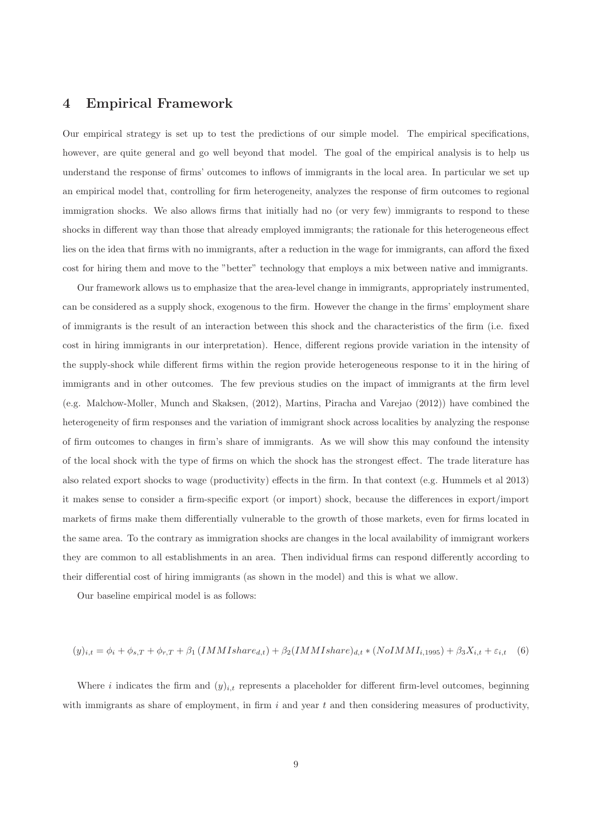#### 4 Empirical Framework

Our empirical strategy is set up to test the predictions of our simple model. The empirical specifications, however, are quite general and go well beyond that model. The goal of the empirical analysis is to help us understand the response of firms' outcomes to inflows of immigrants in the local area. In particular we set up an empirical model that, controlling for firm heterogeneity, analyzes the response of firm outcomes to regional immigration shocks. We also allows firms that initially had no (or very few) immigrants to respond to these shocks in different way than those that already employed immigrants; the rationale for this heterogeneous effect lies on the idea that firms with no immigrants, after a reduction in the wage for immigrants, can afford the fixed cost for hiring them and move to the "better" technology that employs a mix between native and immigrants.

Our framework allows us to emphasize that the area-level change in immigrants, appropriately instrumented, can be considered as a supply shock, exogenous to the firm. However the change in the firms' employment share of immigrants is the result of an interaction between this shock and the characteristics of the firm (i.e. fixed cost in hiring immigrants in our interpretation). Hence, different regions provide variation in the intensity of the supply-shock while different firms within the region provide heterogeneous response to it in the hiring of immigrants and in other outcomes. The few previous studies on the impact of immigrants at the firm level (e.g. Malchow-Moller, Munch and Skaksen, (2012), Martins, Piracha and Varejao (2012)) have combined the heterogeneity of firm responses and the variation of immigrant shock across localities by analyzing the response of firm outcomes to changes in firm's share of immigrants. As we will show this may confound the intensity of the local shock with the type of firms on which the shock has the strongest effect. The trade literature has also related export shocks to wage (productivity) effects in the firm. In that context (e.g. Hummels et al 2013) it makes sense to consider a firm-specific export (or import) shock, because the differences in export/import markets of firms make them differentially vulnerable to the growth of those markets, even for firms located in the same area. To the contrary as immigration shocks are changes in the local availability of immigrant workers they are common to all establishments in an area. Then individual firms can respond differently according to their differential cost of hiring immigrants (as shown in the model) and this is what we allow.

Our baseline empirical model is as follows:

$$
(y)_{i,t} = \phi_i + \phi_{s,T} + \phi_{r,T} + \beta_1 (IMMIshare_{d,t}) + \beta_2 (IMMIshare)_{d,t} * (NoIMMI_{i,1995}) + \beta_3 X_{i,t} + \varepsilon_{i,t} \quad (6)
$$

Where i indicates the firm and  $(y)_{i,t}$  represents a placeholder for different firm-level outcomes, beginning with immigrants as share of employment, in firm i and year t and then considering measures of productivity,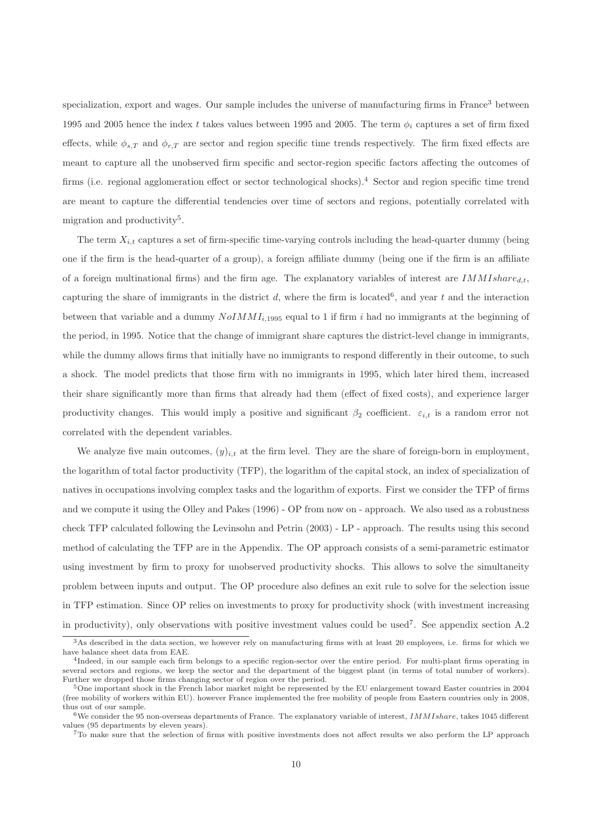specialization, export and wages. Our sample includes the universe of manufacturing firms in France<sup>3</sup> between 1995 and 2005 hence the index t takes values between 1995 and 2005. The term  $\phi_i$  captures a set of firm fixed effects, while  $\phi_{s,T}$  and  $\phi_{r,T}$  are sector and region specific time trends respectively. The firm fixed effects are meant to capture all the unobserved firm specific and sector-region specific factors affecting the outcomes of firms (i.e. regional agglomeration effect or sector technological shocks).<sup>4</sup> Sector and region specific time trend are meant to capture the differential tendencies over time of sectors and regions, potentially correlated with migration and productivity<sup>5</sup>.

The term  $X_{i,t}$  captures a set of firm-specific time-varying controls including the head-quarter dummy (being one if the firm is the head-quarter of a group), a foreign affiliate dummy (being one if the firm is an affiliate of a foreign multinational firms) and the firm age. The explanatory variables of interest are  $IMMIshare_{d,t}$ , capturing the share of immigrants in the district  $d$ , where the firm is located<sup>6</sup>, and year t and the interaction between that variable and a dummy  $NoIMMI<sub>i,1995</sub>$  equal to 1 if firm i had no immigrants at the beginning of the period, in 1995. Notice that the change of immigrant share captures the district-level change in immigrants, while the dummy allows firms that initially have no immigrants to respond differently in their outcome, to such a shock. The model predicts that those firm with no immigrants in 1995, which later hired them, increased their share significantly more than firms that already had them (effect of fixed costs), and experience larger productivity changes. This would imply a positive and significant  $\beta_2$  coefficient.  $\varepsilon_{i,t}$  is a random error not correlated with the dependent variables.

We analyze five main outcomes,  $(y)_{i,t}$  at the firm level. They are the share of foreign-born in employment, the logarithm of total factor productivity (TFP), the logarithm of the capital stock, an index of specialization of natives in occupations involving complex tasks and the logarithm of exports. First we consider the TFP of firms and we compute it using the Olley and Pakes (1996) - OP from now on - approach. We also used as a robustness check TFP calculated following the Levinsohn and Petrin (2003) - LP - approach. The results using this second method of calculating the TFP are in the Appendix. The OP approach consists of a semi-parametric estimator using investment by firm to proxy for unobserved productivity shocks. This allows to solve the simultaneity problem between inputs and output. The OP procedure also defines an exit rule to solve for the selection issue in TFP estimation. Since OP relies on investments to proxy for productivity shock (with investment increasing in productivity), only observations with positive investment values could be used<sup>7</sup> . See appendix section A.2

 $3$ As described in the data section, we however rely on manufacturing firms with at least 20 employees, i.e. firms for which we have balance sheet data from EAE.

<sup>4</sup> Indeed, in our sample each firm belongs to a specific region-sector over the entire period. For multi-plant firms operating in several sectors and regions, we keep the sector and the department of the biggest plant (in terms of total number of workers). Further we dropped those firms changing sector of region over the period.

<sup>5</sup>One important shock in the French labor market might be represented by the EU enlargement toward Easter countries in 2004 (free mobility of workers within EU). however France implemented the free mobility of people from Eastern countries only in 2008, thus out of our sample.

 $6$ We consider the 95 non-overseas departments of France. The explanatory variable of interest, IMMIshare, takes 1045 different values (95 departments by eleven years).

 $7T\sigma$  make sure that the selection of firms with positive investments does not affect results we also perform the LP approach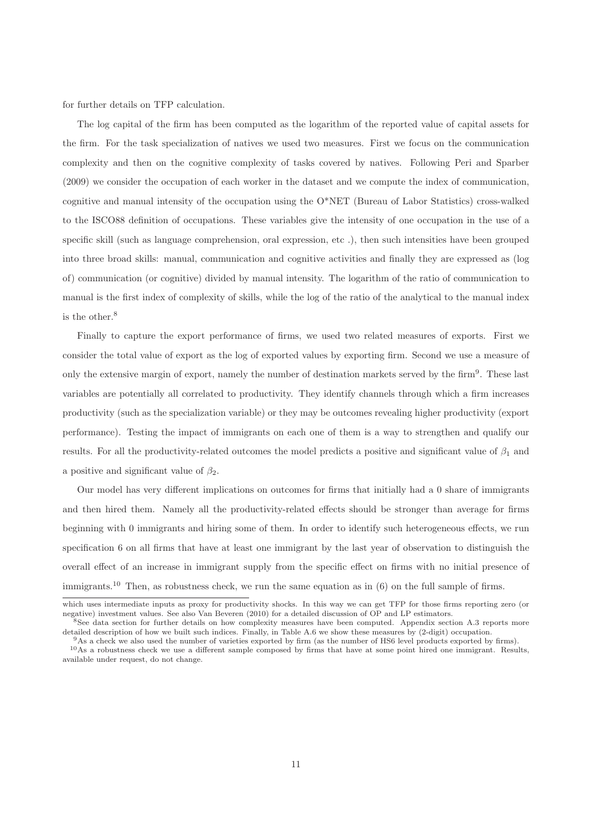for further details on TFP calculation.

The log capital of the firm has been computed as the logarithm of the reported value of capital assets for the firm. For the task specialization of natives we used two measures. First we focus on the communication complexity and then on the cognitive complexity of tasks covered by natives. Following Peri and Sparber (2009) we consider the occupation of each worker in the dataset and we compute the index of communication, cognitive and manual intensity of the occupation using the O\*NET (Bureau of Labor Statistics) cross-walked to the ISCO88 definition of occupations. These variables give the intensity of one occupation in the use of a specific skill (such as language comprehension, oral expression, etc .), then such intensities have been grouped into three broad skills: manual, communication and cognitive activities and finally they are expressed as (log of) communication (or cognitive) divided by manual intensity. The logarithm of the ratio of communication to manual is the first index of complexity of skills, while the log of the ratio of the analytical to the manual index is the other.<sup>8</sup>

Finally to capture the export performance of firms, we used two related measures of exports. First we consider the total value of export as the log of exported values by exporting firm. Second we use a measure of only the extensive margin of export, namely the number of destination markets served by the firm<sup>9</sup>. These last variables are potentially all correlated to productivity. They identify channels through which a firm increases productivity (such as the specialization variable) or they may be outcomes revealing higher productivity (export performance). Testing the impact of immigrants on each one of them is a way to strengthen and qualify our results. For all the productivity-related outcomes the model predicts a positive and significant value of  $\beta_1$  and a positive and significant value of  $\beta_2$ .

Our model has very different implications on outcomes for firms that initially had a 0 share of immigrants and then hired them. Namely all the productivity-related effects should be stronger than average for firms beginning with 0 immigrants and hiring some of them. In order to identify such heterogeneous effects, we run specification 6 on all firms that have at least one immigrant by the last year of observation to distinguish the overall effect of an increase in immigrant supply from the specific effect on firms with no initial presence of immigrants.<sup>10</sup> Then, as robustness check, we run the same equation as in (6) on the full sample of firms.

which uses intermediate inputs as proxy for productivity shocks. In this way we can get TFP for those firms reporting zero (or negative) investment values. See also Van Beveren (2010) for a detailed discussion of OP and LP estimators.

<sup>8</sup>See data section for further details on how complexity measures have been computed. Appendix section A.3 reports more detailed description of how we built such indices. Finally, in Table A.6 we show these measures by (2-digit) occupation.

<sup>9</sup>As a check we also used the number of varieties exported by firm (as the number of HS6 level products exported by firms). <sup>10</sup>As a robustness check we use a different sample composed by firms that have at some point hired one immigrant. Results,

available under request, do not change.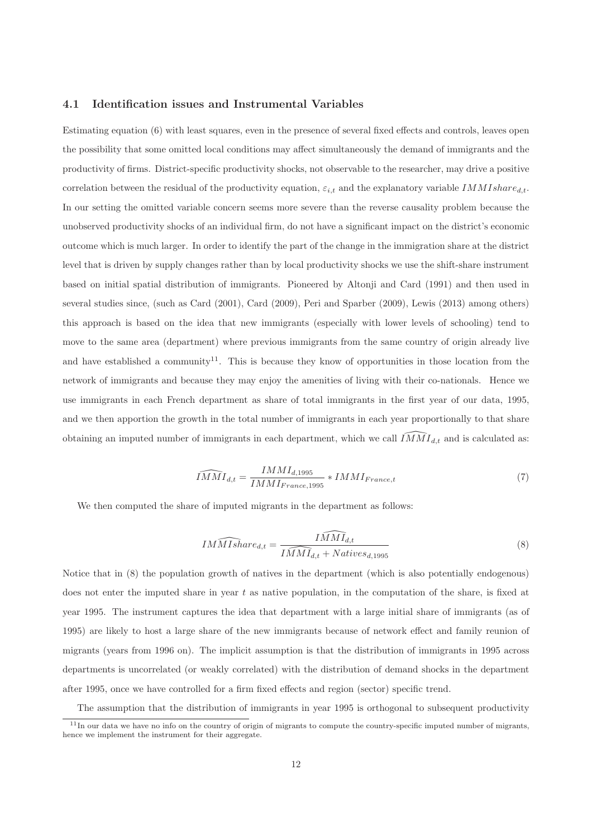#### 4.1 Identification issues and Instrumental Variables

Estimating equation (6) with least squares, even in the presence of several fixed effects and controls, leaves open the possibility that some omitted local conditions may affect simultaneously the demand of immigrants and the productivity of firms. District-specific productivity shocks, not observable to the researcher, may drive a positive correlation between the residual of the productivity equation,  $\varepsilon_{i,t}$  and the explanatory variable IMMIshare<sub>d,t</sub>. In our setting the omitted variable concern seems more severe than the reverse causality problem because the unobserved productivity shocks of an individual firm, do not have a significant impact on the district's economic outcome which is much larger. In order to identify the part of the change in the immigration share at the district level that is driven by supply changes rather than by local productivity shocks we use the shift-share instrument based on initial spatial distribution of immigrants. Pioneered by Altonji and Card (1991) and then used in several studies since, (such as Card (2001), Card (2009), Peri and Sparber (2009), Lewis (2013) among others) this approach is based on the idea that new immigrants (especially with lower levels of schooling) tend to move to the same area (department) where previous immigrants from the same country of origin already live and have established a community<sup>11</sup>. This is because they know of opportunities in those location from the network of immigrants and because they may enjoy the amenities of living with their co-nationals. Hence we use immigrants in each French department as share of total immigrants in the first year of our data, 1995, and we then apportion the growth in the total number of immigrants in each year proportionally to that share obtaining an imputed number of immigrants in each department, which we call  $IMMI_{d,t}$  and is calculated as:

$$
\widehat{IMM}I_{d,t} = \frac{IMMI_{d,1995}}{IMMI_{France,1995}} * IMMI_{France,t}
$$
\n
$$
\tag{7}
$$

We then computed the share of imputed migrants in the department as follows:

$$
IMMIshare_{d,t} = \frac{IMMI_{d,t}}{IMMI_{d,t} + Natives_{d,1995}}
$$
\n
$$
(8)
$$

Notice that in (8) the population growth of natives in the department (which is also potentially endogenous) does not enter the imputed share in year  $t$  as native population, in the computation of the share, is fixed at year 1995. The instrument captures the idea that department with a large initial share of immigrants (as of 1995) are likely to host a large share of the new immigrants because of network effect and family reunion of migrants (years from 1996 on). The implicit assumption is that the distribution of immigrants in 1995 across departments is uncorrelated (or weakly correlated) with the distribution of demand shocks in the department after 1995, once we have controlled for a firm fixed effects and region (sector) specific trend.

The assumption that the distribution of immigrants in year 1995 is orthogonal to subsequent productivity

<sup>&</sup>lt;sup>11</sup>In our data we have no info on the country of origin of migrants to compute the country-specific imputed number of migrants, hence we implement the instrument for their aggregate.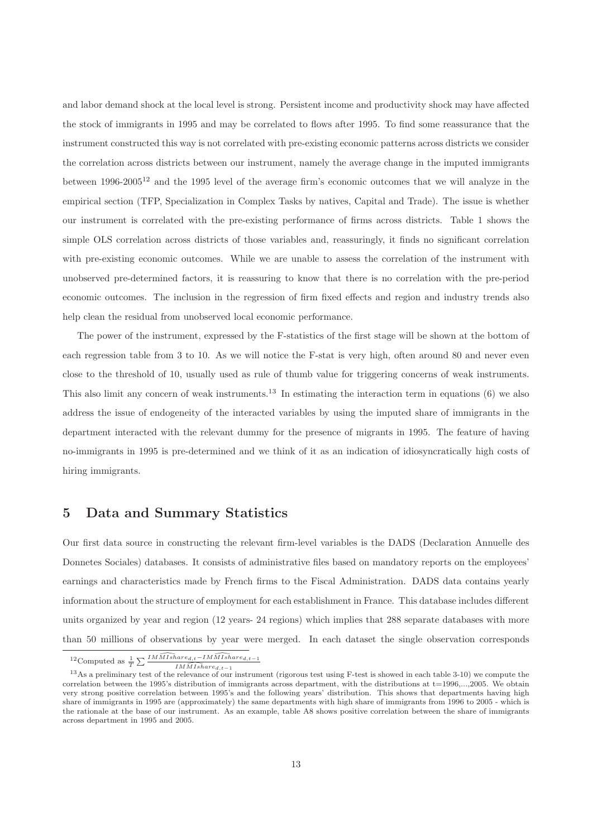and labor demand shock at the local level is strong. Persistent income and productivity shock may have affected the stock of immigrants in 1995 and may be correlated to flows after 1995. To find some reassurance that the instrument constructed this way is not correlated with pre-existing economic patterns across districts we consider the correlation across districts between our instrument, namely the average change in the imputed immigrants between  $1996-2005^{12}$  and the 1995 level of the average firm's economic outcomes that we will analyze in the empirical section (TFP, Specialization in Complex Tasks by natives, Capital and Trade). The issue is whether our instrument is correlated with the pre-existing performance of firms across districts. Table 1 shows the simple OLS correlation across districts of those variables and, reassuringly, it finds no significant correlation with pre-existing economic outcomes. While we are unable to assess the correlation of the instrument with unobserved pre-determined factors, it is reassuring to know that there is no correlation with the pre-period economic outcomes. The inclusion in the regression of firm fixed effects and region and industry trends also help clean the residual from unobserved local economic performance.

The power of the instrument, expressed by the F-statistics of the first stage will be shown at the bottom of each regression table from 3 to 10. As we will notice the F-stat is very high, often around 80 and never even close to the threshold of 10, usually used as rule of thumb value for triggering concerns of weak instruments. This also limit any concern of weak instruments.<sup>13</sup> In estimating the interaction term in equations (6) we also address the issue of endogeneity of the interacted variables by using the imputed share of immigrants in the department interacted with the relevant dummy for the presence of migrants in 1995. The feature of having no-immigrants in 1995 is pre-determined and we think of it as an indication of idiosyncratically high costs of hiring immigrants.

#### 5 Data and Summary Statistics

Our first data source in constructing the relevant firm-level variables is the DADS (Declaration Annuelle des Donnetes Sociales) databases. It consists of administrative files based on mandatory reports on the employees' earnings and characteristics made by French firms to the Fiscal Administration. DADS data contains yearly information about the structure of employment for each establishment in France. This database includes different units organized by year and region (12 years- 24 regions) which implies that 288 separate databases with more than 50 millions of observations by year were merged. In each dataset the single observation corresponds

<sup>&</sup>lt;sup>12</sup>Computed as  $\frac{1}{T} \sum \frac{IMMIshare_{d,t}-IMMIshare_{d,t-1}}{IMMIs here_{d,t-1}}$ 

 $\widehat{IMMIshare}_{d,t-1}$ 

<sup>&</sup>lt;sup>13</sup>As a preliminary test of the relevance of our instrument (rigorous test using F-test is showed in each table 3-10) we compute the correlation between the 1995's distribution of immigrants across department, with the distributions at t=1996,...,2005. We obtain very strong positive correlation between 1995's and the following years' distribution. This shows that departments having high share of immigrants in 1995 are (approximately) the same departments with high share of immigrants from 1996 to 2005 - which is the rationale at the base of our instrument. As an example, table A8 shows positive correlation between the share of immigrants across department in 1995 and 2005.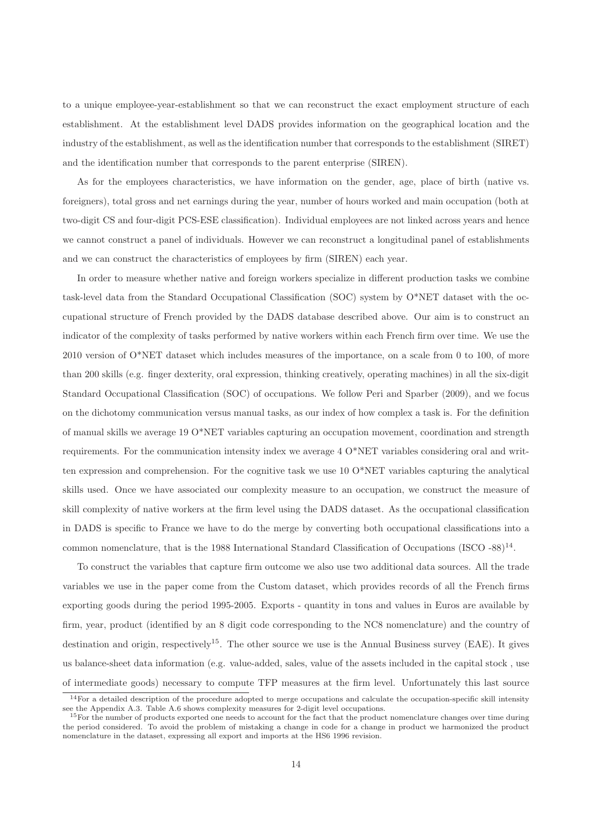to a unique employee-year-establishment so that we can reconstruct the exact employment structure of each establishment. At the establishment level DADS provides information on the geographical location and the industry of the establishment, as well as the identification number that corresponds to the establishment (SIRET) and the identification number that corresponds to the parent enterprise (SIREN).

As for the employees characteristics, we have information on the gender, age, place of birth (native vs. foreigners), total gross and net earnings during the year, number of hours worked and main occupation (both at two-digit CS and four-digit PCS-ESE classification). Individual employees are not linked across years and hence we cannot construct a panel of individuals. However we can reconstruct a longitudinal panel of establishments and we can construct the characteristics of employees by firm (SIREN) each year.

In order to measure whether native and foreign workers specialize in different production tasks we combine task-level data from the Standard Occupational Classification (SOC) system by O\*NET dataset with the occupational structure of French provided by the DADS database described above. Our aim is to construct an indicator of the complexity of tasks performed by native workers within each French firm over time. We use the 2010 version of O\*NET dataset which includes measures of the importance, on a scale from 0 to 100, of more than 200 skills (e.g. finger dexterity, oral expression, thinking creatively, operating machines) in all the six-digit Standard Occupational Classification (SOC) of occupations. We follow Peri and Sparber (2009), and we focus on the dichotomy communication versus manual tasks, as our index of how complex a task is. For the definition of manual skills we average 19 O\*NET variables capturing an occupation movement, coordination and strength requirements. For the communication intensity index we average 4 O\*NET variables considering oral and written expression and comprehension. For the cognitive task we use  $100^*$ NET variables capturing the analytical skills used. Once we have associated our complexity measure to an occupation, we construct the measure of skill complexity of native workers at the firm level using the DADS dataset. As the occupational classification in DADS is specific to France we have to do the merge by converting both occupational classifications into a common nomenclature, that is the 1988 International Standard Classification of Occupations (ISCO -88)<sup>14</sup>.

To construct the variables that capture firm outcome we also use two additional data sources. All the trade variables we use in the paper come from the Custom dataset, which provides records of all the French firms exporting goods during the period 1995-2005. Exports - quantity in tons and values in Euros are available by firm, year, product (identified by an 8 digit code corresponding to the NC8 nomenclature) and the country of destination and origin, respectively<sup>15</sup>. The other source we use is the Annual Business survey (EAE). It gives us balance-sheet data information (e.g. value-added, sales, value of the assets included in the capital stock , use of intermediate goods) necessary to compute TFP measures at the firm level. Unfortunately this last source

 $14$  For a detailed description of the procedure adopted to merge occupations and calculate the occupation-specific skill intensity see the Appendix A.3. Table A.6 shows complexity measures for 2-digit level occupations.

<sup>&</sup>lt;sup>15</sup>For the number of products exported one needs to account for the fact that the product nomenclature changes over time during the period considered. To avoid the problem of mistaking a change in code for a change in product we harmonized the product nomenclature in the dataset, expressing all export and imports at the HS6 1996 revision.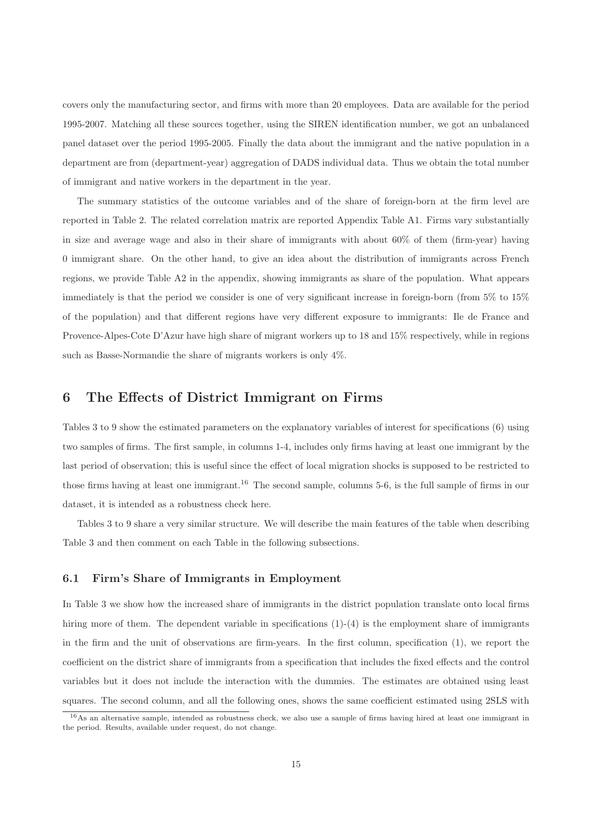covers only the manufacturing sector, and firms with more than 20 employees. Data are available for the period 1995-2007. Matching all these sources together, using the SIREN identification number, we got an unbalanced panel dataset over the period 1995-2005. Finally the data about the immigrant and the native population in a department are from (department-year) aggregation of DADS individual data. Thus we obtain the total number of immigrant and native workers in the department in the year.

The summary statistics of the outcome variables and of the share of foreign-born at the firm level are reported in Table 2. The related correlation matrix are reported Appendix Table A1. Firms vary substantially in size and average wage and also in their share of immigrants with about 60% of them (firm-year) having 0 immigrant share. On the other hand, to give an idea about the distribution of immigrants across French regions, we provide Table A2 in the appendix, showing immigrants as share of the population. What appears immediately is that the period we consider is one of very significant increase in foreign-born (from 5% to 15% of the population) and that different regions have very different exposure to immigrants: Ile de France and Provence-Alpes-Cote D'Azur have high share of migrant workers up to 18 and 15% respectively, while in regions such as Basse-Normandie the share of migrants workers is only 4%.

#### 6 The Effects of District Immigrant on Firms

Tables 3 to 9 show the estimated parameters on the explanatory variables of interest for specifications (6) using two samples of firms. The first sample, in columns 1-4, includes only firms having at least one immigrant by the last period of observation; this is useful since the effect of local migration shocks is supposed to be restricted to those firms having at least one immigrant.<sup>16</sup> The second sample, columns 5-6, is the full sample of firms in our dataset, it is intended as a robustness check here.

Tables 3 to 9 share a very similar structure. We will describe the main features of the table when describing Table 3 and then comment on each Table in the following subsections.

#### 6.1 Firm's Share of Immigrants in Employment

In Table 3 we show how the increased share of immigrants in the district population translate onto local firms hiring more of them. The dependent variable in specifications (1)-(4) is the employment share of immigrants in the firm and the unit of observations are firm-years. In the first column, specification (1), we report the coefficient on the district share of immigrants from a specification that includes the fixed effects and the control variables but it does not include the interaction with the dummies. The estimates are obtained using least squares. The second column, and all the following ones, shows the same coefficient estimated using 2SLS with

<sup>16</sup>As an alternative sample, intended as robustness check, we also use a sample of firms having hired at least one immigrant in the period. Results, available under request, do not change.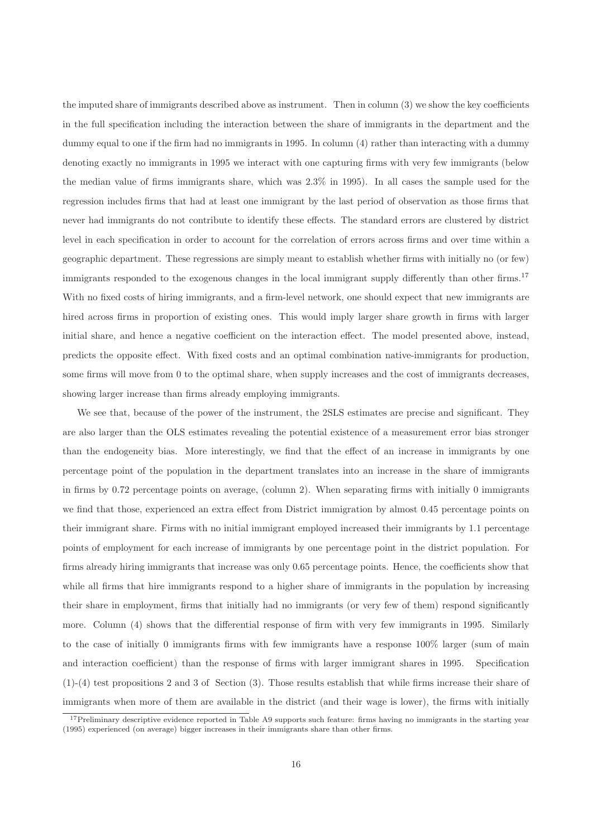the imputed share of immigrants described above as instrument. Then in column (3) we show the key coefficients in the full specification including the interaction between the share of immigrants in the department and the dummy equal to one if the firm had no immigrants in 1995. In column (4) rather than interacting with a dummy denoting exactly no immigrants in 1995 we interact with one capturing firms with very few immigrants (below the median value of firms immigrants share, which was 2.3% in 1995). In all cases the sample used for the regression includes firms that had at least one immigrant by the last period of observation as those firms that never had immigrants do not contribute to identify these effects. The standard errors are clustered by district level in each specification in order to account for the correlation of errors across firms and over time within a geographic department. These regressions are simply meant to establish whether firms with initially no (or few) immigrants responded to the exogenous changes in the local immigrant supply differently than other firms.<sup>17</sup> With no fixed costs of hiring immigrants, and a firm-level network, one should expect that new immigrants are hired across firms in proportion of existing ones. This would imply larger share growth in firms with larger initial share, and hence a negative coefficient on the interaction effect. The model presented above, instead, predicts the opposite effect. With fixed costs and an optimal combination native-immigrants for production, some firms will move from 0 to the optimal share, when supply increases and the cost of immigrants decreases, showing larger increase than firms already employing immigrants.

We see that, because of the power of the instrument, the 2SLS estimates are precise and significant. They are also larger than the OLS estimates revealing the potential existence of a measurement error bias stronger than the endogeneity bias. More interestingly, we find that the effect of an increase in immigrants by one percentage point of the population in the department translates into an increase in the share of immigrants in firms by 0.72 percentage points on average, (column 2). When separating firms with initially 0 immigrants we find that those, experienced an extra effect from District immigration by almost 0.45 percentage points on their immigrant share. Firms with no initial immigrant employed increased their immigrants by 1.1 percentage points of employment for each increase of immigrants by one percentage point in the district population. For firms already hiring immigrants that increase was only 0.65 percentage points. Hence, the coefficients show that while all firms that hire immigrants respond to a higher share of immigrants in the population by increasing their share in employment, firms that initially had no immigrants (or very few of them) respond significantly more. Column (4) shows that the differential response of firm with very few immigrants in 1995. Similarly to the case of initially 0 immigrants firms with few immigrants have a response 100% larger (sum of main and interaction coefficient) than the response of firms with larger immigrant shares in 1995. Specification (1)-(4) test propositions 2 and 3 of Section (3). Those results establish that while firms increase their share of immigrants when more of them are available in the district (and their wage is lower), the firms with initially

<sup>&</sup>lt;sup>17</sup>Preliminary descriptive evidence reported in Table A9 supports such feature: firms having no immigrants in the starting year (1995) experienced (on average) bigger increases in their immigrants share than other firms.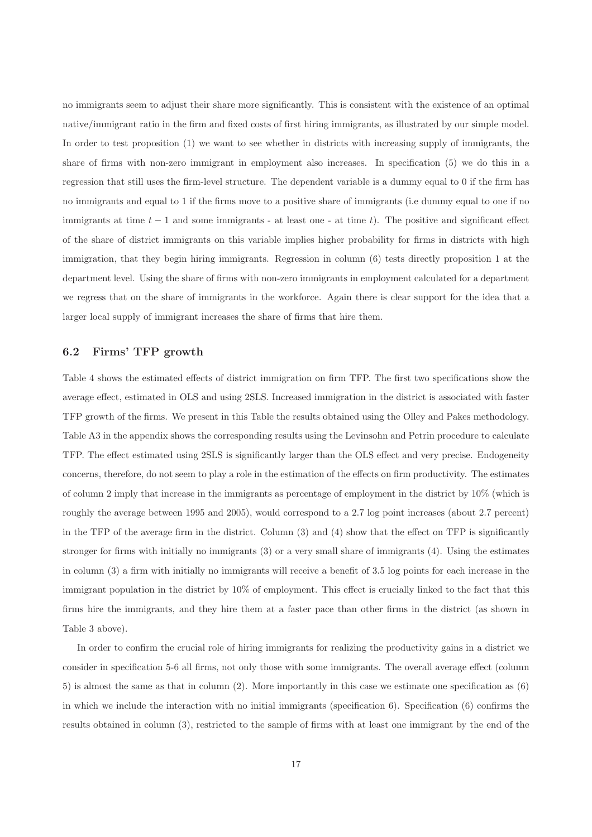no immigrants seem to adjust their share more significantly. This is consistent with the existence of an optimal native/immigrant ratio in the firm and fixed costs of first hiring immigrants, as illustrated by our simple model. In order to test proposition (1) we want to see whether in districts with increasing supply of immigrants, the share of firms with non-zero immigrant in employment also increases. In specification (5) we do this in a regression that still uses the firm-level structure. The dependent variable is a dummy equal to 0 if the firm has no immigrants and equal to 1 if the firms move to a positive share of immigrants (i.e dummy equal to one if no immigrants at time  $t-1$  and some immigrants - at least one - at time t). The positive and significant effect of the share of district immigrants on this variable implies higher probability for firms in districts with high immigration, that they begin hiring immigrants. Regression in column (6) tests directly proposition 1 at the department level. Using the share of firms with non-zero immigrants in employment calculated for a department we regress that on the share of immigrants in the workforce. Again there is clear support for the idea that a larger local supply of immigrant increases the share of firms that hire them.

#### 6.2 Firms' TFP growth

Table 4 shows the estimated effects of district immigration on firm TFP. The first two specifications show the average effect, estimated in OLS and using 2SLS. Increased immigration in the district is associated with faster TFP growth of the firms. We present in this Table the results obtained using the Olley and Pakes methodology. Table A3 in the appendix shows the corresponding results using the Levinsohn and Petrin procedure to calculate TFP. The effect estimated using 2SLS is significantly larger than the OLS effect and very precise. Endogeneity concerns, therefore, do not seem to play a role in the estimation of the effects on firm productivity. The estimates of column 2 imply that increase in the immigrants as percentage of employment in the district by 10% (which is roughly the average between 1995 and 2005), would correspond to a 2.7 log point increases (about 2.7 percent) in the TFP of the average firm in the district. Column (3) and (4) show that the effect on TFP is significantly stronger for firms with initially no immigrants (3) or a very small share of immigrants (4). Using the estimates in column (3) a firm with initially no immigrants will receive a benefit of 3.5 log points for each increase in the immigrant population in the district by 10% of employment. This effect is crucially linked to the fact that this firms hire the immigrants, and they hire them at a faster pace than other firms in the district (as shown in Table 3 above).

In order to confirm the crucial role of hiring immigrants for realizing the productivity gains in a district we consider in specification 5-6 all firms, not only those with some immigrants. The overall average effect (column 5) is almost the same as that in column (2). More importantly in this case we estimate one specification as (6) in which we include the interaction with no initial immigrants (specification  $6$ ). Specification  $(6)$  confirms the results obtained in column (3), restricted to the sample of firms with at least one immigrant by the end of the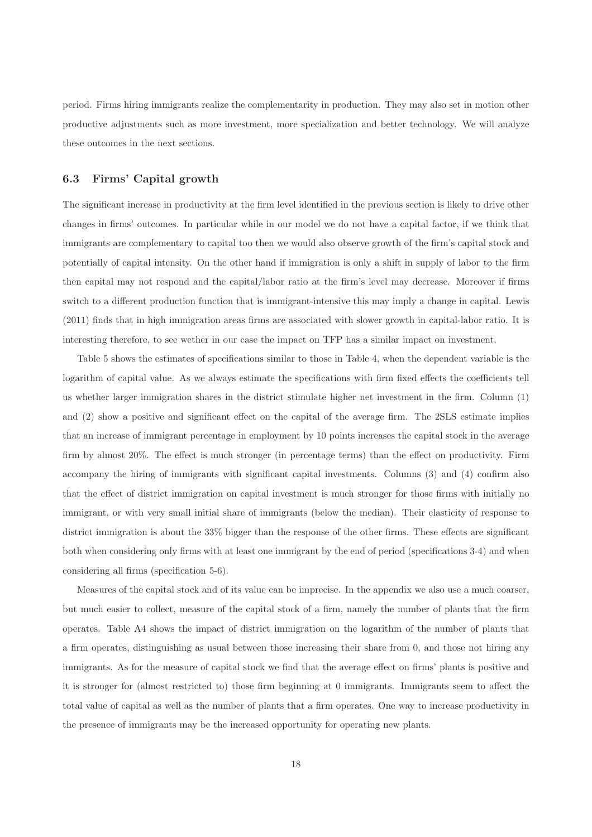period. Firms hiring immigrants realize the complementarity in production. They may also set in motion other productive adjustments such as more investment, more specialization and better technology. We will analyze these outcomes in the next sections.

#### 6.3 Firms' Capital growth

The significant increase in productivity at the firm level identified in the previous section is likely to drive other changes in firms' outcomes. In particular while in our model we do not have a capital factor, if we think that immigrants are complementary to capital too then we would also observe growth of the firm's capital stock and potentially of capital intensity. On the other hand if immigration is only a shift in supply of labor to the firm then capital may not respond and the capital/labor ratio at the firm's level may decrease. Moreover if firms switch to a different production function that is immigrant-intensive this may imply a change in capital. Lewis (2011) finds that in high immigration areas firms are associated with slower growth in capital-labor ratio. It is interesting therefore, to see wether in our case the impact on TFP has a similar impact on investment.

Table 5 shows the estimates of specifications similar to those in Table 4, when the dependent variable is the logarithm of capital value. As we always estimate the specifications with firm fixed effects the coefficients tell us whether larger immigration shares in the district stimulate higher net investment in the firm. Column (1) and (2) show a positive and significant effect on the capital of the average firm. The 2SLS estimate implies that an increase of immigrant percentage in employment by 10 points increases the capital stock in the average firm by almost 20%. The effect is much stronger (in percentage terms) than the effect on productivity. Firm accompany the hiring of immigrants with significant capital investments. Columns (3) and (4) confirm also that the effect of district immigration on capital investment is much stronger for those firms with initially no immigrant, or with very small initial share of immigrants (below the median). Their elasticity of response to district immigration is about the 33% bigger than the response of the other firms. These effects are significant both when considering only firms with at least one immigrant by the end of period (specifications 3-4) and when considering all firms (specification 5-6).

Measures of the capital stock and of its value can be imprecise. In the appendix we also use a much coarser, but much easier to collect, measure of the capital stock of a firm, namely the number of plants that the firm operates. Table A4 shows the impact of district immigration on the logarithm of the number of plants that a firm operates, distinguishing as usual between those increasing their share from 0, and those not hiring any immigrants. As for the measure of capital stock we find that the average effect on firms' plants is positive and it is stronger for (almost restricted to) those firm beginning at 0 immigrants. Immigrants seem to affect the total value of capital as well as the number of plants that a firm operates. One way to increase productivity in the presence of immigrants may be the increased opportunity for operating new plants.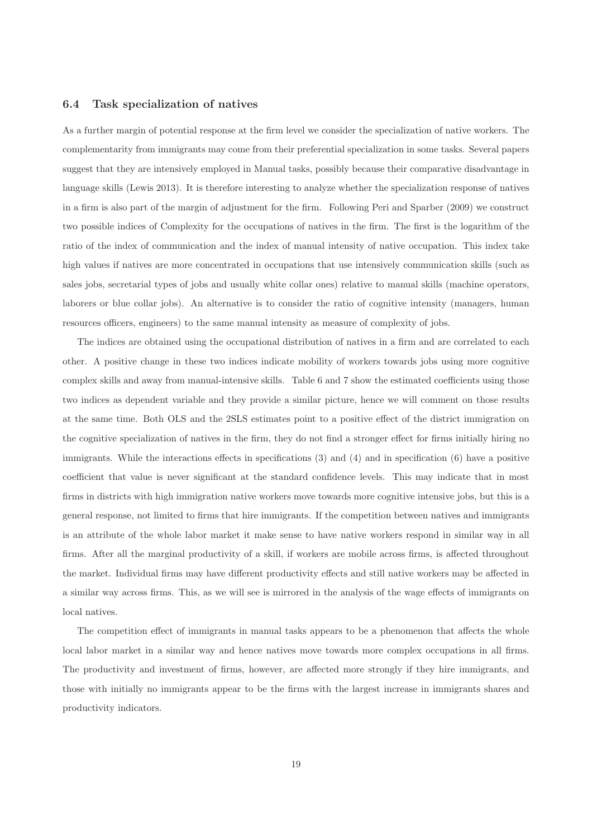#### 6.4 Task specialization of natives

As a further margin of potential response at the firm level we consider the specialization of native workers. The complementarity from immigrants may come from their preferential specialization in some tasks. Several papers suggest that they are intensively employed in Manual tasks, possibly because their comparative disadvantage in language skills (Lewis 2013). It is therefore interesting to analyze whether the specialization response of natives in a firm is also part of the margin of adjustment for the firm. Following Peri and Sparber (2009) we construct two possible indices of Complexity for the occupations of natives in the firm. The first is the logarithm of the ratio of the index of communication and the index of manual intensity of native occupation. This index take high values if natives are more concentrated in occupations that use intensively communication skills (such as sales jobs, secretarial types of jobs and usually white collar ones) relative to manual skills (machine operators, laborers or blue collar jobs). An alternative is to consider the ratio of cognitive intensity (managers, human resources officers, engineers) to the same manual intensity as measure of complexity of jobs.

The indices are obtained using the occupational distribution of natives in a firm and are correlated to each other. A positive change in these two indices indicate mobility of workers towards jobs using more cognitive complex skills and away from manual-intensive skills. Table 6 and 7 show the estimated coefficients using those two indices as dependent variable and they provide a similar picture, hence we will comment on those results at the same time. Both OLS and the 2SLS estimates point to a positive effect of the district immigration on the cognitive specialization of natives in the firm, they do not find a stronger effect for firms initially hiring no immigrants. While the interactions effects in specifications (3) and (4) and in specification (6) have a positive coefficient that value is never significant at the standard confidence levels. This may indicate that in most firms in districts with high immigration native workers move towards more cognitive intensive jobs, but this is a general response, not limited to firms that hire immigrants. If the competition between natives and immigrants is an attribute of the whole labor market it make sense to have native workers respond in similar way in all firms. After all the marginal productivity of a skill, if workers are mobile across firms, is affected throughout the market. Individual firms may have different productivity effects and still native workers may be affected in a similar way across firms. This, as we will see is mirrored in the analysis of the wage effects of immigrants on local natives.

The competition effect of immigrants in manual tasks appears to be a phenomenon that affects the whole local labor market in a similar way and hence natives move towards more complex occupations in all firms. The productivity and investment of firms, however, are affected more strongly if they hire immigrants, and those with initially no immigrants appear to be the firms with the largest increase in immigrants shares and productivity indicators.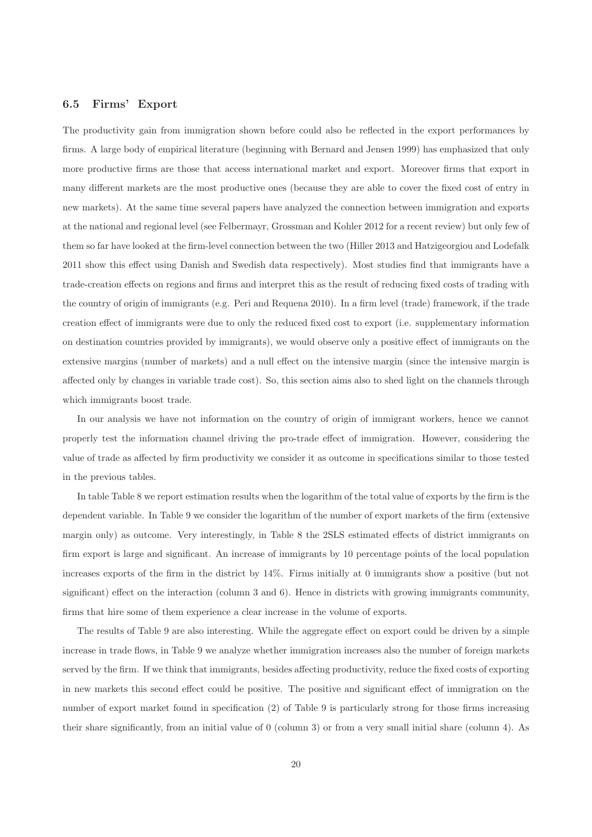#### 6.5 Firms' Export

The productivity gain from immigration shown before could also be reflected in the export performances by firms. A large body of empirical literature (beginning with Bernard and Jensen 1999) has emphasized that only more productive firms are those that access international market and export. Moreover firms that export in many different markets are the most productive ones (because they are able to cover the fixed cost of entry in new markets). At the same time several papers have analyzed the connection between immigration and exports at the national and regional level (see Felbermayr, Grossman and Kohler 2012 for a recent review) but only few of them so far have looked at the firm-level connection between the two (Hiller 2013 and Hatzigeorgiou and Lodefalk 2011 show this effect using Danish and Swedish data respectively). Most studies find that immigrants have a trade-creation effects on regions and firms and interpret this as the result of reducing fixed costs of trading with the country of origin of immigrants (e.g. Peri and Requena 2010). In a firm level (trade) framework, if the trade creation effect of immigrants were due to only the reduced fixed cost to export (i.e. supplementary information on destination countries provided by immigrants), we would observe only a positive effect of immigrants on the extensive margins (number of markets) and a null effect on the intensive margin (since the intensive margin is affected only by changes in variable trade cost). So, this section aims also to shed light on the channels through which immigrants boost trade.

In our analysis we have not information on the country of origin of immigrant workers, hence we cannot properly test the information channel driving the pro-trade effect of immigration. However, considering the value of trade as affected by firm productivity we consider it as outcome in specifications similar to those tested in the previous tables.

In table Table 8 we report estimation results when the logarithm of the total value of exports by the firm is the dependent variable. In Table 9 we consider the logarithm of the number of export markets of the firm (extensive margin only) as outcome. Very interestingly, in Table 8 the 2SLS estimated effects of district immigrants on firm export is large and significant. An increase of immigrants by 10 percentage points of the local population increases exports of the firm in the district by 14%. Firms initially at 0 immigrants show a positive (but not significant) effect on the interaction (column 3 and 6). Hence in districts with growing immigrants community, firms that hire some of them experience a clear increase in the volume of exports.

The results of Table 9 are also interesting. While the aggregate effect on export could be driven by a simple increase in trade flows, in Table 9 we analyze whether immigration increases also the number of foreign markets served by the firm. If we think that immigrants, besides affecting productivity, reduce the fixed costs of exporting in new markets this second effect could be positive. The positive and significant effect of immigration on the number of export market found in specification (2) of Table 9 is particularly strong for those firms increasing their share significantly, from an initial value of 0 (column 3) or from a very small initial share (column 4). As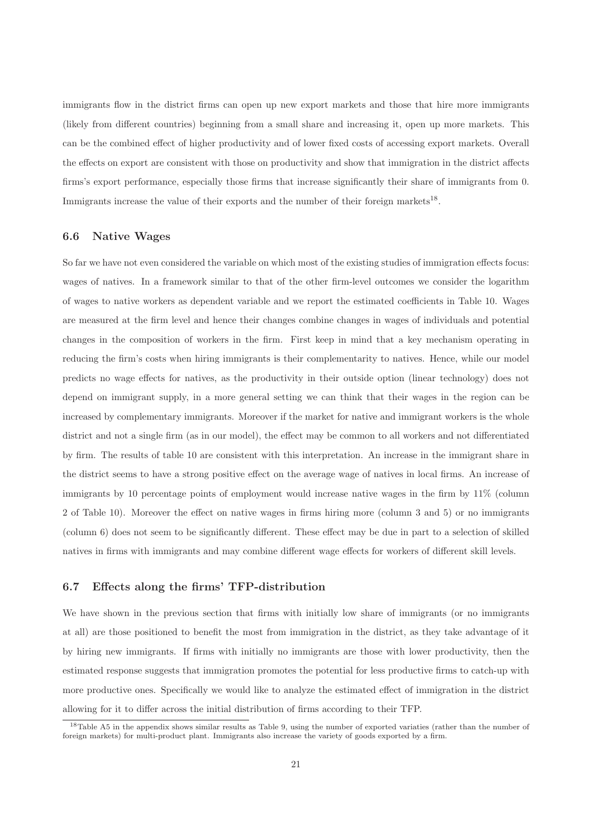immigrants flow in the district firms can open up new export markets and those that hire more immigrants (likely from different countries) beginning from a small share and increasing it, open up more markets. This can be the combined effect of higher productivity and of lower fixed costs of accessing export markets. Overall the effects on export are consistent with those on productivity and show that immigration in the district affects firms's export performance, especially those firms that increase significantly their share of immigrants from 0. Immigrants increase the value of their exports and the number of their foreign markets<sup>18</sup>.

#### 6.6 Native Wages

So far we have not even considered the variable on which most of the existing studies of immigration effects focus: wages of natives. In a framework similar to that of the other firm-level outcomes we consider the logarithm of wages to native workers as dependent variable and we report the estimated coefficients in Table 10. Wages are measured at the firm level and hence their changes combine changes in wages of individuals and potential changes in the composition of workers in the firm. First keep in mind that a key mechanism operating in reducing the firm's costs when hiring immigrants is their complementarity to natives. Hence, while our model predicts no wage effects for natives, as the productivity in their outside option (linear technology) does not depend on immigrant supply, in a more general setting we can think that their wages in the region can be increased by complementary immigrants. Moreover if the market for native and immigrant workers is the whole district and not a single firm (as in our model), the effect may be common to all workers and not differentiated by firm. The results of table 10 are consistent with this interpretation. An increase in the immigrant share in the district seems to have a strong positive effect on the average wage of natives in local firms. An increase of immigrants by 10 percentage points of employment would increase native wages in the firm by 11% (column 2 of Table 10). Moreover the effect on native wages in firms hiring more (column 3 and 5) or no immigrants (column 6) does not seem to be significantly different. These effect may be due in part to a selection of skilled natives in firms with immigrants and may combine different wage effects for workers of different skill levels.

#### 6.7 Effects along the firms' TFP-distribution

We have shown in the previous section that firms with initially low share of immigrants (or no immigrants at all) are those positioned to benefit the most from immigration in the district, as they take advantage of it by hiring new immigrants. If firms with initially no immigrants are those with lower productivity, then the estimated response suggests that immigration promotes the potential for less productive firms to catch-up with more productive ones. Specifically we would like to analyze the estimated effect of immigration in the district allowing for it to differ across the initial distribution of firms according to their TFP.

<sup>18</sup>Table A5 in the appendix shows similar results as Table 9, using the number of exported variaties (rather than the number of foreign markets) for multi-product plant. Immigrants also increase the variety of goods exported by a firm.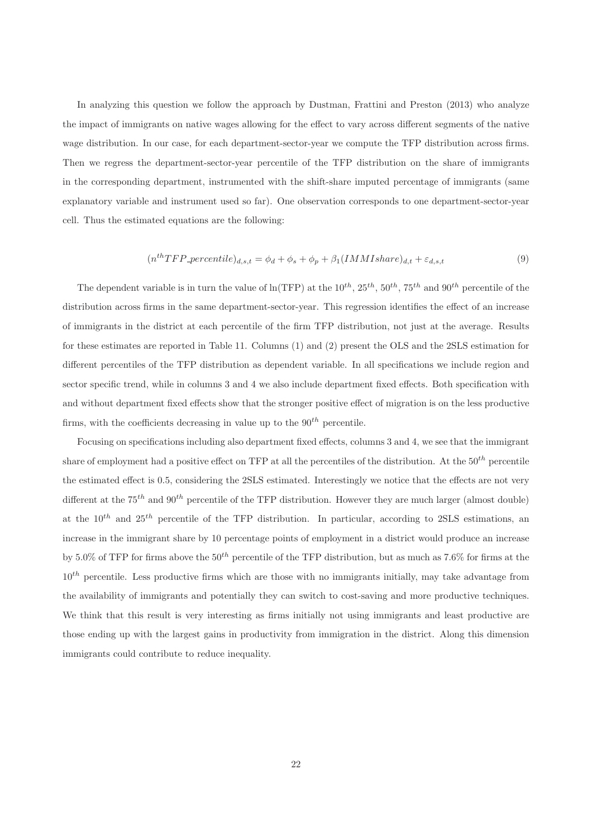In analyzing this question we follow the approach by Dustman, Frattini and Preston (2013) who analyze the impact of immigrants on native wages allowing for the effect to vary across different segments of the native wage distribution. In our case, for each department-sector-year we compute the TFP distribution across firms. Then we regress the department-sector-year percentile of the TFP distribution on the share of immigrants in the corresponding department, instrumented with the shift-share imputed percentage of immigrants (same explanatory variable and instrument used so far). One observation corresponds to one department-sector-year cell. Thus the estimated equations are the following:

$$
(nth TFP\_percentile)_{d,s,t} = \phi_d + \phi_s + \phi_p + \beta_1 (IMMI share)_{d,t} + \varepsilon_{d,s,t}
$$
\n
$$
(9)
$$

The dependent variable is in turn the value of  $\ln(TFP)$  at the  $10^{th}$ ,  $25^{th}$ ,  $50^{th}$ ,  $75^{th}$  and  $90^{th}$  percentile of the distribution across firms in the same department-sector-year. This regression identifies the effect of an increase of immigrants in the district at each percentile of the firm TFP distribution, not just at the average. Results for these estimates are reported in Table 11. Columns (1) and (2) present the OLS and the 2SLS estimation for different percentiles of the TFP distribution as dependent variable. In all specifications we include region and sector specific trend, while in columns 3 and 4 we also include department fixed effects. Both specification with and without department fixed effects show that the stronger positive effect of migration is on the less productive firms, with the coefficients decreasing in value up to the  $90^{th}$  percentile.

Focusing on specifications including also department fixed effects, columns 3 and 4, we see that the immigrant share of employment had a positive effect on TFP at all the percentiles of the distribution. At the  $50<sup>th</sup>$  percentile the estimated effect is 0.5, considering the 2SLS estimated. Interestingly we notice that the effects are not very different at the  $75<sup>th</sup>$  and  $90<sup>th</sup>$  percentile of the TFP distribution. However they are much larger (almost double) at the  $10^{th}$  and  $25^{th}$  percentile of the TFP distribution. In particular, according to 2SLS estimations, an increase in the immigrant share by 10 percentage points of employment in a district would produce an increase by 5.0% of TFP for firms above the  $50^{th}$  percentile of the TFP distribution, but as much as 7.6% for firms at the  $10^{th}$  percentile. Less productive firms which are those with no immigrants initially, may take advantage from the availability of immigrants and potentially they can switch to cost-saving and more productive techniques. We think that this result is very interesting as firms initially not using immigrants and least productive are those ending up with the largest gains in productivity from immigration in the district. Along this dimension immigrants could contribute to reduce inequality.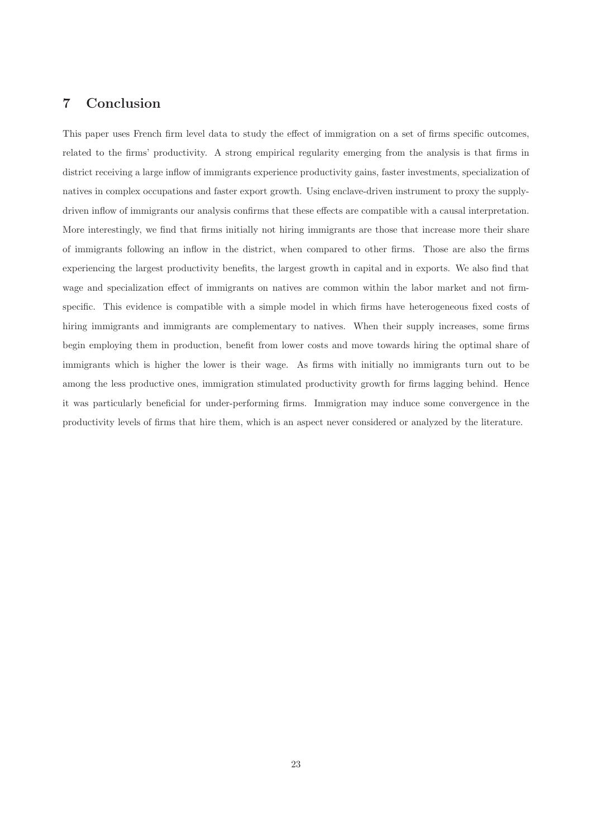#### 7 Conclusion

This paper uses French firm level data to study the effect of immigration on a set of firms specific outcomes, related to the firms' productivity. A strong empirical regularity emerging from the analysis is that firms in district receiving a large inflow of immigrants experience productivity gains, faster investments, specialization of natives in complex occupations and faster export growth. Using enclave-driven instrument to proxy the supplydriven inflow of immigrants our analysis confirms that these effects are compatible with a causal interpretation. More interestingly, we find that firms initially not hiring immigrants are those that increase more their share of immigrants following an inflow in the district, when compared to other firms. Those are also the firms experiencing the largest productivity benefits, the largest growth in capital and in exports. We also find that wage and specialization effect of immigrants on natives are common within the labor market and not firmspecific. This evidence is compatible with a simple model in which firms have heterogeneous fixed costs of hiring immigrants and immigrants are complementary to natives. When their supply increases, some firms begin employing them in production, benefit from lower costs and move towards hiring the optimal share of immigrants which is higher the lower is their wage. As firms with initially no immigrants turn out to be among the less productive ones, immigration stimulated productivity growth for firms lagging behind. Hence it was particularly beneficial for under-performing firms. Immigration may induce some convergence in the productivity levels of firms that hire them, which is an aspect never considered or analyzed by the literature.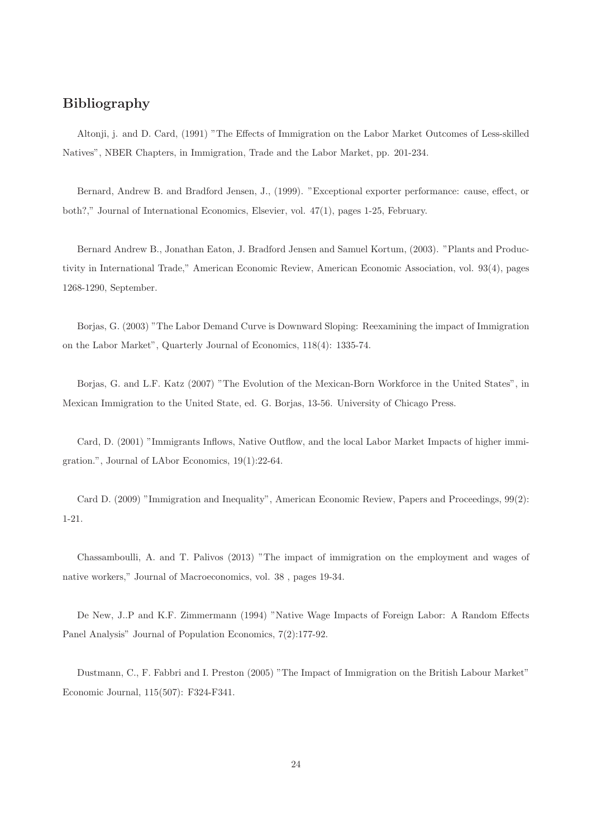#### Bibliography

Altonji, j. and D. Card, (1991) "The Effects of Immigration on the Labor Market Outcomes of Less-skilled Natives", NBER Chapters, in Immigration, Trade and the Labor Market, pp. 201-234.

Bernard, Andrew B. and Bradford Jensen, J., (1999). "Exceptional exporter performance: cause, effect, or both?," Journal of International Economics, Elsevier, vol. 47(1), pages 1-25, February.

Bernard Andrew B., Jonathan Eaton, J. Bradford Jensen and Samuel Kortum, (2003). "Plants and Productivity in International Trade," American Economic Review, American Economic Association, vol. 93(4), pages 1268-1290, September.

Borjas, G. (2003) "The Labor Demand Curve is Downward Sloping: Reexamining the impact of Immigration on the Labor Market", Quarterly Journal of Economics, 118(4): 1335-74.

Borjas, G. and L.F. Katz (2007) "The Evolution of the Mexican-Born Workforce in the United States", in Mexican Immigration to the United State, ed. G. Borjas, 13-56. University of Chicago Press.

Card, D. (2001) "Immigrants Inflows, Native Outflow, and the local Labor Market Impacts of higher immigration.", Journal of LAbor Economics, 19(1):22-64.

Card D. (2009) "Immigration and Inequality", American Economic Review, Papers and Proceedings, 99(2): 1-21.

Chassamboulli, A. and T. Palivos (2013) "The impact of immigration on the employment and wages of native workers," Journal of Macroeconomics, vol. 38 , pages 19-34.

De New, J..P and K.F. Zimmermann (1994) "Native Wage Impacts of Foreign Labor: A Random Effects Panel Analysis" Journal of Population Economics, 7(2):177-92.

Dustmann, C., F. Fabbri and I. Preston (2005) "The Impact of Immigration on the British Labour Market" Economic Journal, 115(507): F324-F341.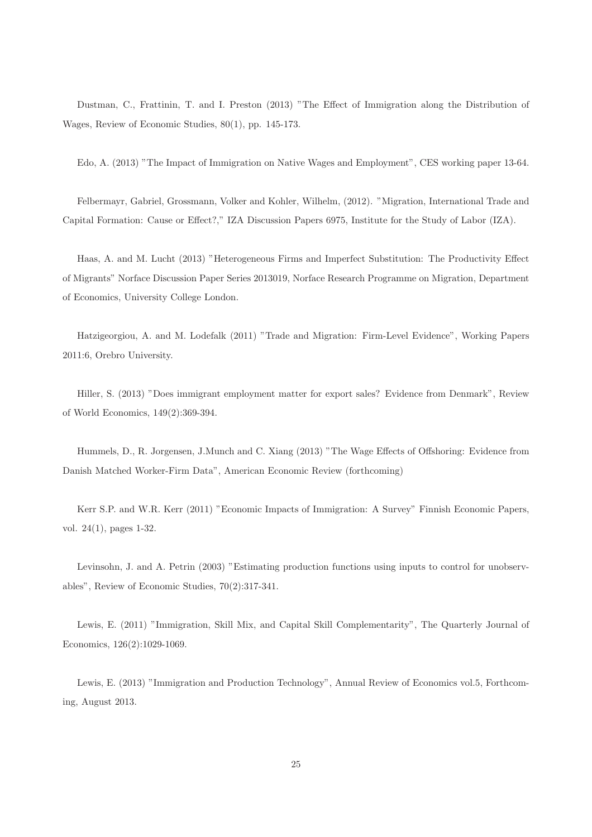Dustman, C., Frattinin, T. and I. Preston (2013) "The Effect of Immigration along the Distribution of Wages, Review of Economic Studies, 80(1), pp. 145-173.

Edo, A. (2013) "The Impact of Immigration on Native Wages and Employment", CES working paper 13-64.

Felbermayr, Gabriel, Grossmann, Volker and Kohler, Wilhelm, (2012). "Migration, International Trade and Capital Formation: Cause or Effect?," IZA Discussion Papers 6975, Institute for the Study of Labor (IZA).

Haas, A. and M. Lucht (2013) "Heterogeneous Firms and Imperfect Substitution: The Productivity Effect of Migrants" Norface Discussion Paper Series 2013019, Norface Research Programme on Migration, Department of Economics, University College London.

Hatzigeorgiou, A. and M. Lodefalk (2011) "Trade and Migration: Firm-Level Evidence", Working Papers 2011:6, Orebro University.

Hiller, S. (2013) "Does immigrant employment matter for export sales? Evidence from Denmark", Review of World Economics, 149(2):369-394.

Hummels, D., R. Jorgensen, J.Munch and C. Xiang (2013) "The Wage Effects of Offshoring: Evidence from Danish Matched Worker-Firm Data", American Economic Review (forthcoming)

Kerr S.P. and W.R. Kerr (2011) "Economic Impacts of Immigration: A Survey" Finnish Economic Papers, vol. 24(1), pages 1-32.

Levinsohn, J. and A. Petrin (2003) "Estimating production functions using inputs to control for unobservables", Review of Economic Studies, 70(2):317-341.

Lewis, E. (2011) "Immigration, Skill Mix, and Capital Skill Complementarity", The Quarterly Journal of Economics, 126(2):1029-1069.

Lewis, E. (2013) "Immigration and Production Technology", Annual Review of Economics vol.5, Forthcoming, August 2013.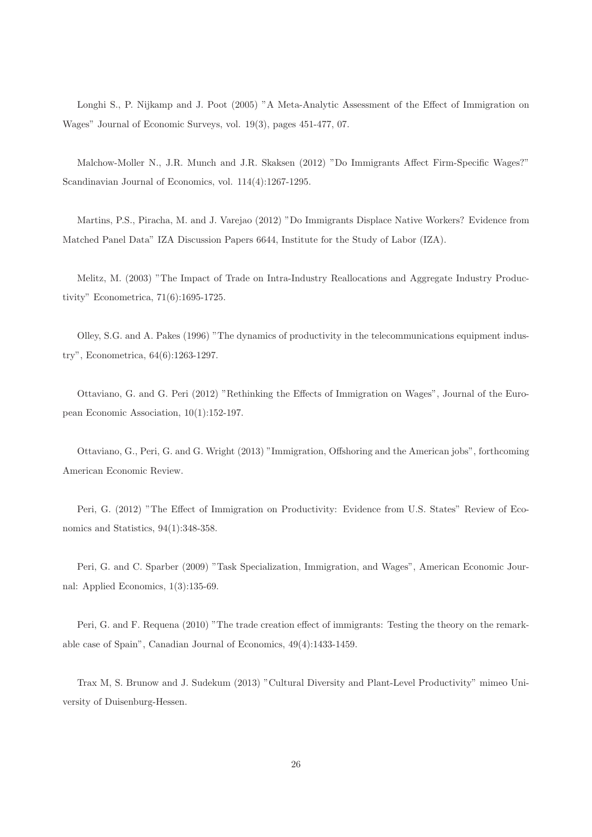Longhi S., P. Nijkamp and J. Poot (2005) "A Meta-Analytic Assessment of the Effect of Immigration on Wages" Journal of Economic Surveys, vol. 19(3), pages 451-477, 07.

Malchow-Moller N., J.R. Munch and J.R. Skaksen (2012) "Do Immigrants Affect Firm-Specific Wages?" Scandinavian Journal of Economics, vol. 114(4):1267-1295.

Martins, P.S., Piracha, M. and J. Varejao (2012) "Do Immigrants Displace Native Workers? Evidence from Matched Panel Data" IZA Discussion Papers 6644, Institute for the Study of Labor (IZA).

Melitz, M. (2003) "The Impact of Trade on Intra-Industry Reallocations and Aggregate Industry Productivity" Econometrica, 71(6):1695-1725.

Olley, S.G. and A. Pakes (1996) "The dynamics of productivity in the telecommunications equipment industry", Econometrica, 64(6):1263-1297.

Ottaviano, G. and G. Peri (2012) "Rethinking the Effects of Immigration on Wages", Journal of the European Economic Association, 10(1):152-197.

Ottaviano, G., Peri, G. and G. Wright (2013) "Immigration, Offshoring and the American jobs", forthcoming American Economic Review.

Peri, G. (2012) "The Effect of Immigration on Productivity: Evidence from U.S. States" Review of Economics and Statistics, 94(1):348-358.

Peri, G. and C. Sparber (2009) "Task Specialization, Immigration, and Wages", American Economic Journal: Applied Economics, 1(3):135-69.

Peri, G. and F. Requena (2010) "The trade creation effect of immigrants: Testing the theory on the remarkable case of Spain", Canadian Journal of Economics, 49(4):1433-1459.

Trax M, S. Brunow and J. Sudekum (2013) "Cultural Diversity and Plant-Level Productivity" mimeo University of Duisenburg-Hessen.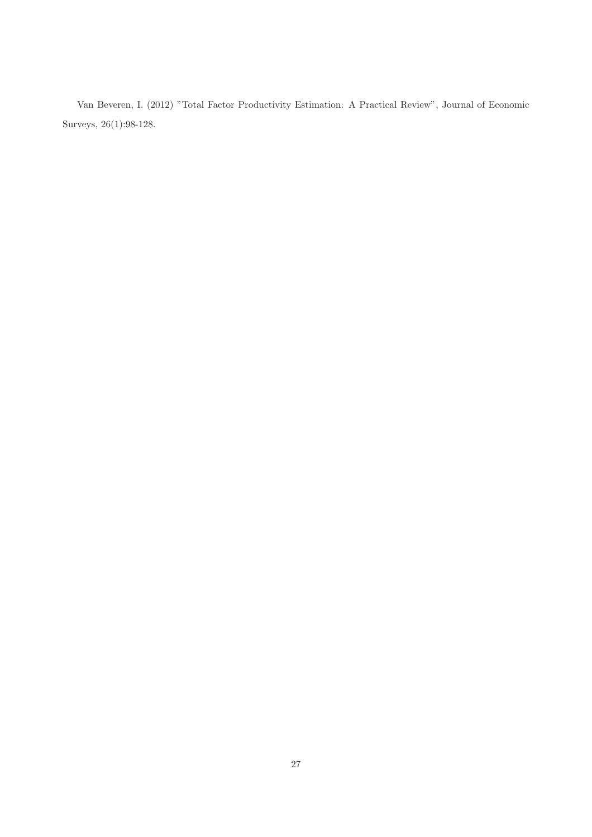Van Beveren, I. (2012) "Total Factor Productivity Estimation: A Practical Review", Journal of Economic Surveys, 26(1):98-128.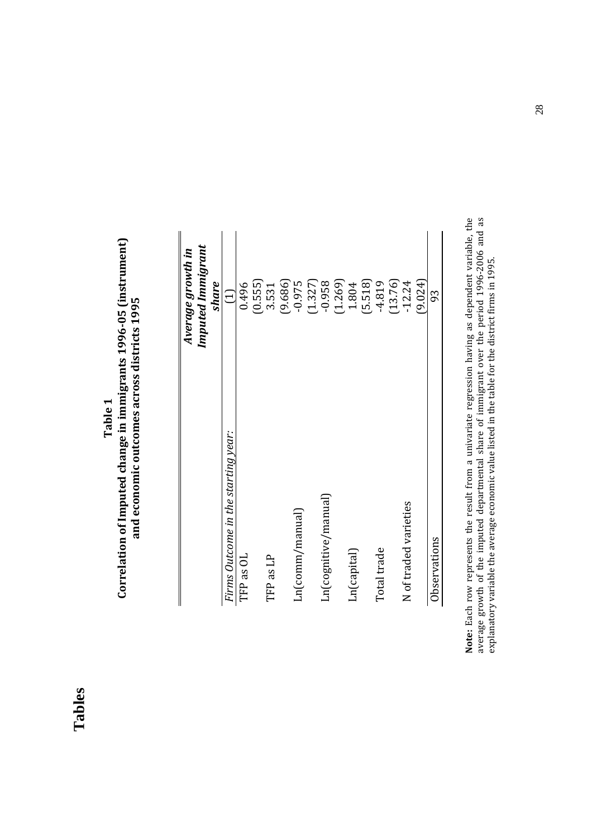|         | ۰ |
|---------|---|
| ω       |   |
|         |   |
| a.<br>۳ | ٠ |
|         |   |

# **Correlation of Imputed change in immigrants 1996-05 (instrument)**  Correlation of Imputed change in immigrants 1996-05 (instrument) and economic outcomes across districts 1995 **and economic outcomes across districts 1995**

|                                     | Average growth in |
|-------------------------------------|-------------------|
|                                     | Imputed Immigrant |
|                                     | share             |
| Firms Outcome in the starting year: | $\Xi$             |
| TFP as OL                           | 0.496             |
|                                     | (0.555)           |
| TFP as LP                           | 3.531             |
|                                     | (9.686)           |
| Ln(comm / manual)                   | $-0.975$          |
|                                     | (1.327)           |
| Ln(cognitive/manual)                | $-0.958$          |
|                                     | (1.269)           |
| Ln(capital)                         | 1.804             |
|                                     | (5.518)           |
| Total trade                         | $-4.819$          |
|                                     | (13.76)           |
| N of traded varieties               | $-12.24$          |
|                                     | (9.024)           |
| Observations                        | 93                |
|                                     |                   |

Note: Each row represents the result from a univariate regression having as dependent variable, the average growth of the imputed departmental share of immigrant over the period 1996-2006 and as explanatory variable the av **Note:** Each row represents the result from a univariate regression having as dependent variable, the average growth of the imputed departmental share of immigrant over the period 1996-2006 and as explanatory variable the average economic value listed in the table for the district firms in 1995.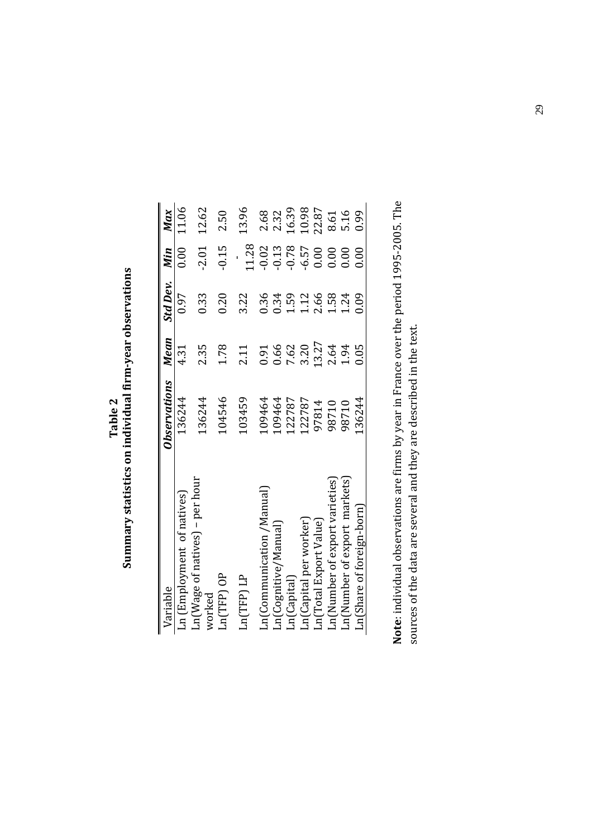Table 2<br>Summary statistics on individual firm-year observations **Summary statistics on individual firm-year observations** 

| Variable                                 | Observations | Mean  | Std Dev. Min    |         | Max   |
|------------------------------------------|--------------|-------|-----------------|---------|-------|
| $Ln$ (Employment of natives)             | 136244       | 4.31  | 0.97            | 0.00    | 11.06 |
| Ln(Wage of natives) – per hour<br>worked | 136244       | 2.35  | 0.33            | $-2.01$ | 12.62 |
| $Ln(TFP)$ OP                             | 104546       | 1.78  | 0.20            | $-0.15$ | 2.50  |
| Ln(TFP) LP                               | 103459       | 2.11  | 3.22            | 11.28   | 13.96 |
| Ln(Communication /Manual)                | 109464       | 0.91  | 0.36            | $-0.02$ | 2.68  |
| Ln(Cognitive/Manual)                     | 109464       | 0.66  | 0.34            | 0.13    | 2.32  |
| Ln(Capital)                              | 122787       | 7.62  | L <sub>59</sub> | $-0.78$ | 16.39 |
| Ln(Capital per worker)                   | 122787       | 3.20  | 1.12            | 6.57    | 10.98 |
| Ln(Total Export Value)                   | 97814        | 13.27 | 2.66            | 0.00    | 22.87 |
| Ln(Number of export varieties)           | 98710        | 2.64  | $-58$           | 0.00    | 8.61  |
| Ln(Number of export markets)             | 98710        | 1.94  | 1.24            | 0.00    | 5.16  |
| Ln(Share of foreign-born)                | 136244       | 0.05  | 0.09            | 0.00    | 0.99  |
|                                          |              |       |                 |         |       |

Note: individual observations are firms by year in France over the period 1995-2005. The **Note**: individual observations are firms by year in France over the period 1995-2005. The sources of the data are several and they are described in the text. sources of the data are several and they are described in the text.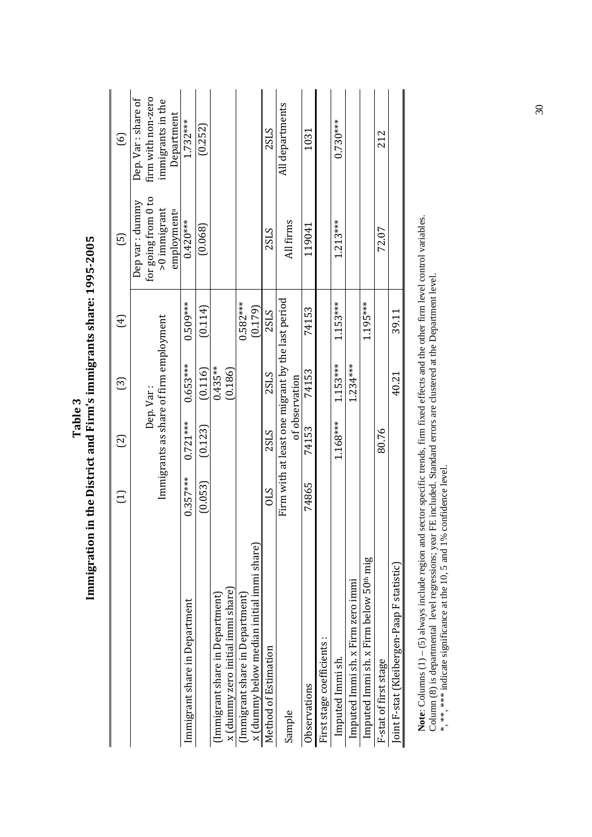|                                                    | Ξ          | ල          | ලු                                                                  | $\bigoplus$ | $\overline{5}$                            | $\odot$                                   |
|----------------------------------------------------|------------|------------|---------------------------------------------------------------------|-------------|-------------------------------------------|-------------------------------------------|
|                                                    |            |            | Dep. Var:                                                           |             | for going from 0 to<br>Dep var : dummy    | firm with non-zero<br>Dep. Var : share of |
|                                                    |            |            | Immigrants as share of firm employment                              |             | $>0$ immigrant<br>employment <sup>a</sup> | immigrants in the<br>Department           |
| Immigrant share in Department                      | $0.357***$ | $0.721***$ | $0.653***$                                                          | $0.509***$  | $0.420***$                                | $1.732***$                                |
|                                                    | (0.053)    | (0.123)    | (0.116)                                                             | (0.114)     | (0.068)                                   | (0.252)                                   |
| (Immigrant share in Department)                    |            |            | $0.435***$                                                          |             |                                           |                                           |
| x (dummy zero initial immi share)                  |            |            | (0.186)                                                             |             |                                           |                                           |
| (Immigrant share in Department)                    |            |            |                                                                     | $0.582***$  |                                           |                                           |
| x (dummy below median initial immi share)          |            |            |                                                                     | (0.179)     |                                           |                                           |
| Method of Estimation                               | <b>STO</b> | 2SLS       | 2SLS                                                                | 2SLS        | 2SLS                                      | <b>2SLS</b>                               |
| Sample                                             |            |            | Firm with at least one migrant by the last period<br>of observation |             | All firms                                 | All departments                           |
| Observations                                       | 74865      | 74153      | 74153                                                               | 74153       | 119041                                    | 1031                                      |
| First stage coefficients:                          |            |            |                                                                     |             |                                           |                                           |
| Imputed Immi sh.                                   |            | $1.168***$ | $1.153***$                                                          | $1.153***$  | $1.213***$                                | $0.730***$                                |
| Imputed Immi sh. x Firm zero immi                  |            |            | $1.234***$                                                          |             |                                           |                                           |
| Imputed Immi sh. x Firm below 50 <sup>th</sup> mig |            |            |                                                                     | 1.195***    |                                           |                                           |
| F-stat of first stage                              |            | 80.76      |                                                                     |             | 72.07                                     | 212                                       |
| Joint F-stat (Kleibergen-Paap F statistic)         |            |            | 40.21                                                               | 39.11       |                                           |                                           |
|                                                    |            |            |                                                                     |             |                                           |                                           |

Table 3<br>Immigration in the District and Firm's immigrants share: 1995-2005 **Immigration in the District and Firm's immigrants share: 1995-2005** 

Note: Columns (1) – (5) always include region and sector specific trends, firm fixed effects and the other firm level control variables.<br>Column (8) is departmental level regressions; year FE included. Standard errors are **Note**: Columns (1) – (5) always include region and sector specific trends, firm fixed effects and the other firm level control variables. Column (8) is departmental level regressions; year FE included. Standard errors are clustered at the Department level.

\*, \*\*, \*\*\* indicate significance at the 10, 5 and 1% confidence level.

30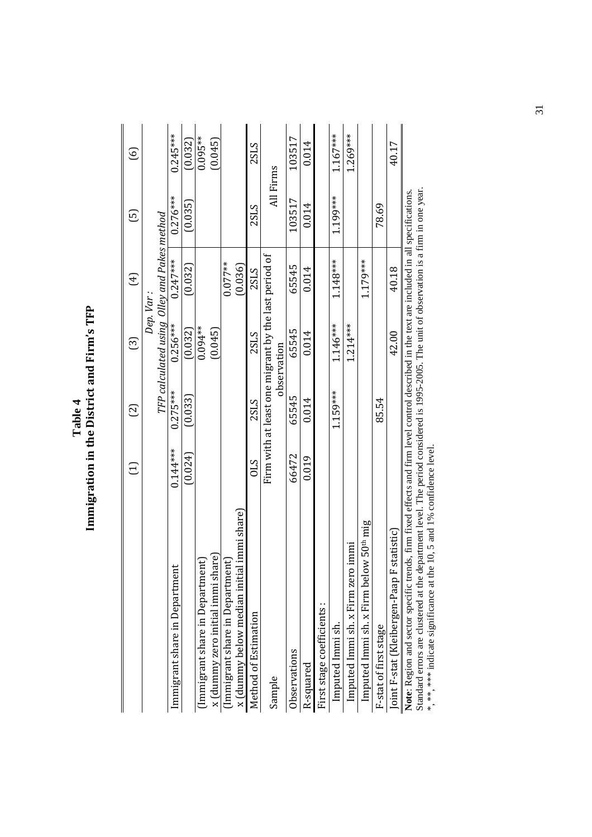|                                                                                                                                                                                                                                                                                                                                                                 | Ξ          | $\Xi$                                                | ලු          | $\bigoplus$                                             | ගු         | $\odot$     |
|-----------------------------------------------------------------------------------------------------------------------------------------------------------------------------------------------------------------------------------------------------------------------------------------------------------------------------------------------------------------|------------|------------------------------------------------------|-------------|---------------------------------------------------------|------------|-------------|
|                                                                                                                                                                                                                                                                                                                                                                 |            |                                                      |             | TFP calculated using Olley and Pakes method<br>Dep. Var |            |             |
| $\mathbf{t}$<br>Immigrant share in Departmer                                                                                                                                                                                                                                                                                                                    | $0.144***$ | $0.275***$                                           | $0.256***$  | $0.247***$                                              | $0.276***$ | $0.245***$  |
|                                                                                                                                                                                                                                                                                                                                                                 | (0.024)    | (0.033)                                              | (0.032)     | (0.032)                                                 | (0.035)    | (0.032)     |
| (Immigrant share in Department)                                                                                                                                                                                                                                                                                                                                 |            |                                                      | $0.094***$  |                                                         |            | $0.095***$  |
| x (dummy zero initial immi share)                                                                                                                                                                                                                                                                                                                               |            |                                                      | (0.045)     |                                                         |            | (0.045)     |
| (Immigrant share in Department)                                                                                                                                                                                                                                                                                                                                 |            |                                                      |             | $0.077***$                                              |            |             |
| x (dummy below median initial immi share)                                                                                                                                                                                                                                                                                                                       |            |                                                      |             | (0.036)                                                 |            |             |
| Method of Estimation                                                                                                                                                                                                                                                                                                                                            | STO        | 2SLS                                                 | 2SLS        | 2SLS                                                    | 2SLS       | <b>2SLS</b> |
| Sample                                                                                                                                                                                                                                                                                                                                                          |            | Firm with at least one migrant by the last period of | observation |                                                         | All Firms  |             |
| Observations                                                                                                                                                                                                                                                                                                                                                    | 66472      | 65545                                                | 65545       | 65545                                                   | 103517     | 103517      |
| R-squared                                                                                                                                                                                                                                                                                                                                                       | 0.019      | 0.014                                                | 0.014       | 0.014                                                   | 0.014      | 0.014       |
| First stage coefficients:                                                                                                                                                                                                                                                                                                                                       |            |                                                      |             |                                                         |            |             |
| Imputed Immi sh.                                                                                                                                                                                                                                                                                                                                                |            | 1.159***                                             | $1.146***$  | $1.148***$                                              | 1.199***   | $1.167***$  |
| Imputed Immi sh. x Firm zero immi                                                                                                                                                                                                                                                                                                                               |            |                                                      | $1.214***$  |                                                         |            | $1.269***$  |
| Imputed Immi sh. x Firm below 50 <sup>th</sup> mig                                                                                                                                                                                                                                                                                                              |            |                                                      |             | 1.179***                                                |            |             |
| F-stat of first stage                                                                                                                                                                                                                                                                                                                                           |            | 85.54                                                |             |                                                         | 78.69      |             |
| statistic)<br>Joint F-stat (Kleibergen-Paap F                                                                                                                                                                                                                                                                                                                   |            |                                                      | 42.00       | 40.18                                                   |            | 40.17       |
| Standard errors are clustered at the department level. The period considered is 1995-2005. The unit of observation is a firm in one year.<br>Note: Region and sector specific trends, firm fixed effects and firm level control described in the text are included in all specifications.<br>**, *** indicate significance at the 10, 5 and 1% confidence level |            |                                                      |             |                                                         |            |             |

Table 4<br>Immigration in the District and Firm's TFP **Immigration in the District and Firm's TFP** 

31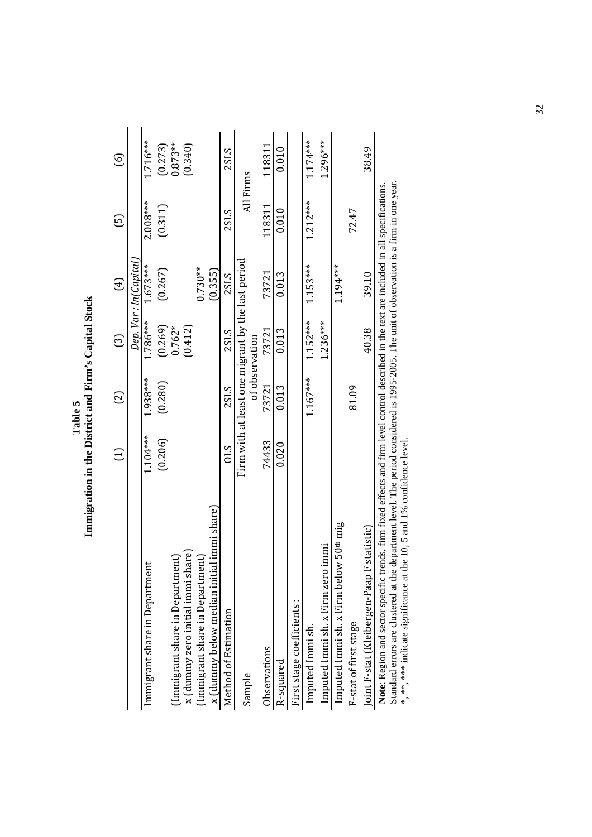| Firm with at least one migrant by the last period<br>Dep. Var : In(Capital<br>$1.673***$<br>$1.153***$<br>1.194***<br>$0.730**$<br>(0.267)<br>(0.355)<br>73721<br>0.013<br><b>2SLS</b><br>$1.786***$<br>$1.152***$<br>$1.236***$<br>(0.269)<br>$0.762*$<br>(0.412)<br>0.013<br>2SLS<br>73721<br>of observation<br>1.938***<br>$1.167***$<br>(0.280)<br>73721<br>0.013<br>81.09<br>2SLS<br>$1.104***$<br>(0.206)<br>74433<br>0.020<br>$\mathcal{S}10$<br>x (dummy below median initial immi share)<br>Imputed Immi sh. x Firm below 50 <sup>th</sup> mig<br>Imputed Immi sh. x Firm zero immi<br>x (dummy zero initial immi share)<br>(Immigrant share in Department)<br>(Immigrant share in Department)<br>Ħ<br>Immigrant share in Departmer<br>First stage coefficients:<br>Method of Estimation<br>F-stat of first stage<br>Imputed Immi sh.<br>Observations<br>R-squared<br>Sample | වු<br>$\Xi$ | ලු | $\bigoplus$ | ල           | ତ୍ର        |
|---------------------------------------------------------------------------------------------------------------------------------------------------------------------------------------------------------------------------------------------------------------------------------------------------------------------------------------------------------------------------------------------------------------------------------------------------------------------------------------------------------------------------------------------------------------------------------------------------------------------------------------------------------------------------------------------------------------------------------------------------------------------------------------------------------------------------------------------------------------------------------------|-------------|----|-------------|-------------|------------|
|                                                                                                                                                                                                                                                                                                                                                                                                                                                                                                                                                                                                                                                                                                                                                                                                                                                                                       |             |    |             |             |            |
|                                                                                                                                                                                                                                                                                                                                                                                                                                                                                                                                                                                                                                                                                                                                                                                                                                                                                       |             |    |             | $2.008***$  | $1.716***$ |
|                                                                                                                                                                                                                                                                                                                                                                                                                                                                                                                                                                                                                                                                                                                                                                                                                                                                                       |             |    |             | (0.311)     | (0.273)    |
|                                                                                                                                                                                                                                                                                                                                                                                                                                                                                                                                                                                                                                                                                                                                                                                                                                                                                       |             |    |             |             | $0.873**$  |
|                                                                                                                                                                                                                                                                                                                                                                                                                                                                                                                                                                                                                                                                                                                                                                                                                                                                                       |             |    |             |             | (0.340)    |
|                                                                                                                                                                                                                                                                                                                                                                                                                                                                                                                                                                                                                                                                                                                                                                                                                                                                                       |             |    |             |             |            |
|                                                                                                                                                                                                                                                                                                                                                                                                                                                                                                                                                                                                                                                                                                                                                                                                                                                                                       |             |    |             |             |            |
|                                                                                                                                                                                                                                                                                                                                                                                                                                                                                                                                                                                                                                                                                                                                                                                                                                                                                       |             |    |             | <b>2SLS</b> | 2SLS       |
|                                                                                                                                                                                                                                                                                                                                                                                                                                                                                                                                                                                                                                                                                                                                                                                                                                                                                       |             |    |             |             | All Firms  |
|                                                                                                                                                                                                                                                                                                                                                                                                                                                                                                                                                                                                                                                                                                                                                                                                                                                                                       |             |    |             | 118311      | 118311     |
|                                                                                                                                                                                                                                                                                                                                                                                                                                                                                                                                                                                                                                                                                                                                                                                                                                                                                       |             |    |             | 0.010       | 0.010      |
|                                                                                                                                                                                                                                                                                                                                                                                                                                                                                                                                                                                                                                                                                                                                                                                                                                                                                       |             |    |             |             |            |
|                                                                                                                                                                                                                                                                                                                                                                                                                                                                                                                                                                                                                                                                                                                                                                                                                                                                                       |             |    |             | $1.212***$  | $1.174***$ |
|                                                                                                                                                                                                                                                                                                                                                                                                                                                                                                                                                                                                                                                                                                                                                                                                                                                                                       |             |    |             |             | $1.296***$ |
|                                                                                                                                                                                                                                                                                                                                                                                                                                                                                                                                                                                                                                                                                                                                                                                                                                                                                       |             |    |             |             |            |
|                                                                                                                                                                                                                                                                                                                                                                                                                                                                                                                                                                                                                                                                                                                                                                                                                                                                                       |             |    |             | 72.47       |            |
| 39.10<br>40.38<br>statistic)<br>Joint F-stat (Kleibergen-Paap F                                                                                                                                                                                                                                                                                                                                                                                                                                                                                                                                                                                                                                                                                                                                                                                                                       |             |    |             |             | 38.49      |

Table 5<br>Immigration in the District and Firm's Capital Stock  **Immigration in the District and Firm's Capital Stock** 

Standard errors are clustered at the department level. The period considered is 1995-2005. The unit of observation is a firm in one year.

Standard errors are clustered at the department level. The period considered is 1995-2005. The unit of observation is a firm in one year.<br>\*, \*\*, \*\*\* indicate significance at the 10, 5 and 1% confidence level. \*, \*\*, \*\*\* indicate significance at the 10, 5 and 1% confidence level.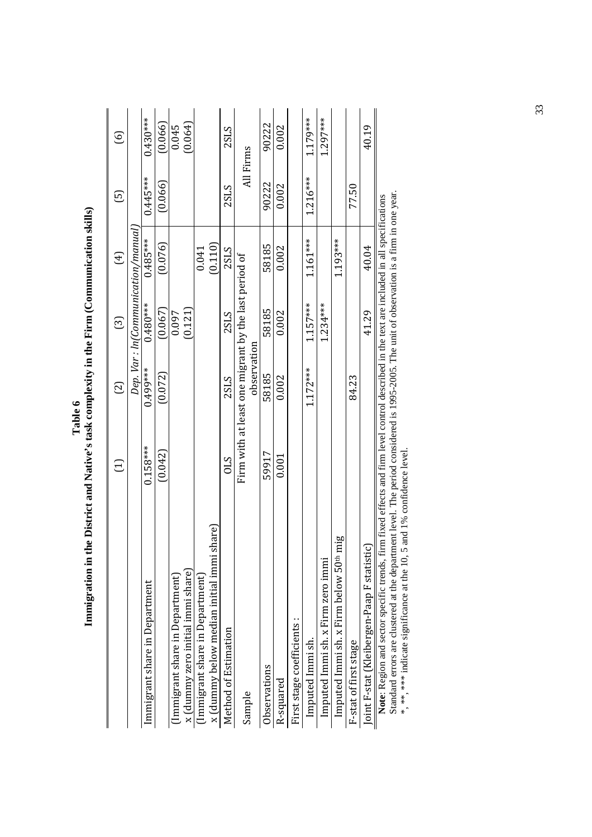|                                                                                                                                             | Ξ          | වු                                                                  | ල                                  | $\bigoplus$ | ගු         | $\odot$    |
|---------------------------------------------------------------------------------------------------------------------------------------------|------------|---------------------------------------------------------------------|------------------------------------|-------------|------------|------------|
|                                                                                                                                             |            |                                                                     | Dep. Var : ln(Communication/manual |             |            |            |
| Immigrant share in Department                                                                                                               | $0.158***$ | 0.499***                                                            | $0.480***$                         | $0.485***$  | $0.445***$ | $0.430***$ |
|                                                                                                                                             | (0.042)    | (0.072)                                                             | (0.067)                            | (0.076)     | (0.066)    | (0.066)    |
| Immigrant share in Department)                                                                                                              |            |                                                                     | 0.097                              |             |            | 0.045      |
| x (dummy zero initial immi share)                                                                                                           |            |                                                                     | (0.121)                            |             |            | (0.064)    |
| (Immigrant share in Department)                                                                                                             |            |                                                                     |                                    | 0.041       |            |            |
| x (dummy below median initial immi share)                                                                                                   |            |                                                                     |                                    | (0.110)     |            |            |
| Method of Estimation                                                                                                                        | <b>STO</b> | <b>2SLS</b>                                                         | 2SLS                               | 2SLS        | 2SLS       | 2SLS       |
| Sample                                                                                                                                      |            | Firm with at least one migrant by the last period of<br>observation |                                    |             |            | All Firms  |
| Observations                                                                                                                                | 59917      | 58185                                                               | 58185                              | 58185       | 90222      | 90222      |
| R-squared                                                                                                                                   | 0.001      | 0.002                                                               | 0.002                              | 0.002       | 0.002      | 0.002      |
| First stage coefficients :                                                                                                                  |            |                                                                     |                                    |             |            |            |
| Imputed Immi sh.                                                                                                                            |            | $1.172***$                                                          | $1.157***$                         | $1.161***$  | $1.216***$ | 1.179***   |
| Imputed Immi sh. x Firm zero immi                                                                                                           |            |                                                                     | $1.234***$                         |             |            | 1.297***   |
| Imputed Immi sh. x Firm below 50 <sup>th</sup> mig                                                                                          |            |                                                                     |                                    | 1.193***    |            |            |
| F-stat of first stage                                                                                                                       |            | 84.23                                                               |                                    |             | 77.50      |            |
| Joint F-stat (Kleibergen-Paap F statistic                                                                                                   |            |                                                                     | 41.29                              | 40.04       |            | 40.19      |
| Note: Region and sector specific trends, firm fixed effects and firm level control described in the text are included in all specifications |            |                                                                     |                                    |             |            |            |

Table 6<br>Immigration in the District and Native's task complexity in the Firm (Communication skills)  **Immigration in the District and Native's task complexity in the Firm (Communication skills)** 

Standard errors are clustered at the department level. The period considered is 1995-2005. The unit of observation is a firm in one year.<br>\*, \*\*, \*\*\* indicate significance at the 10, 5 and 1% confidence level. Standard errors are clustered at the department level. The period considered is 1995-2005. The unit of observation is a firm in one year.

\*, \*\*, \*\*\* indicate significance at the 10, 5 and 1% confidence level.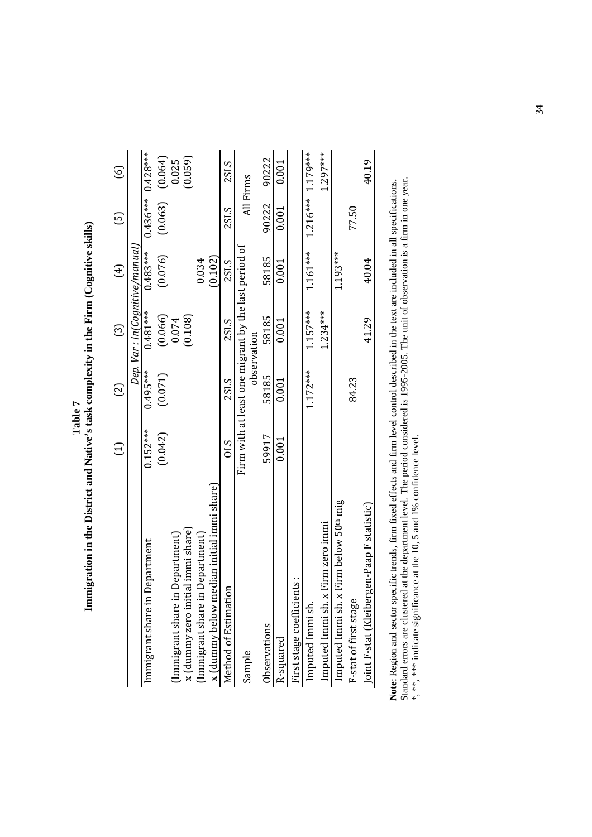| ľ<br>-<br>E | ļ<br>١<br>ı |
|-------------|-------------|
|-------------|-------------|

|                                                       | Ξ          | වු          | ධි                                                                  | $(\pm)$     | ⊡                     | ତ୍ର      |
|-------------------------------------------------------|------------|-------------|---------------------------------------------------------------------|-------------|-----------------------|----------|
|                                                       |            |             | Dep. Var : ln(Cognitive/manual)                                     |             |                       |          |
| Department<br>Immigrant share in                      | $0.152***$ | $0.495***$  | $0.481***$                                                          | $0.483***$  | $0.436***$ 0.428***   |          |
|                                                       | (0.042)    | (0.071)     | (0.066)                                                             | (0.076)     | (0.063)               | (0.064)  |
| (Immigrant share in Department)                       |            |             | 0.074                                                               |             |                       | 0.025    |
| al immi share)<br>x (dummy zero initi                 |            |             | (0.108)                                                             |             |                       | (0.059)  |
| (Immigrant share in Department)                       |            |             |                                                                     | 0.034       |                       |          |
| x (dummy below median initial immi share)             |            |             |                                                                     | (0.102)     |                       |          |
| Method of Estimation                                  | STO        | <b>2SLS</b> | 2SLS                                                                | <b>2SLS</b> | 2SLS                  | 2SLS     |
| Sample                                                |            |             | Firm with at least one migrant by the last period of<br>observation |             | All Firms             |          |
| Observations                                          | 59917      | 58185       | 58185                                                               | 58185       | 90222                 | 90222    |
| R-squared                                             | 0.001      | 0.001       | 0.001                                                               | 0.001       | 0.001                 | 0.001    |
| First stage coefficients:                             |            |             |                                                                     |             |                       |          |
| Imputed Immi sh.                                      |            | $1.172***$  | $1.157***$                                                          | $1.161***$  | $1.216***$ $1.179***$ |          |
| Firm zero immi<br>Imputed Immi sh. x                  |            |             | $1.234***$                                                          |             |                       | 1.297*** |
| Firm below 50 <sup>th</sup> mig<br>Imputed Immi sh. x |            |             |                                                                     | 1.193***    |                       |          |
| F-stat of first stage                                 |            | 84.23       |                                                                     |             | 77.50                 |          |
| Joint F-stat (Kleibergen-Paap F statistic)            |            |             | 41.29                                                               | 40.04       |                       | 40.19    |

Note: Region and sector specific trends, firm fixed effects and firm level control described in the text are included in all specifications.<br>Standard errors are clustered at the department level. The period considered is 1 Standard errors are clustered at the department level. The period considered is 1995-2005. The unit of observation is a firm in one year. **Note**: Region and sector specific trends, firm fixed effects and firm level control described in the text are included in all specifications. \*, \*\*, \*\*\* indicate significance at the 10, 5 and 1% confidence level.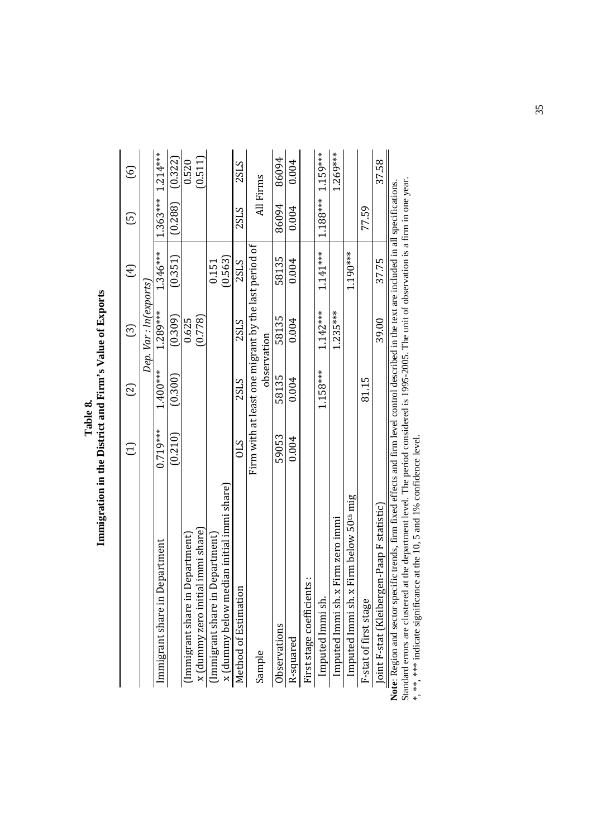|                                                                                                                                            | $\Xi$                                                | $\Xi$       | ලු                     | $(\pm)$    | ල                     | ତ୍ର         |
|--------------------------------------------------------------------------------------------------------------------------------------------|------------------------------------------------------|-------------|------------------------|------------|-----------------------|-------------|
|                                                                                                                                            |                                                      |             | Dep. Var : In(exports) |            |                       |             |
| Department<br>Immigrant share in                                                                                                           | $0.719***$                                           | $1.400***$  | 1.289***               | $1.346***$ | $1.363***$ $1.214***$ |             |
|                                                                                                                                            | (0.210)                                              | (0.300)     | (0.309)                | (0.351)    | (0.288)               | (0.322)     |
| Department)<br>(Immigrant share in                                                                                                         |                                                      |             | 0.625                  |            |                       | 0.520       |
| x (dummy zero initial immi share)                                                                                                          |                                                      |             | (0.778)                |            |                       | (0.511)     |
| Department)<br>(Immigrant share in                                                                                                         |                                                      |             |                        | 0.151      |                       |             |
| x (dummy below median initial immi share)                                                                                                  |                                                      |             |                        | (0.563)    |                       |             |
| $\mathbf{a}$<br>Method of Estimatio                                                                                                        | 01S                                                  | 2SLS        | 2SLS                   | 2SLS       | <b>2SLS</b>           | <b>2SLS</b> |
| Sample                                                                                                                                     | Firm with at least one migrant by the last period of | observation |                        |            |                       | All Firms   |
| Observations                                                                                                                               | 59053                                                | 58135       | 58135                  | 58135      | 86094                 | 86094       |
| R-squared                                                                                                                                  | 0.004                                                | 0.004       | 0.004                  | 0.004      | 0.004                 | 0.004       |
| First stage coefficients:                                                                                                                  |                                                      |             |                        |            |                       |             |
| Imputed Immi sh.                                                                                                                           |                                                      | $1.158***$  | $1.142***$             | $1.141***$ | $1.188***$ 1.159***   |             |
| Imputed Immi sh. x Firm zero immi                                                                                                          |                                                      |             | $1.235***$             |            |                       | $1.269***$  |
| Imputed Immi sh. x Firm below 50 <sup>th</sup> mig                                                                                         |                                                      |             |                        | $1.190***$ |                       |             |
| F-stat of first stage                                                                                                                      |                                                      | 81.15       |                        |            | 77.59                 |             |
| Joint F-stat (Kleibergen-Paap F statistic)                                                                                                 |                                                      |             | 39.00                  | 37.75      |                       | 37.58       |
| ote: Region and sector specific trends. firm fixed effects and firm level control described in the text are included in all specifications |                                                      |             |                        |            |                       |             |

Note: Region and sector specific trends, firm fixed effects and firm level control described in the text are included in all specifications.<br>Standard errors are clustered at the department level. The period considered is 1 Standard errors are clustered at the department level. The period considered is 1995-2005. The unit of observation is a firm in one year. **Note**: Region and sector specific trends, firm fixed effects and firm level control described in the text are included in all specifications. \*, \*\*, \*\*\* indicate significance at the 10, 5 and 1% confidence level.

35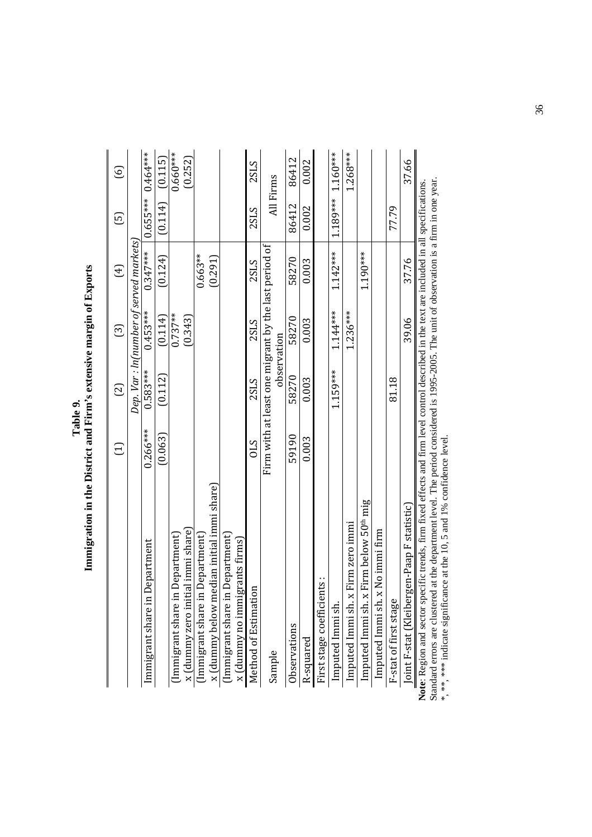|  | d<br>$\mathbf{F}$<br><b>OFFICIAL PROPERTY OF</b><br>D<br>יים בו הדדרות<br>$\frac{1}{2}$<br>İ<br>ĺ<br>:<br>:<br>$-1$<br>$\sim \mathbf{D}$<br>∶<br>$\ddot{\phantom{0}}$<br>$\sim$ $\sim$ $\sim$<br>j |
|--|----------------------------------------------------------------------------------------------------------------------------------------------------------------------------------------------------|
|--|----------------------------------------------------------------------------------------------------------------------------------------------------------------------------------------------------|

|                                                                                                                                            | Ξ          | වු         | ලු          | E)                                                   | ල          | ତ୍ର        |
|--------------------------------------------------------------------------------------------------------------------------------------------|------------|------------|-------------|------------------------------------------------------|------------|------------|
|                                                                                                                                            |            |            |             | Dep. Var : ln(number of served markets)              |            |            |
| Department<br>Immigrant share in                                                                                                           | $0.266***$ | $0.583***$ | $0.453***$  | $0.347***$                                           | $0.655***$ | $0.464***$ |
|                                                                                                                                            | (0.063)    | (0.112)    | (0.114)     | (0.124)                                              | (0.114)    | (0.115)    |
| Department<br>(Immigrant share in                                                                                                          |            |            | $0.737***$  |                                                      |            | $0.660***$ |
| x (dummy zero initial immi share)                                                                                                          |            |            | (0.343)     |                                                      |            | (0.252)    |
| (Immigrant share in Department)                                                                                                            |            |            |             | $0.663**$                                            |            |            |
| edian initial immi share)<br>x (dummy below m                                                                                              |            |            |             | (0.291)                                              |            |            |
| 1 Department)<br>(Immigrant share in                                                                                                       |            |            |             |                                                      |            |            |
| x (dummy no immigrants firms)                                                                                                              |            |            |             |                                                      |            |            |
| Ξ<br>Method of Estimati                                                                                                                    | S10        | 2SLS       | 2SLS        | <b>2SLS</b>                                          | 2SLS       | 2SLS       |
| Sample                                                                                                                                     |            |            |             | Firm with at least one migrant by the last period of | All Firms  |            |
|                                                                                                                                            |            |            | observation |                                                      |            |            |
| Observations                                                                                                                               | 59190      | 58270      | 58270       | 58270                                                | 86412      | 86412      |
| R-squared                                                                                                                                  | 0.003      | 0.003      | 0.003       | 0.003                                                | 0.002      | 0.002      |
| First stage coefficients:                                                                                                                  |            |            |             |                                                      |            |            |
| Imputed Immi sh.                                                                                                                           |            | 1.159***   | $1.144***$  | $1.142***$                                           | 1.189***   | $1.160***$ |
| Firm zero immi<br>Imputed Immi sh. x                                                                                                       |            |            | $1.236***$  |                                                      |            | $1.268***$ |
| Firm below 50 <sup>th</sup> mig<br>Imputed Immi sh. x                                                                                      |            |            |             | $1.190***$                                           |            |            |
| Imputed Immi sh. x No immi firm                                                                                                            |            |            |             |                                                      |            |            |
| F-stat of first stage                                                                                                                      |            | 81.18      |             |                                                      | 77.79      |            |
| Joint F-stat (Kleibergen-Paap F statistic)                                                                                                 |            |            | 39.06       | 37.76                                                |            | 37.66      |
| te: Region and sector specific trends, firm fixed effects and firm level control described in the text are included in all specifications. |            |            |             |                                                      |            |            |

Note: Region and sector specific trends, firm fixed effects and firm level control described in the text are included in all specifications.<br>Standard errors are clustered at the department level. The period considered is Standard errors are clustered at the department level. The period considered is 1995-2005. The unit of observation is a firm in one year. **Note**: Region and sector specific trends, firm fixed effects and firm level control described in the text are included in all specifications. \*, \*\*, \*\*\* indicate significance at the 10, 5 and 1% confidence level.

36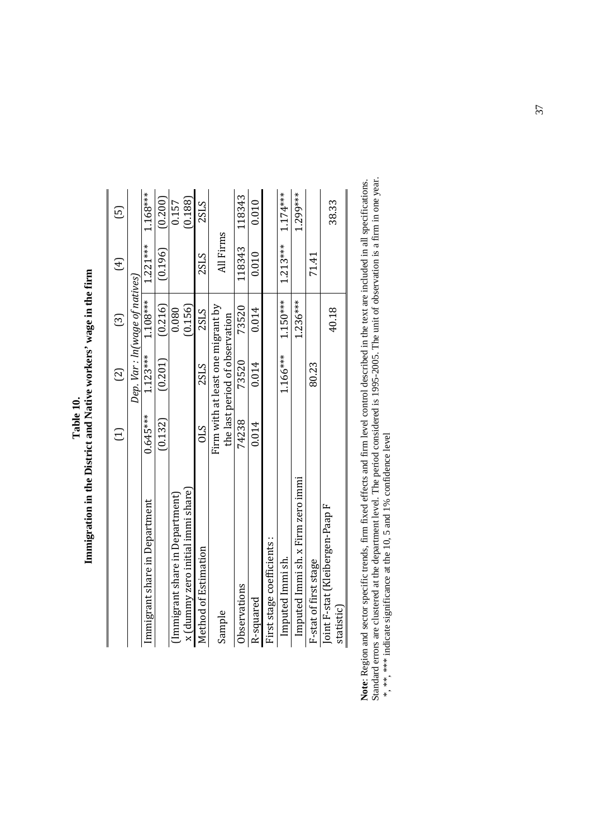|                                   | Ξ               | $\Xi$                             | ල                              | $\bigoplus$ | $\overline{E}$ |
|-----------------------------------|-----------------|-----------------------------------|--------------------------------|-------------|----------------|
|                                   |                 |                                   | Dep. Var : ln(wage of natives) |             |                |
| Immigrant share in Department     | $0.645***$      | $1.123***$                        | $1.108***$                     | $1.221***$  | 1.168***       |
|                                   | (0.132)         | (0.201)                           | (0.216)                        | (0.196)     | (0.200)        |
| (Immigrant share in Department)   |                 |                                   | 0.080                          |             | 0.157          |
| x (dummy zero initial immi share) |                 |                                   | (0.156)                        |             | (0.188)        |
| Method of Estimation              | $\mathcal{S}10$ | 2SLS                              | 2SLS                           | 2SLS        | 2SLS           |
| Sample                            |                 | Firm with at least one migrant by |                                | All Firms   |                |
|                                   |                 | the last period of observation    |                                |             |                |
| Observations                      | 74238           | 73520                             | 73520                          | 118343      | 118343         |
| R-squared                         | 0.014           | 0.014                             | 0.014                          | 0.010       | 0.010          |
| First stage coefficients:         |                 |                                   |                                |             |                |
| Imputed Immi sh.                  |                 | $1.166***$                        | $1.150***$                     | $1.213***$  | $1.174***$     |
| Imputed Immi sh. x Firm zero immi |                 |                                   | $1.236***$                     |             | 1.299***       |
| F-stat of first stage             |                 | 80.23                             |                                | 71.41       |                |
| Joint F-stat (Kleibergen-Paap F   |                 |                                   | 40.18                          |             | 38.33          |
| statistic)                        |                 |                                   |                                |             |                |

Table 10.<br>Immigration in the District and Native workers' wage in the firm  **Immigration in the District and Native workers' wage in the firm** 

Note: Region and sector specific trends, firm fixed effects and firm level control described in the text are included in all specifications.<br>Standard errors are clustered at the department level. The period considered is Standard errors are clustered at the department level. The period considered is 1995-2005. The unit of observation is a firm in one year. **Note**: Region and sector specific trends, firm fixed effects and firm level control described in the text are included in all specifications. \*, \*\*, \*\*\* indicate significance at the 10, 5 and 1% confidence level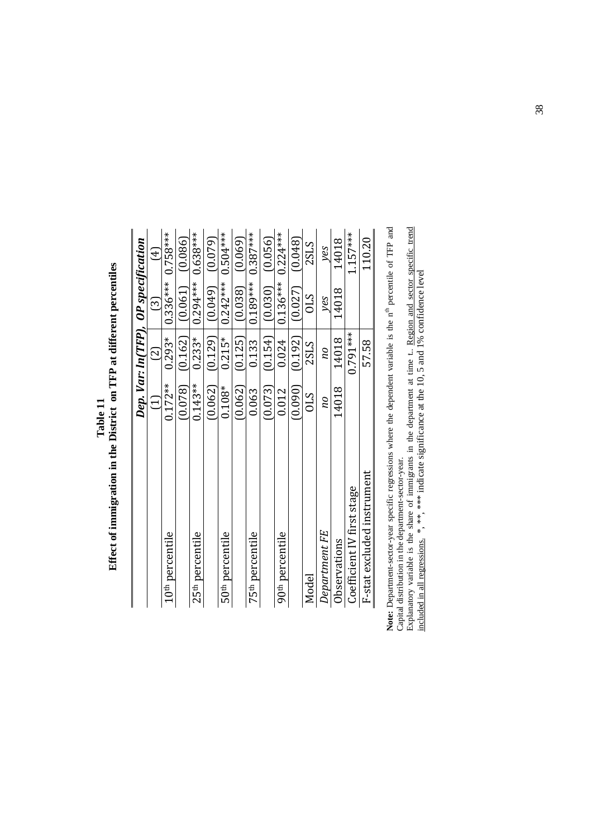|                             |            | Dep. Var: ln(TFP), OP specification |                        |                     |
|-----------------------------|------------|-------------------------------------|------------------------|---------------------|
|                             | $\Xi$      | $\overline{\mathcal{C}}$            | $\widehat{\mathbb{S}}$ | $\overline{4}$      |
| 10 <sup>th</sup> percentile | $0.172***$ | $0.293*$                            |                        | $0.336***$ 0.758*** |
|                             | (0.078)    | (0.162)                             | (0.061)                | (0.086)             |
| 25 <sup>th</sup> percentile | $0.143**$  | $0.233*$                            | $0.294***$             | $0.638***$          |
|                             | (0.062)    | (0.129)                             | (0.049)                | (0.079)             |
| 50 <sup>th</sup> percentile | $0.108*$   | $0.215*$                            | $0.242***$             | $0.504***$          |
|                             | (0.062)    | (0.125)                             | (0.038)                | (0.069)             |
| 75 <sup>th</sup> percentile | 0.063      | 0.133                               | $0.189***$             | $0.387***$          |
|                             | (0.073)    | (0.154)                             | (0.030)                | (0.056)             |
| 90 <sup>th</sup> percentile | 0.012      | 0.024                               | $0.136***$             | $0.224***$          |
|                             | (0.090)    | (0.192)                             | (0.027)                | (0.048)             |
| Model                       | 01S        | 2SLS                                | <b>STO</b>             | 2SLS                |
| Department FE               | DИ         | pu                                  | yes                    | yes                 |
| Observations                | 14018      | 14018                               | 14018                  | 14018               |
| Coefficient IV first stage  |            | $0.791***$                          |                        | $1.157***$          |
| F-stat excluded instrument  |            | 57.58                               |                        | 110.20              |
|                             |            |                                     |                        |                     |

Table 11<br>Effect of immigration in the District on TFP at different percentiles  **Effect of immigration in the District on TFP at different percentiles** 

Note: Department-sector-year specific regressions where the dependent variable is the  $n^{\text{th}}$  percentile of TFP and Capital distribution in the department-sector-year.<br>Explanatory variable is the share of immigrants in **Note:** Department-sector-year specific regressions where the dependent variable is the n<sup>th</sup> percentile of TFP and Capital distribution in the department-sector-year.

Explanatory variable is the share of immigrants in the department at time t.. Region and sector specific trend included in all regressions.  $*$ ,  $**$ ,  $**$ , indicate significance at the 10, 5 and 1% confidence level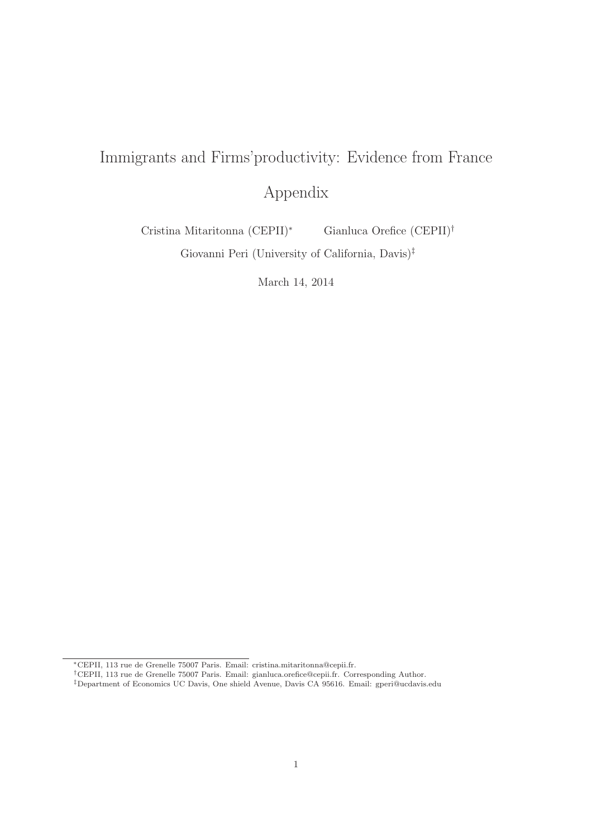# Immigrants and Firms'productivity: Evidence from France

Appendix

Cristina Mitaritonna (CEPII)<sup>∗</sup> Gianluca Orefice (CEPII)†

Giovanni Peri (University of California, Davis)‡

March 14, 2014

<sup>∗</sup>CEPII, 113 rue de Grenelle 75007 Paris. Email: cristina.mitaritonna@cepii.fr.

<sup>†</sup>CEPII, 113 rue de Grenelle 75007 Paris. Email: gianluca.orefice@cepii.fr. Corresponding Author.

<sup>‡</sup>Department of Economics UC Davis, One shield Avenue, Davis CA 95616. Email: gperi@ucdavis.edu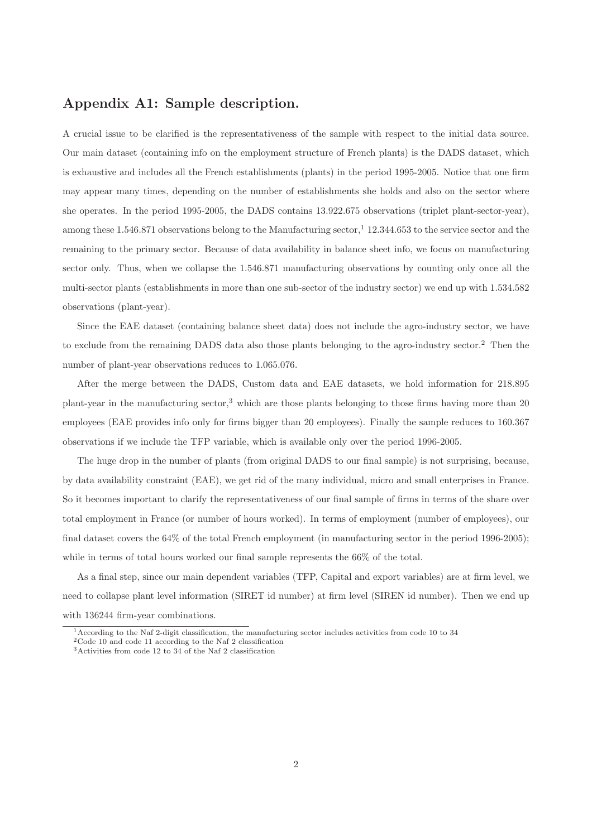#### Appendix A1: Sample description.

A crucial issue to be clarified is the representativeness of the sample with respect to the initial data source. Our main dataset (containing info on the employment structure of French plants) is the DADS dataset, which is exhaustive and includes all the French establishments (plants) in the period 1995-2005. Notice that one firm may appear many times, depending on the number of establishments she holds and also on the sector where she operates. In the period 1995-2005, the DADS contains 13.922.675 observations (triplet plant-sector-year), among these 1.546.871 observations belong to the Manufacturing sector,<sup>1</sup> 12.344.653 to the service sector and the remaining to the primary sector. Because of data availability in balance sheet info, we focus on manufacturing sector only. Thus, when we collapse the 1.546.871 manufacturing observations by counting only once all the multi-sector plants (establishments in more than one sub-sector of the industry sector) we end up with 1.534.582 observations (plant-year).

Since the EAE dataset (containing balance sheet data) does not include the agro-industry sector, we have to exclude from the remaining DADS data also those plants belonging to the agro-industry sector.<sup>2</sup> Then the number of plant-year observations reduces to 1.065.076.

After the merge between the DADS, Custom data and EAE datasets, we hold information for 218.895 plant-year in the manufacturing sector,<sup>3</sup> which are those plants belonging to those firms having more than 20 employees (EAE provides info only for firms bigger than 20 employees). Finally the sample reduces to 160.367 observations if we include the TFP variable, which is available only over the period 1996-2005.

The huge drop in the number of plants (from original DADS to our final sample) is not surprising, because, by data availability constraint (EAE), we get rid of the many individual, micro and small enterprises in France. So it becomes important to clarify the representativeness of our final sample of firms in terms of the share over total employment in France (or number of hours worked). In terms of employment (number of employees), our final dataset covers the 64% of the total French employment (in manufacturing sector in the period 1996-2005); while in terms of total hours worked our final sample represents the 66% of the total.

As a final step, since our main dependent variables (TFP, Capital and export variables) are at firm level, we need to collapse plant level information (SIRET id number) at firm level (SIREN id number). Then we end up with 136244 firm-year combinations.

<sup>1</sup>According to the Naf 2-digit classification, the manufacturing sector includes activities from code 10 to 34

<sup>2</sup>Code 10 and code 11 according to the Naf 2 classification

 $^3\!$  Activities from code 12 to 34 of the Naf 2 classification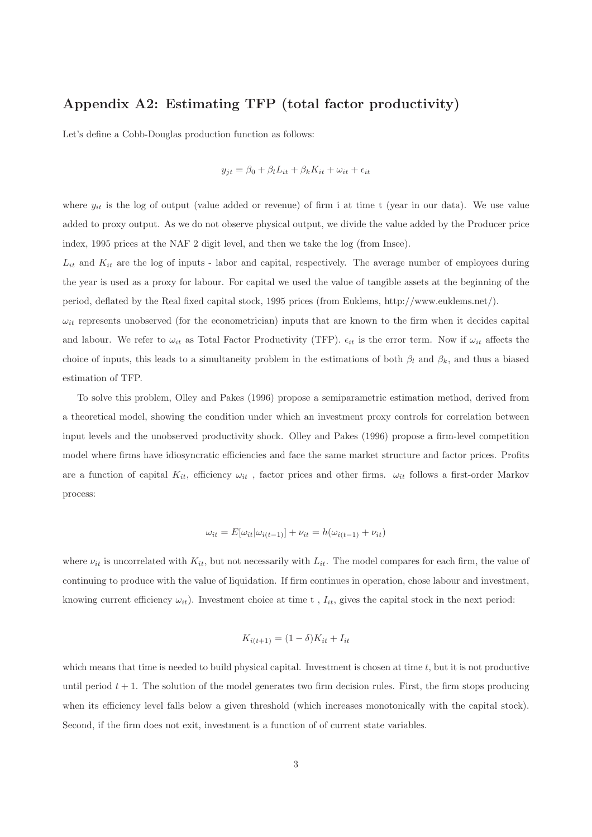#### Appendix A2: Estimating TFP (total factor productivity)

Let's define a Cobb-Douglas production function as follows:

$$
y_{jt} = \beta_0 + \beta_l L_{it} + \beta_k K_{it} + \omega_{it} + \epsilon_{it}
$$

where  $y_{it}$  is the log of output (value added or revenue) of firm i at time t (year in our data). We use value added to proxy output. As we do not observe physical output, we divide the value added by the Producer price index, 1995 prices at the NAF 2 digit level, and then we take the log (from Insee).

 $L_{it}$  and  $K_{it}$  are the log of inputs - labor and capital, respectively. The average number of employees during the year is used as a proxy for labour. For capital we used the value of tangible assets at the beginning of the period, deflated by the Real fixed capital stock, 1995 prices (from Euklems, http://www.euklems.net/).

 $\omega_{it}$  represents unobserved (for the econometrician) inputs that are known to the firm when it decides capital and labour. We refer to  $\omega_{it}$  as Total Factor Productivity (TFP).  $\epsilon_{it}$  is the error term. Now if  $\omega_{it}$  affects the choice of inputs, this leads to a simultaneity problem in the estimations of both  $\beta_l$  and  $\beta_k$ , and thus a biased estimation of TFP.

To solve this problem, Olley and Pakes (1996) propose a semiparametric estimation method, derived from a theoretical model, showing the condition under which an investment proxy controls for correlation between input levels and the unobserved productivity shock. Olley and Pakes (1996) propose a firm-level competition model where firms have idiosyncratic efficiencies and face the same market structure and factor prices. Profits are a function of capital  $K_{it}$ , efficiency  $\omega_{it}$ , factor prices and other firms.  $\omega_{it}$  follows a first-order Markov process:

$$
\omega_{it} = E[\omega_{it}|\omega_{i(t-1)}] + \nu_{it} = h(\omega_{i(t-1)} + \nu_{it})
$$

where  $\nu_{it}$  is uncorrelated with  $K_{it}$ , but not necessarily with  $L_{it}$ . The model compares for each firm, the value of continuing to produce with the value of liquidation. If firm continues in operation, chose labour and investment, knowing current efficiency  $\omega_{it}$ ). Investment choice at time t,  $I_{it}$ , gives the capital stock in the next period:

$$
K_{i(t+1)} = (1 - \delta)K_{it} + I_{it}
$$

which means that time is needed to build physical capital. Investment is chosen at time t, but it is not productive until period  $t + 1$ . The solution of the model generates two firm decision rules. First, the firm stops producing when its efficiency level falls below a given threshold (which increases monotonically with the capital stock). Second, if the firm does not exit, investment is a function of of current state variables.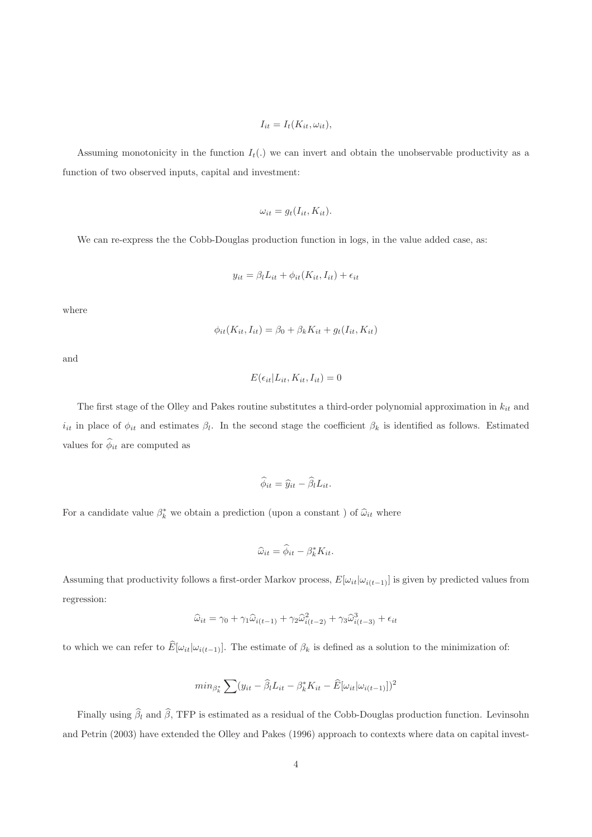$$
I_{it} = I_t(K_{it}, \omega_{it}),
$$

Assuming monotonicity in the function  $I_t(.)$  we can invert and obtain the unobservable productivity as a function of two observed inputs, capital and investment:

$$
\omega_{it} = g_t(I_{it}, K_{it}).
$$

We can re-express the the Cobb-Douglas production function in logs, in the value added case, as:

$$
y_{it} = \beta_l L_{it} + \phi_{it}(K_{it}, I_{it}) + \epsilon_{it}
$$

where

$$
\phi_{it}(K_{it}, I_{it}) = \beta_0 + \beta_k K_{it} + g_t(I_{it}, K_{it})
$$

and

$$
E(\epsilon_{it}|L_{it}, K_{it}, I_{it}) = 0
$$

The first stage of the Olley and Pakes routine substitutes a third-order polynomial approximation in  $k_{it}$  and  $i_{it}$  in place of  $\phi_{it}$  and estimates  $\beta_l$ . In the second stage the coefficient  $\beta_k$  is identified as follows. Estimated values for  $\widehat{\phi}_{it}$  are computed as

$$
\widehat{\phi}_{it} = \widehat{y}_{it} - \widehat{\beta}_l L_{it}.
$$

For a candidate value  $\beta_k^*$  we obtain a prediction (upon a constant ) of  $\widehat{\omega}_{it}$  where

$$
\widehat{\omega}_{it} = \widehat{\phi}_{it} - \beta_k^* K_{it}.
$$

Assuming that productivity follows a first-order Markov process,  $E[\omega_{it}|\omega_{i(t-1)}]$  is given by predicted values from regression:

$$
\widehat{\omega}_{it} = \gamma_0 + \gamma_1 \widehat{\omega}_{i(t-1)} + \gamma_2 \widehat{\omega}_{i(t-2)}^2 + \gamma_3 \widehat{\omega}_{i(t-3)}^3 + \epsilon_{it}
$$

to which we can refer to  $\widehat{E}[\omega_{it}|\omega_{i(t-1)}].$  The estimate of  $\beta_k$  is defined as a solution to the minimization of:

$$
min_{\beta^*_{k}} \sum_{i} (y_{it} - \widehat{\beta}_{t}L_{it} - \beta^*_{k}K_{it} - \widehat{E}[\omega_{it}|\omega_{i(t-1)}])^{2}
$$

Finally using  $\hat{\beta}_l$  and  $\hat{\beta}$ , TFP is estimated as a residual of the Cobb-Douglas production function. Levinsohn and Petrin (2003) have extended the Olley and Pakes (1996) approach to contexts where data on capital invest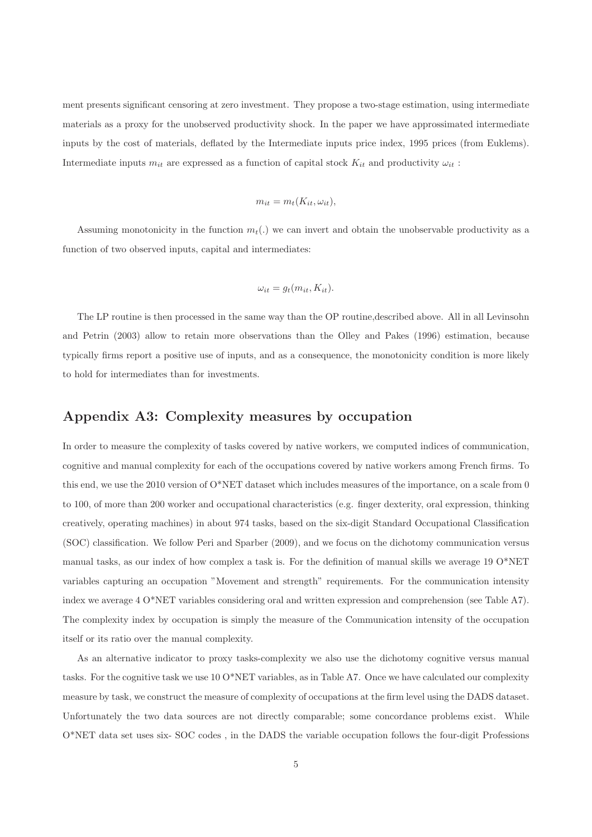ment presents significant censoring at zero investment. They propose a two-stage estimation, using intermediate materials as a proxy for the unobserved productivity shock. In the paper we have approssimated intermediate inputs by the cost of materials, deflated by the Intermediate inputs price index, 1995 prices (from Euklems). Intermediate inputs  $m_{it}$  are expressed as a function of capital stock  $K_{it}$  and productivity  $\omega_{it}$ :

$$
m_{it} = m_t(K_{it}, \omega_{it}),
$$

Assuming monotonicity in the function  $m_t(.)$  we can invert and obtain the unobservable productivity as a function of two observed inputs, capital and intermediates:

$$
\omega_{it} = g_t(m_{it}, K_{it}).
$$

The LP routine is then processed in the same way than the OP routine,described above. All in all Levinsohn and Petrin (2003) allow to retain more observations than the Olley and Pakes (1996) estimation, because typically firms report a positive use of inputs, and as a consequence, the monotonicity condition is more likely to hold for intermediates than for investments.

#### Appendix A3: Complexity measures by occupation

In order to measure the complexity of tasks covered by native workers, we computed indices of communication, cognitive and manual complexity for each of the occupations covered by native workers among French firms. To this end, we use the 2010 version of  $O^*NET$  dataset which includes measures of the importance, on a scale from 0 to 100, of more than 200 worker and occupational characteristics (e.g. finger dexterity, oral expression, thinking creatively, operating machines) in about 974 tasks, based on the six-digit Standard Occupational Classification (SOC) classification. We follow Peri and Sparber (2009), and we focus on the dichotomy communication versus manual tasks, as our index of how complex a task is. For the definition of manual skills we average 19 O\*NET variables capturing an occupation "Movement and strength" requirements. For the communication intensity index we average 4 O\*NET variables considering oral and written expression and comprehension (see Table A7). The complexity index by occupation is simply the measure of the Communication intensity of the occupation itself or its ratio over the manual complexity.

As an alternative indicator to proxy tasks-complexity we also use the dichotomy cognitive versus manual tasks. For the cognitive task we use 10 O\*NET variables, as in Table A7. Once we have calculated our complexity measure by task, we construct the measure of complexity of occupations at the firm level using the DADS dataset. Unfortunately the two data sources are not directly comparable; some concordance problems exist. While O\*NET data set uses six- SOC codes , in the DADS the variable occupation follows the four-digit Professions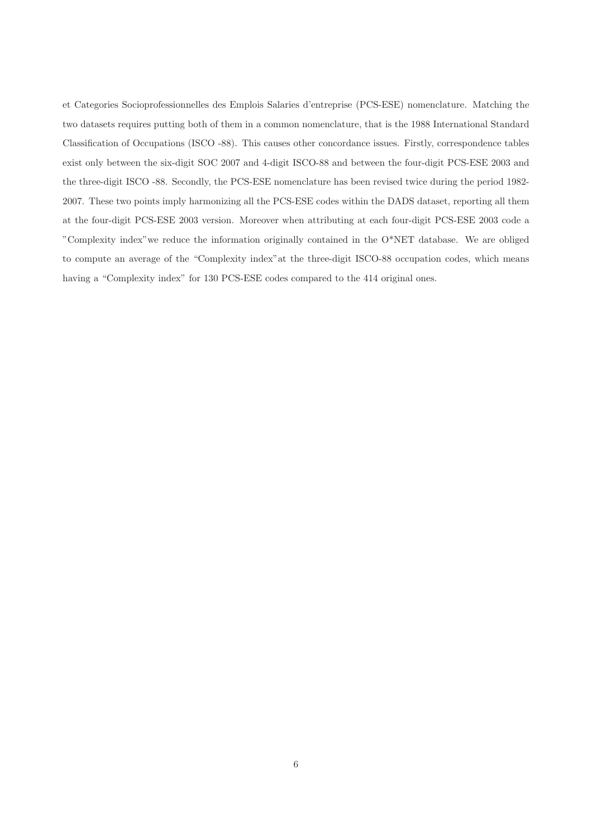et Categories Socioprofessionnelles des Emplois Salaries d'entreprise (PCS-ESE) nomenclature. Matching the two datasets requires putting both of them in a common nomenclature, that is the 1988 International Standard Classification of Occupations (ISCO -88). This causes other concordance issues. Firstly, correspondence tables exist only between the six-digit SOC 2007 and 4-digit ISCO-88 and between the four-digit PCS-ESE 2003 and the three-digit ISCO -88. Secondly, the PCS-ESE nomenclature has been revised twice during the period 1982- 2007. These two points imply harmonizing all the PCS-ESE codes within the DADS dataset, reporting all them at the four-digit PCS-ESE 2003 version. Moreover when attributing at each four-digit PCS-ESE 2003 code a "Complexity index"we reduce the information originally contained in the O\*NET database. We are obliged to compute an average of the "Complexity index"at the three-digit ISCO-88 occupation codes, which means having a "Complexity index" for 130 PCS-ESE codes compared to the 414 original ones.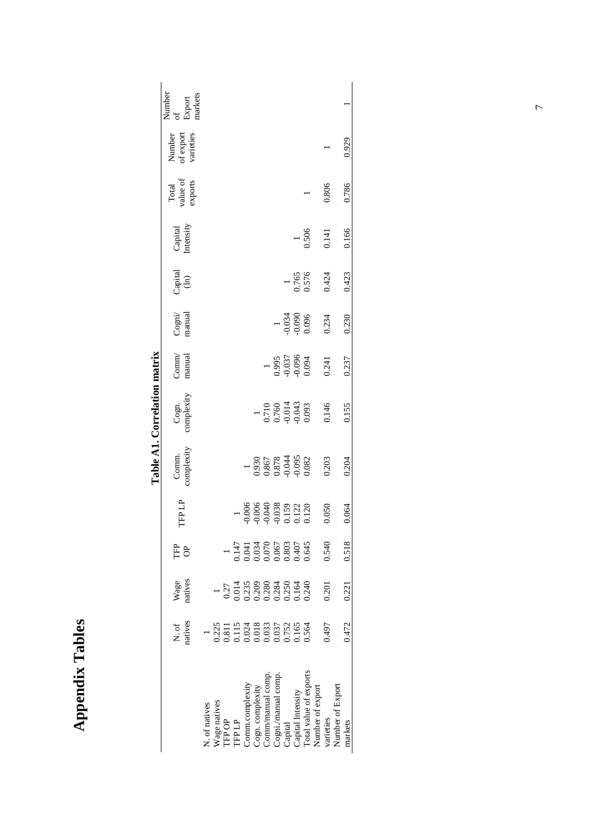| ć<br>г |
|--------|
|        |
| ì      |
| F      |
| ì      |
|        |
| ١      |
|        |
|        |
|        |

Table A1. Correlation matrix **Table A1. Correlation matrix** 

|                                                                                                                                     |                                                                                                                                                                                                                                                                       |                                                                                                                                                                                                                                                                                                       |                                                                                                                                                                                                                                                                                                       |                                                    |                                           | avit A1: Colleauvil liigu ik              |                                  |                                                              |                 |                      |                     |                                  |                         |
|-------------------------------------------------------------------------------------------------------------------------------------|-----------------------------------------------------------------------------------------------------------------------------------------------------------------------------------------------------------------------------------------------------------------------|-------------------------------------------------------------------------------------------------------------------------------------------------------------------------------------------------------------------------------------------------------------------------------------------------------|-------------------------------------------------------------------------------------------------------------------------------------------------------------------------------------------------------------------------------------------------------------------------------------------------------|----------------------------------------------------|-------------------------------------------|-------------------------------------------|----------------------------------|--------------------------------------------------------------|-----------------|----------------------|---------------------|----------------------------------|-------------------------|
|                                                                                                                                     |                                                                                                                                                                                                                                                                       |                                                                                                                                                                                                                                                                                                       | È                                                                                                                                                                                                                                                                                                     |                                                    | Comm.                                     |                                           | Comm/                            |                                                              |                 |                      | Total               | Number<br>of export<br>varieties | Number                  |
|                                                                                                                                     | N. of<br>natives                                                                                                                                                                                                                                                      | Wage<br>natives                                                                                                                                                                                                                                                                                       | ð                                                                                                                                                                                                                                                                                                     | TFP LP                                             | complexity                                | Cogn.<br>complexity                       | manual                           | Cogni/<br>manual                                             | Capital<br>(ln) | Capital<br>Intensity | value of<br>exports |                                  | markets<br>of<br>Export |
| V. of natives                                                                                                                       |                                                                                                                                                                                                                                                                       |                                                                                                                                                                                                                                                                                                       |                                                                                                                                                                                                                                                                                                       |                                                    |                                           |                                           |                                  |                                                              |                 |                      |                     |                                  |                         |
| Vage natives                                                                                                                        |                                                                                                                                                                                                                                                                       |                                                                                                                                                                                                                                                                                                       |                                                                                                                                                                                                                                                                                                       |                                                    |                                           |                                           |                                  |                                                              |                 |                      |                     |                                  |                         |
|                                                                                                                                     |                                                                                                                                                                                                                                                                       |                                                                                                                                                                                                                                                                                                       |                                                                                                                                                                                                                                                                                                       |                                                    |                                           |                                           |                                  |                                                              |                 |                      |                     |                                  |                         |
| TFP OP<br>TFP LP                                                                                                                    | $\begin{array}{r} 1\\ 0.225\\ 0.311\\ 0.0115\\ 0.000\\ 0.000\\ 0.033\\ 0.037\\ 0.037\\ 0.056\\ 0.000\\ 0.000\\ 0.000\\ 0.004\\ 0.004\\ 0.004\\ 0.004\\ 0.004\\ 0.004\\ 0.004\\ 0.004\\ 0.004\\ 0.004\\ 0.004\\ 0.004\\ 0.004\\ 0.004\\ 0.004\\ 0.004\\ 0.004\\ 0.004$ | $\begin{array}{r} 1 \\ 0.27 \\ 0.014 \\ 0.023 \\ 0.028 \\ 0.288 \\ 0.284 \\ 0.034 \\ 0.014 \\ 0.034 \\ 0.014 \\ 0.034 \\ 0.034 \\ 0.034 \\ 0.034 \\ 0.034 \\ 0.034 \\ 0.034 \\ 0.034 \\ 0.034 \\ 0.034 \\ 0.034 \\ 0.034 \\ 0.034 \\ 0.034 \\ 0.034 \\ 0.034 \\ 0.034 \\ 0.034 \\ 0.034 \\ 0.034 \\ $ | $\begin{array}{c} 1 \\ 1 \\ 0.147 \\ 0.034 \\ 0.034 \\ 0.067 \\ 0.067 \\ 0.034 \\ 0.067 \\ 0.034 \\ 0.033 \\ 0.033 \\ 0.033 \\ 0.033 \\ 0.033 \\ 0.033 \\ 0.033 \\ 0.033 \\ 0.033 \\ 0.033 \\ 0.033 \\ 0.033 \\ 0.033 \\ 0.033 \\ 0.033 \\ 0.033 \\ 0.033 \\ 0.033 \\ 0.033 \\ 0.033 \\ 0.033 \\ 0.0$ |                                                    |                                           |                                           |                                  |                                                              |                 |                      |                     |                                  |                         |
|                                                                                                                                     |                                                                                                                                                                                                                                                                       |                                                                                                                                                                                                                                                                                                       |                                                                                                                                                                                                                                                                                                       | 000.1                                              |                                           |                                           |                                  |                                                              |                 |                      |                     |                                  |                         |
|                                                                                                                                     |                                                                                                                                                                                                                                                                       |                                                                                                                                                                                                                                                                                                       |                                                                                                                                                                                                                                                                                                       | 0.006                                              |                                           |                                           |                                  |                                                              |                 |                      |                     |                                  |                         |
|                                                                                                                                     |                                                                                                                                                                                                                                                                       |                                                                                                                                                                                                                                                                                                       |                                                                                                                                                                                                                                                                                                       |                                                    |                                           |                                           |                                  |                                                              |                 |                      |                     |                                  |                         |
|                                                                                                                                     |                                                                                                                                                                                                                                                                       |                                                                                                                                                                                                                                                                                                       |                                                                                                                                                                                                                                                                                                       |                                                    |                                           |                                           |                                  |                                                              |                 |                      |                     |                                  |                         |
| Comm.complexity<br>Cogn. complexity<br>Comm/manual comp.<br>Cogni/manual comp.<br>Capital<br>Capital Intensity<br>Capital Intensity |                                                                                                                                                                                                                                                                       |                                                                                                                                                                                                                                                                                                       |                                                                                                                                                                                                                                                                                                       | $0.388$<br>$0.038$<br>$0.120$<br>$0.120$<br>$0.05$ | 0.930<br>0.867<br>0.878<br>0.044<br>0.095 | 0.710<br>0.760<br>0.014<br>0.043<br>0.093 | 0.995<br>0.037<br>0.094<br>0.094 | $\begin{array}{c} 1 \\ 0.034 \\ -0.090 \\ 0.096 \end{array}$ |                 |                      |                     |                                  |                         |
|                                                                                                                                     |                                                                                                                                                                                                                                                                       |                                                                                                                                                                                                                                                                                                       |                                                                                                                                                                                                                                                                                                       |                                                    |                                           |                                           |                                  |                                                              | 0.765<br>0.576  |                      |                     |                                  |                         |
|                                                                                                                                     |                                                                                                                                                                                                                                                                       |                                                                                                                                                                                                                                                                                                       |                                                                                                                                                                                                                                                                                                       |                                                    |                                           |                                           |                                  |                                                              |                 | 0.506                |                     |                                  |                         |
| Number of export                                                                                                                    |                                                                                                                                                                                                                                                                       |                                                                                                                                                                                                                                                                                                       |                                                                                                                                                                                                                                                                                                       |                                                    |                                           |                                           |                                  |                                                              |                 |                      |                     |                                  |                         |
| varieties                                                                                                                           | 0.497                                                                                                                                                                                                                                                                 | 0.201                                                                                                                                                                                                                                                                                                 | 0.540                                                                                                                                                                                                                                                                                                 | 050                                                | 0.203                                     | 0.146                                     | 0.241                            | 0.234                                                        | 0.424           | 0.141                | 0.806               |                                  |                         |
| Number of Export                                                                                                                    |                                                                                                                                                                                                                                                                       |                                                                                                                                                                                                                                                                                                       |                                                                                                                                                                                                                                                                                                       |                                                    |                                           |                                           |                                  |                                                              |                 |                      |                     |                                  |                         |
| markets                                                                                                                             | 0.472                                                                                                                                                                                                                                                                 | 0.221                                                                                                                                                                                                                                                                                                 | 0.518                                                                                                                                                                                                                                                                                                 | 0.064                                              | 0.204                                     | 0.155                                     | 0.237                            | 0.230                                                        | 0.423           | 0.166                | 0.786               | 0.929                            |                         |
|                                                                                                                                     |                                                                                                                                                                                                                                                                       |                                                                                                                                                                                                                                                                                                       |                                                                                                                                                                                                                                                                                                       |                                                    |                                           |                                           |                                  |                                                              |                 |                      |                     |                                  |                         |

 $\overline{7}$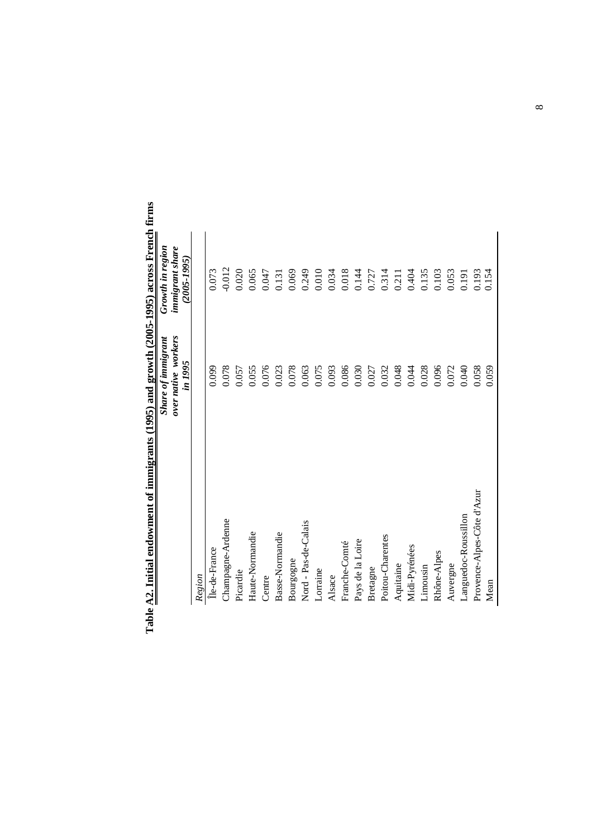| In the control of $\sqrt{2}$ of $\sqrt{2}$ and $\frac{1}{2}$ and $\frac{1}{2}$ and $\frac{1}{2}$ and $\frac{1}{2}$ and $\frac{1}{2}$ and $\frac{1}{2}$ and $\frac{1}{2}$ and $\frac{1}{2}$ and $\frac{1}{2}$ and $\frac{1}{2}$ and $\frac{1}{2}$ and $\frac{1}{2}$ and $\frac{1}{2}$ an | Share of immigrant  |                                     |
|-----------------------------------------------------------------------------------------------------------------------------------------------------------------------------------------------------------------------------------------------------------------------------------------|---------------------|-------------------------------------|
|                                                                                                                                                                                                                                                                                         | over native workers | Growth in region<br>immigrant share |
|                                                                                                                                                                                                                                                                                         | in 1995             | $(2005 - 1995)$                     |
| Region                                                                                                                                                                                                                                                                                  |                     |                                     |
| Île-de-France                                                                                                                                                                                                                                                                           | 0.099               | 0.073                               |
| Champagne-Ardenne                                                                                                                                                                                                                                                                       | 0.078               | $-0.012$                            |
| Picardie                                                                                                                                                                                                                                                                                | 0.057               | 0.020                               |
| Haute-Normandie                                                                                                                                                                                                                                                                         | 0.055               | 0.065                               |
| Centre                                                                                                                                                                                                                                                                                  | 0.076               | 0.047                               |
| Basse-Normandie                                                                                                                                                                                                                                                                         | 0.023               | 0.131                               |
| Bourgogne                                                                                                                                                                                                                                                                               | 0.078               | 0.069                               |
| Nord - Pas-de-Calais                                                                                                                                                                                                                                                                    | 0.063               | 0.249                               |
| Lorraine                                                                                                                                                                                                                                                                                | 0.075               | 0.010                               |
| Alsace                                                                                                                                                                                                                                                                                  | 0.093               | 0.034                               |
| Franche-Comté                                                                                                                                                                                                                                                                           | 0.086               | 0.018                               |
| Pays de la Loire                                                                                                                                                                                                                                                                        | 0.030               | 0.144                               |
| Bretagne                                                                                                                                                                                                                                                                                | 0.027               | 0.727                               |
| Poitou-Charentes                                                                                                                                                                                                                                                                        | 0.032               | 0.314<br>0.211                      |
| Aquitaine                                                                                                                                                                                                                                                                               | 0.048               |                                     |
| Midi-Pyrénées                                                                                                                                                                                                                                                                           | 0.044               | 0.404                               |
| Limousin                                                                                                                                                                                                                                                                                | 0.028               | 0.135                               |
| Rhône-Alpes                                                                                                                                                                                                                                                                             | 0.096               | 0.103                               |
| Auvergne                                                                                                                                                                                                                                                                                | 0.072               | 0.053                               |
| Languedoc-Roussillon                                                                                                                                                                                                                                                                    | 0.040               | 0.191                               |
| Provence-Alpes-Côte d'Azur                                                                                                                                                                                                                                                              | 0.058               | 0.193                               |
| Mean                                                                                                                                                                                                                                                                                    | 0.059               | 0.154                               |

Table A2. Initial endowment of immigrants (1995) and growth (2005-1995) across French firms **Table A2. Initial endowment of immigrants (1995) and growth (2005-1995) across French firms**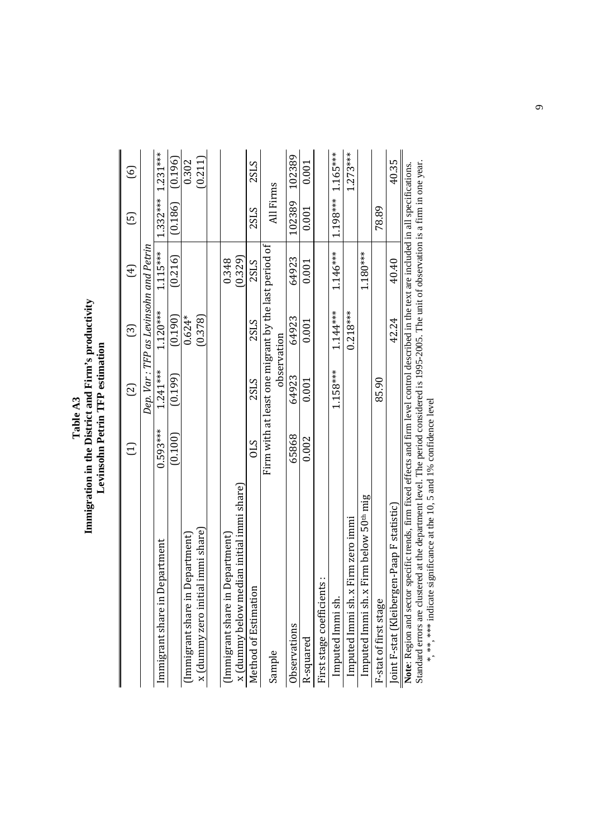| Table A3 | mmigration in the District and Firm's productivi | evinsohn Petrin TFP estimation |
|----------|--------------------------------------------------|--------------------------------|
|----------|--------------------------------------------------|--------------------------------|

|                                                                                                                                                                                                                                                                                          | Ξ               | වු          | ලු                                                                  | $\bigoplus$ | ල                     | $\odot$    |
|------------------------------------------------------------------------------------------------------------------------------------------------------------------------------------------------------------------------------------------------------------------------------------------|-----------------|-------------|---------------------------------------------------------------------|-------------|-----------------------|------------|
|                                                                                                                                                                                                                                                                                          |                 |             | Dep. Var : TFP as Levinsohn and Petrin                              |             |                       |            |
| Department<br>Immigrant share in                                                                                                                                                                                                                                                         | $0.593***$      | $1.241***$  | $1.120***$                                                          | $1.115***$  | $1.332***$ $1.231***$ |            |
|                                                                                                                                                                                                                                                                                          | (0.100)         | (0.199)     | (0.190)                                                             | (0.216)     | (0.186)               | (0.196)    |
| Department)<br>(Immigrant share in                                                                                                                                                                                                                                                       |                 |             | $0.624*$                                                            |             |                       | 0.302      |
| ial immi share<br>x (dummy zero initi                                                                                                                                                                                                                                                    |                 |             | (0.378)                                                             |             |                       | (0.211)    |
|                                                                                                                                                                                                                                                                                          |                 |             |                                                                     |             |                       |            |
| Department)<br>Immigrant share in                                                                                                                                                                                                                                                        |                 |             |                                                                     | 0.348       |                       |            |
| x (dummy below median initial immi share)                                                                                                                                                                                                                                                |                 |             |                                                                     | (0.329)     |                       |            |
| Method of Estimation                                                                                                                                                                                                                                                                     | $\mathcal{S}10$ | <b>2SLS</b> | 2SLS                                                                | 2SLS        | 2SLS                  | 2SLS       |
| Sample                                                                                                                                                                                                                                                                                   |                 |             | Firm with at least one migrant by the last period of<br>observation |             | All Firms             |            |
| Observations                                                                                                                                                                                                                                                                             | 65868           | 64923       | 64923                                                               | 64923       | 102389                | 102389     |
| R-squared                                                                                                                                                                                                                                                                                | 0.002           | 0.001       | 0.001                                                               | 0.001       | 0.001                 | 0.001      |
| First stage coefficients:                                                                                                                                                                                                                                                                |                 |             |                                                                     |             |                       |            |
| Imputed Immi sh.                                                                                                                                                                                                                                                                         |                 | $1.158***$  | $1.144***$                                                          | $1.146***$  | $1.198***$ $1.165***$ |            |
| Imputed Immi sh. x Firm zero immi                                                                                                                                                                                                                                                        |                 |             | $0.218***$                                                          |             |                       | $1.273***$ |
| Imputed Immi sh. x Firm below 50 <sup>th</sup> mig                                                                                                                                                                                                                                       |                 |             |                                                                     | 1.180***    |                       |            |
| F-stat of first stage                                                                                                                                                                                                                                                                    |                 | 85.90       |                                                                     |             | 78.89                 |            |
| Joint F-stat (Kleibergen-Paap F statistic)                                                                                                                                                                                                                                               |                 |             | 42.24                                                               | 40.40       |                       | 40.35      |
| Note: Region and sector specific trends, firm fixed effects and firm level control described in the text are included in all specifications.<br>Standard errors are clustered at the department level. The period considered is 1995-2005. The unit of observation is a firm in one vear |                 |             |                                                                     |             |                       |            |

Standard errors are clustered at the department level. The period considered is 1995-2005. The unit of observation is a firm in one year. Standard errors are clustered at the department level. The period considered is 1995-2005. The unit of observation is a firm in one year.<br>\*, \*\*\*, \*\*\*\* indicate significance at the 10, 5 and 1% confidence level \*, \*\*, \*\*\* indicate significance at the 10, 5 and 1% confidence level

 $\circ$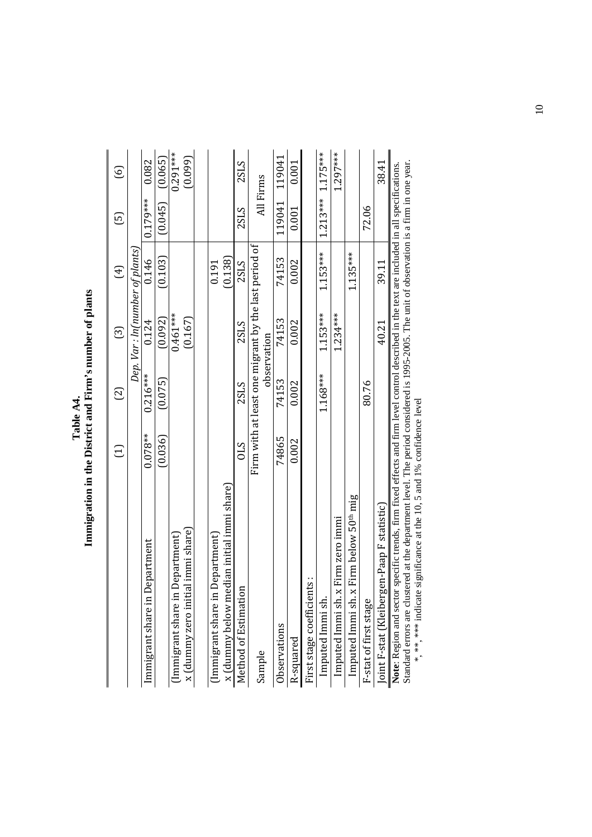| ī<br>Ī | $\frac{1}{2}$<br><b>CONTINUES</b><br>ן<br>יירו<br>Ş<br>֧֖֧֧֧֧֧֧֧֧ׅ֧֧֧֧֧֪֧֧֪֧֪֪֪֧֪֪֪֧֚֚֚֚֚֚֚֚֚֚֚֚֚֚֚֚֚֚֚֚֚֚֡֓֝֝֓֝֓֝֟֓֝֓֝֓֝֓֝֬֜֓֝֓֝֬֜֝֬֝֬֝֝֝<br><b>Control</b><br>֧֧֧֧֧֧֧֧֧֧֧֧֧֧֧֚֚֚֚֚֚֚֚֚֚֚֚֚֚֚֚֚֝֝֓֝֓֝֓֝֓֝֓֝֬֝֓֝֓֝֓֝֬֝֓֝֬֝֬<br>$\ddot{\phantom{0}}$ |
|--------|-----------------------------------------------------------------------------------------------------------------------------------------------------------------------------------------------------------------------------------------------------|
|--------|-----------------------------------------------------------------------------------------------------------------------------------------------------------------------------------------------------------------------------------------------------|

|                                                                                                                                                                                                                                                                                                                                                                      | Ξ          | $\Xi$      | ධි                                                                  | $\bigoplus$ | ල          | ତ୍ର        |
|----------------------------------------------------------------------------------------------------------------------------------------------------------------------------------------------------------------------------------------------------------------------------------------------------------------------------------------------------------------------|------------|------------|---------------------------------------------------------------------|-------------|------------|------------|
|                                                                                                                                                                                                                                                                                                                                                                      |            |            | Dep. Var : ln(number of plants)                                     |             |            |            |
| Department<br>Immigrant share in                                                                                                                                                                                                                                                                                                                                     | $0.078**$  | $0.216***$ | 0.124                                                               | 0.146       | $0.179***$ | 0.082      |
|                                                                                                                                                                                                                                                                                                                                                                      | (0.036)    | (0.075)    | (0.092)                                                             | (0.103)     | (0.045)    | (0.065)    |
| Department)<br>(Immigrant share in                                                                                                                                                                                                                                                                                                                                   |            |            | $0.461***$                                                          |             |            | $0.291***$ |
| x (dummy zero initial immi share)                                                                                                                                                                                                                                                                                                                                    |            |            | (0.167)                                                             |             |            | (0.099)    |
|                                                                                                                                                                                                                                                                                                                                                                      |            |            |                                                                     |             |            |            |
| Department)<br>Immigrant share in                                                                                                                                                                                                                                                                                                                                    |            |            |                                                                     | 0.191       |            |            |
| x (dummy below median initial immi share)                                                                                                                                                                                                                                                                                                                            |            |            |                                                                     | (0.138)     |            |            |
| Ξ<br>Method of Estimatio                                                                                                                                                                                                                                                                                                                                             | <b>CTO</b> | 2SLS       | 2SLS                                                                | 2SLS        | 2SLS       | 2SLS       |
| Sample                                                                                                                                                                                                                                                                                                                                                               |            |            | Firm with at least one migrant by the last period of<br>observation |             | All Firms  |            |
| Observations                                                                                                                                                                                                                                                                                                                                                         | 74865      | 74153      | 74153                                                               | 74153       | 119041     | 119041     |
| R-squared                                                                                                                                                                                                                                                                                                                                                            | 0.002      | 0.002      | 0.002                                                               | 0.002       | 0.001      | 0.001      |
| First stage coefficients:                                                                                                                                                                                                                                                                                                                                            |            |            |                                                                     |             |            |            |
| Imputed Immi sh.                                                                                                                                                                                                                                                                                                                                                     |            | 1.168***   | $1.153***$                                                          | $1.153***$  | $1.213***$ | $1.175***$ |
| Imputed Immi sh. x Firm zero immi                                                                                                                                                                                                                                                                                                                                    |            |            | $1.234***$                                                          |             |            | $1.297***$ |
| Imputed Immi sh. x Firm below 50 <sup>th</sup> mig                                                                                                                                                                                                                                                                                                                   |            |            |                                                                     | $1.135***$  |            |            |
| F-stat of first stage                                                                                                                                                                                                                                                                                                                                                |            | 80.76      |                                                                     |             | 72.06      |            |
| Joint F-stat (Kleibergen-Paap F statistic)                                                                                                                                                                                                                                                                                                                           |            |            | 40.21                                                               | 39.11       |            | 38.41      |
| Standard errors are clustered at the department level. The period considered is 1995-2005. The unit of observation is a firm in one year.<br>Note: Region and sector specific trends, firm fixed effects and firm level control described in the text are included in all specifications.<br>significance at the 10, 5 and 1% confidence level<br>* ** **** indicate |            |            |                                                                     |             |            |            |

10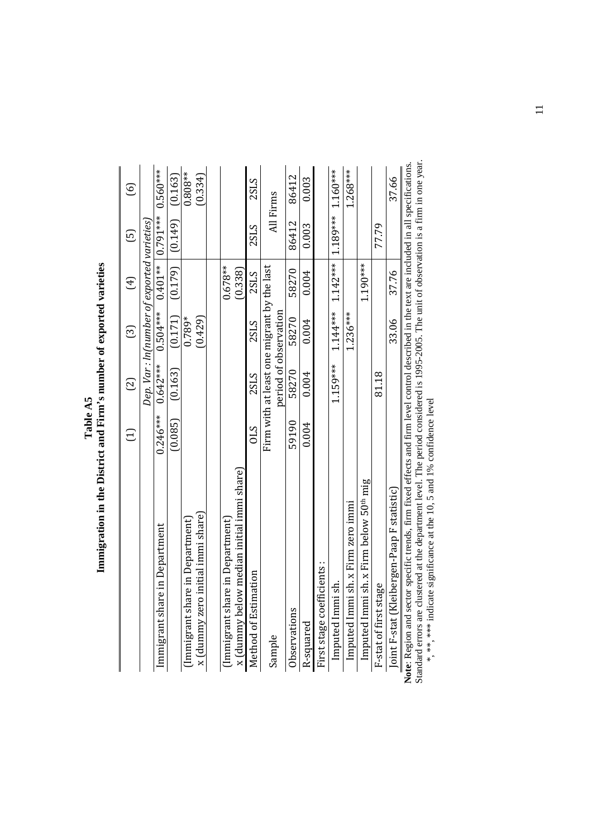|   | くこくこと<br>i<br>I                     |
|---|-------------------------------------|
|   | wher of exporter                    |
|   | í<br>F                              |
| ì | ים<br>דם ה<br>j                     |
|   | $\cdots$                            |
|   | $\frac{1}{2}$<br>í<br>$\frac{1}{2}$ |
|   | .<br>1                              |

|                                                    | $\Xi$      | $\odot$                                    | ල                                           | $(\pm)$    | $\Xi$                                       | $\odot$     |
|----------------------------------------------------|------------|--------------------------------------------|---------------------------------------------|------------|---------------------------------------------|-------------|
|                                                    |            |                                            | Dep. Var : In(number of exported varieties, |            |                                             |             |
| Immigrant share in Department                      | $0.246***$ | $0.642***$                                 | $0.504***$                                  |            | $0.401***$   0.791 *** 0.560 ***            |             |
|                                                    | (0.085)    | (0.163)                                    | (0.171)                                     | (0.179)    | (0.149)                                     | (0.163)     |
| (Immigrant share in Department)                    |            |                                            | $0.789*$                                    |            |                                             | $0.808**$   |
| x (dummy zero initial immi share)                  |            |                                            | (0.429)                                     |            |                                             | (0.334)     |
|                                                    |            |                                            |                                             |            |                                             |             |
| (Immigrant share in Department)                    |            |                                            |                                             | $0.678**$  |                                             |             |
| x (dummy below median initial immi share)          |            |                                            |                                             | (0.338)    |                                             |             |
| Method of Estimation                               | STO        | 2SLS                                       | 2SLS                                        | 2SLS       | <b>2SLS</b>                                 | <b>2SLS</b> |
| Sample                                             |            | Firm with at least one migrant by the last |                                             |            |                                             | All Firms   |
|                                                    |            | period of observation                      |                                             |            |                                             |             |
| Observations                                       | 59190      | 58270                                      | 58270                                       | 58270      | 86412                                       | 86412       |
| R-squared                                          | 0.004      | 0.004                                      | 0.004                                       | 0.004      | 0.003                                       | 0.003       |
| First stage coefficients :                         |            |                                            |                                             |            |                                             |             |
| Imputed Immi sh.                                   |            | $1.159***$                                 |                                             |            | $1.144***$ $1.142***$ $1.189***$ $1.160***$ |             |
| Imputed Immi sh. x Firm zero immi                  |            |                                            | $1.236***$                                  |            |                                             | $1.268***$  |
| Imputed Immi sh. x Firm below 50 <sup>th</sup> mig |            |                                            |                                             | $1.190***$ |                                             |             |
| F-stat of first stage                              |            | 81.18                                      |                                             |            | 77.79                                       |             |
| Joint F-stat (Kleibergen-Paap F statistic)         |            |                                            | 33.06                                       | 37.76      |                                             | 37.66       |
|                                                    |            |                                            |                                             |            |                                             | $\ddot{z}$  |

Standard errors are clustered at the department level. The period considered is 1995-2005. The unit of observation is a firm in one year. **Note:** Region and sector specific trends, firm fixed effects and firm level control described in the text are included in all specifications.<br>Standard errors are clustered at the department level. The period considered i **Note**: Region and sector specific trends, firm fixed effects and firm level control described in the text are included in all specifications. \*, \*\*, \*\*\* indicate significance at the 10, 5 and 1% confidence level

 $\equiv$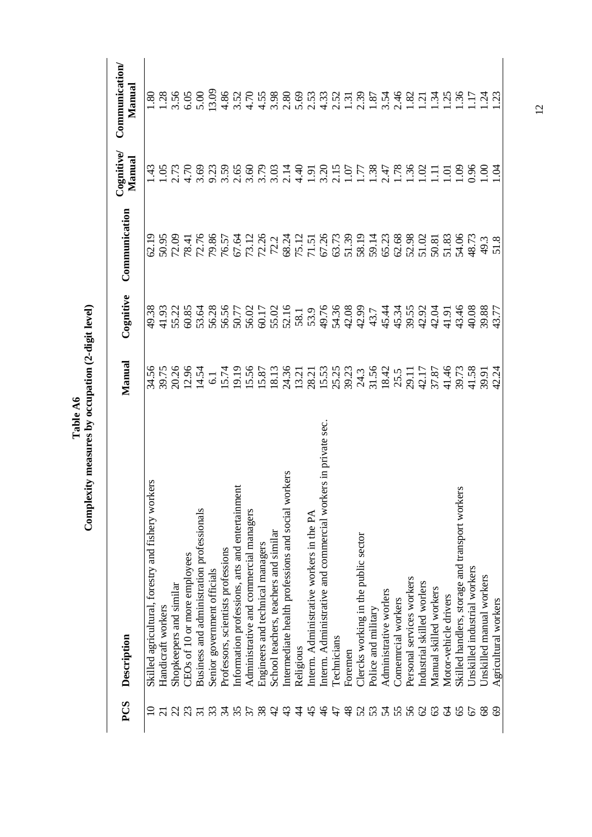| PCS            | Description                                                           | Manual                                                                                                                                                                                                                                                                                               | Cognitive | Communication | Cognitive/<br>Manual | Communication<br>Manual                                                                                                                                                                                                                                                                                     |
|----------------|-----------------------------------------------------------------------|------------------------------------------------------------------------------------------------------------------------------------------------------------------------------------------------------------------------------------------------------------------------------------------------------|-----------|---------------|----------------------|-------------------------------------------------------------------------------------------------------------------------------------------------------------------------------------------------------------------------------------------------------------------------------------------------------------|
|                | kers<br>Skilled agricultural, forestry and fishery wor                |                                                                                                                                                                                                                                                                                                      |           |               |                      |                                                                                                                                                                                                                                                                                                             |
|                | Handicraft workers                                                    |                                                                                                                                                                                                                                                                                                      |           |               |                      |                                                                                                                                                                                                                                                                                                             |
|                | Shopkeepers and similar                                               |                                                                                                                                                                                                                                                                                                      |           |               |                      |                                                                                                                                                                                                                                                                                                             |
|                | CEOs of 10 or more employees                                          | 34.56<br>39.75<br>20.26<br>12.54<br>14.54                                                                                                                                                                                                                                                            |           |               | 4.70                 |                                                                                                                                                                                                                                                                                                             |
|                | Business and administration professionals                             |                                                                                                                                                                                                                                                                                                      |           |               | 3.69                 |                                                                                                                                                                                                                                                                                                             |
|                | Senior government officials                                           |                                                                                                                                                                                                                                                                                                      |           |               |                      |                                                                                                                                                                                                                                                                                                             |
| $\approx$      | Professors, scientists professions                                    |                                                                                                                                                                                                                                                                                                      |           |               | 3.59                 |                                                                                                                                                                                                                                                                                                             |
|                | $\overline{\text{m}}$<br>Information professions, arts and entertainm | $\begin{array}{l} -1598592827 \\ -1598592827 \\ -1599859287 \\ -159985929 \\ -15998599 \\ -15998599 \\ -15998599 \\ -15998599 \\ -15998599 \\ -15998599 \\ -15998599 \\ -15998599 \\ -15998599 \\ -15998599 \\ -15998599 \\ -15998599 \\ -15998599 \\ -15998599 \\ -15998599 \\ -159985999 \\ -1599$ |           |               |                      | $\frac{8}{16}$ $\frac{8}{16}$ $\frac{8}{16}$ $\frac{6}{16}$ $\frac{6}{16}$ $\frac{6}{16}$ $\frac{6}{16}$ $\frac{6}{16}$ $\frac{6}{16}$ $\frac{6}{16}$ $\frac{6}{16}$ $\frac{6}{16}$ $\frac{6}{16}$ $\frac{6}{16}$ $\frac{6}{16}$ $\frac{6}{16}$ $\frac{6}{16}$ $\frac{6}{16}$ $\frac{6}{16}$ $\frac{6}{16}$ |
| 57             | Administrative and commercial managers                                |                                                                                                                                                                                                                                                                                                      |           |               |                      |                                                                                                                                                                                                                                                                                                             |
| 38             | Engineers and technical managers                                      |                                                                                                                                                                                                                                                                                                      |           |               |                      |                                                                                                                                                                                                                                                                                                             |
| $\vartheta$    | School teachers, teachers and similar                                 |                                                                                                                                                                                                                                                                                                      |           |               |                      |                                                                                                                                                                                                                                                                                                             |
| 43             | Intermediate health professions and social workers                    |                                                                                                                                                                                                                                                                                                      |           |               |                      |                                                                                                                                                                                                                                                                                                             |
| $\ddot{4}$     | Religious                                                             |                                                                                                                                                                                                                                                                                                      |           |               |                      |                                                                                                                                                                                                                                                                                                             |
| $\frac{45}{5}$ | Interm. Administrative workers in the PA                              |                                                                                                                                                                                                                                                                                                      |           |               |                      |                                                                                                                                                                                                                                                                                                             |
| $\frac{9}{4}$  | kers in private sec.<br>Interm. Administrative and commercial worl    |                                                                                                                                                                                                                                                                                                      |           |               |                      |                                                                                                                                                                                                                                                                                                             |
| 47             | Technicians                                                           |                                                                                                                                                                                                                                                                                                      |           |               |                      |                                                                                                                                                                                                                                                                                                             |
| $\frac{8}{3}$  | Foremen                                                               |                                                                                                                                                                                                                                                                                                      |           |               |                      |                                                                                                                                                                                                                                                                                                             |
| 52             | Clercks working in the public sector                                  |                                                                                                                                                                                                                                                                                                      |           |               |                      |                                                                                                                                                                                                                                                                                                             |
| 53             | Police and military                                                   |                                                                                                                                                                                                                                                                                                      |           |               |                      |                                                                                                                                                                                                                                                                                                             |
| 54             | Administrative worlers                                                |                                                                                                                                                                                                                                                                                                      |           |               |                      |                                                                                                                                                                                                                                                                                                             |
| 55             | Comemrcial workers                                                    |                                                                                                                                                                                                                                                                                                      |           |               |                      |                                                                                                                                                                                                                                                                                                             |
| 56             | Personal services workers                                             |                                                                                                                                                                                                                                                                                                      |           |               |                      |                                                                                                                                                                                                                                                                                                             |
| $\mathcal{S}$  | Industrial skilled worlers                                            |                                                                                                                                                                                                                                                                                                      |           |               |                      |                                                                                                                                                                                                                                                                                                             |
| 63             | Manual skilled workers                                                |                                                                                                                                                                                                                                                                                                      |           |               |                      |                                                                                                                                                                                                                                                                                                             |
| $\mathcal{Z}$  | Motor-vehicle drivers                                                 |                                                                                                                                                                                                                                                                                                      |           |               | ō.                   |                                                                                                                                                                                                                                                                                                             |
| 65             | Skilled handlers, storage and transport workers                       |                                                                                                                                                                                                                                                                                                      |           |               | $\ddot{\mathrm{e}}$  |                                                                                                                                                                                                                                                                                                             |
| 67             | Unskilled industrial workers                                          |                                                                                                                                                                                                                                                                                                      |           |               | $rac{86}{26}$        |                                                                                                                                                                                                                                                                                                             |
| 89             | Unskilled manual workers                                              |                                                                                                                                                                                                                                                                                                      |           |               |                      |                                                                                                                                                                                                                                                                                                             |
| $\odot$        | Agricultural workers                                                  |                                                                                                                                                                                                                                                                                                      |           |               | Š                    |                                                                                                                                                                                                                                                                                                             |

Table A6<br>Complexity measures by occupation (2-digit level) **Complexity measures by occupation (2-digit level)** 

12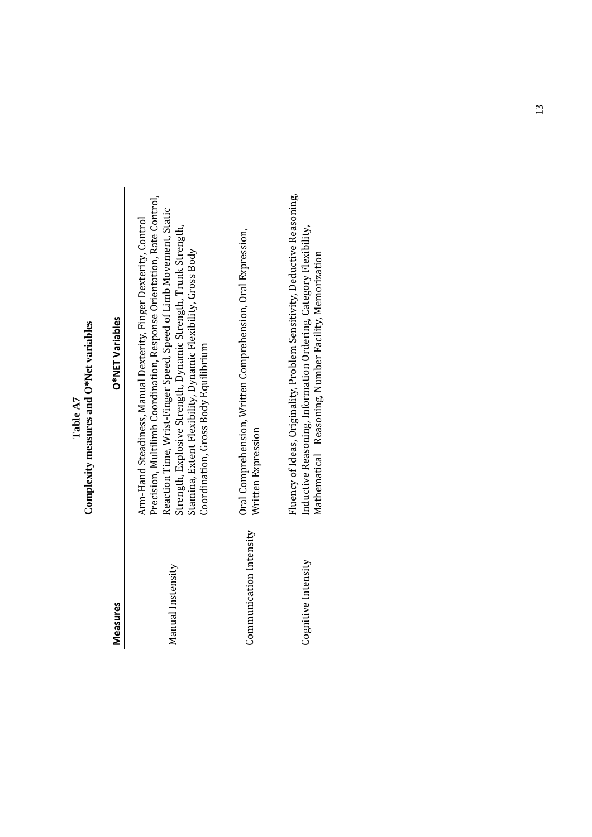|       | Ĭ<br>ŗ<br>$\sim$ XN                 |
|-------|-------------------------------------|
| Table | $\sin$<br>ĺ<br>neasure <sup>-</sup> |
|       | <b>MAYTE</b>                        |

| Measures                | O*NET Variables                                                                                                                                                                                                                                                                                                                                                                            |
|-------------------------|--------------------------------------------------------------------------------------------------------------------------------------------------------------------------------------------------------------------------------------------------------------------------------------------------------------------------------------------------------------------------------------------|
| Manual Instensity       | Precision, Multilimb Coordination, Response Orientation, Rate Control,<br>Reaction Time, Wrist-Finger Speed, Speed of Limb Movement, Static<br>Arm-Hand Steadiness, Manual Dexterity, Finger Dexterity, Control<br>Strength, Explosive Strength, Dynamic Strength, Trunk Strength,<br>Stamina, Extent Flexibility, Dynamic Flexibility, Gross Body<br>Coordination, Gross Body Equilibrium |
| Communication Intensity | Oral Comprehension, Written Comprehension, Oral Expression,<br>Written Expression                                                                                                                                                                                                                                                                                                          |
| Cognitive Intensity     | Fluency of Ideas, Originality, Problem Sensitivity, Deductive Reasoning,<br>Inductive Reasoning, Information Ordering, Category Flexibility,<br>Mathematical Reasoning, Number Facility, Memorization                                                                                                                                                                                      |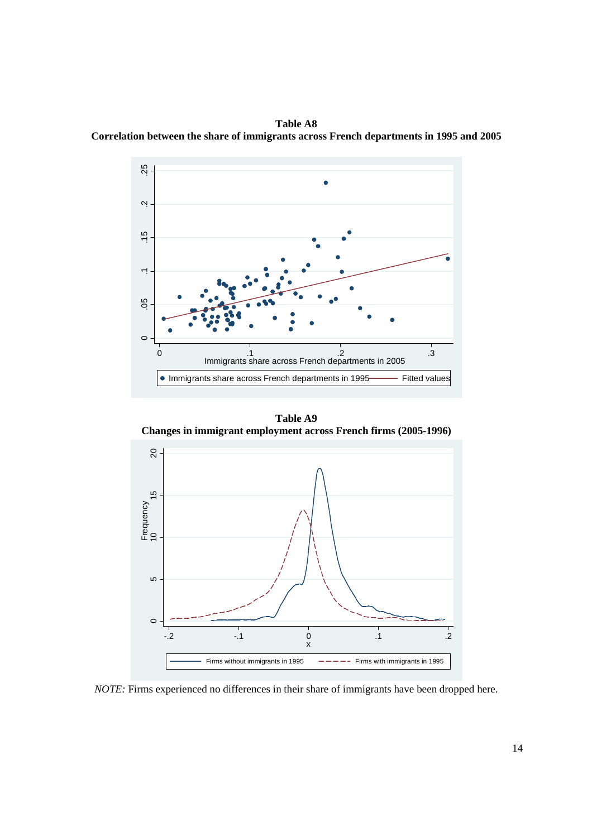**Table A8 Correlation between the share of immigrants across French departments in 1995 and 2005** 



**Table A9 Changes in immigrant employment across French firms (2005-1996)** 



*NOTE:* Firms experienced no differences in their share of immigrants have been dropped here.